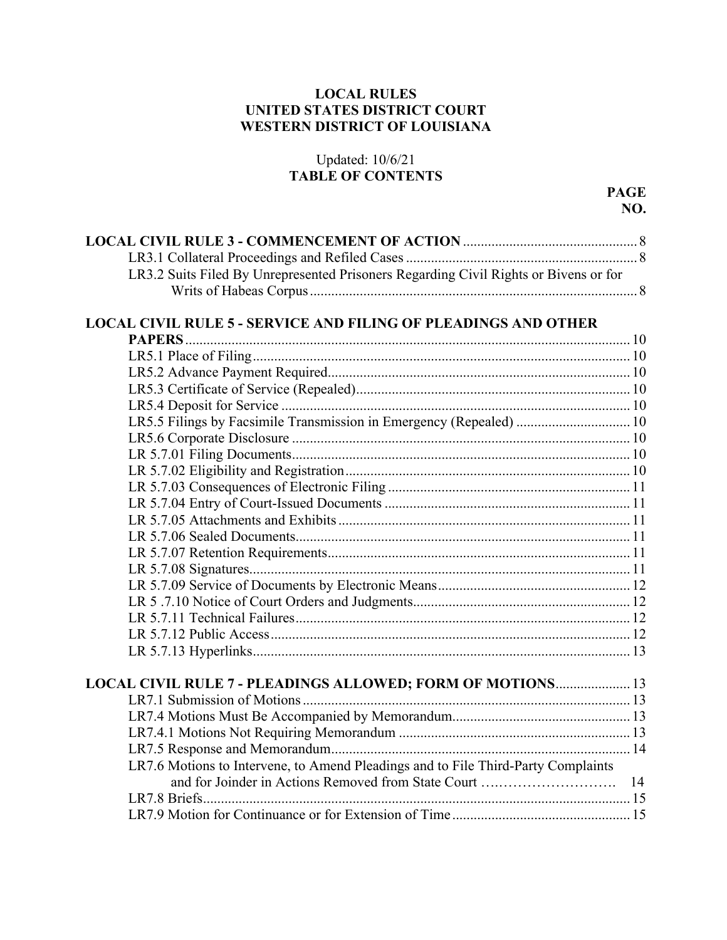# **LOCAL RULES UNITED STATES DISTRICT COURT WESTERN DISTRICT OF LOUISIANA**

# Updated: 10/6/21 **TABLE OF CONTENTS**

| LR3.2 Suits Filed By Unrepresented Prisoners Regarding Civil Rights or Bivens or for |  |
|--------------------------------------------------------------------------------------|--|
|                                                                                      |  |
| <b>LOCAL CIVIL RULE 5 - SERVICE AND FILING OF PLEADINGS AND OTHER</b>                |  |
|                                                                                      |  |
|                                                                                      |  |
|                                                                                      |  |
|                                                                                      |  |
|                                                                                      |  |
| LR5.5 Filings by Facsimile Transmission in Emergency (Repealed)  10                  |  |
|                                                                                      |  |
|                                                                                      |  |
|                                                                                      |  |
|                                                                                      |  |
|                                                                                      |  |
|                                                                                      |  |
|                                                                                      |  |
|                                                                                      |  |
|                                                                                      |  |
|                                                                                      |  |
|                                                                                      |  |
|                                                                                      |  |
|                                                                                      |  |
|                                                                                      |  |
|                                                                                      |  |
| LOCAL CIVIL RULE 7 - PLEADINGS ALLOWED; FORM OF MOTIONS 13                           |  |
|                                                                                      |  |
|                                                                                      |  |
|                                                                                      |  |
|                                                                                      |  |
| LR7.6 Motions to Intervene, to Amend Pleadings and to File Third-Party Complaints    |  |
|                                                                                      |  |
|                                                                                      |  |
|                                                                                      |  |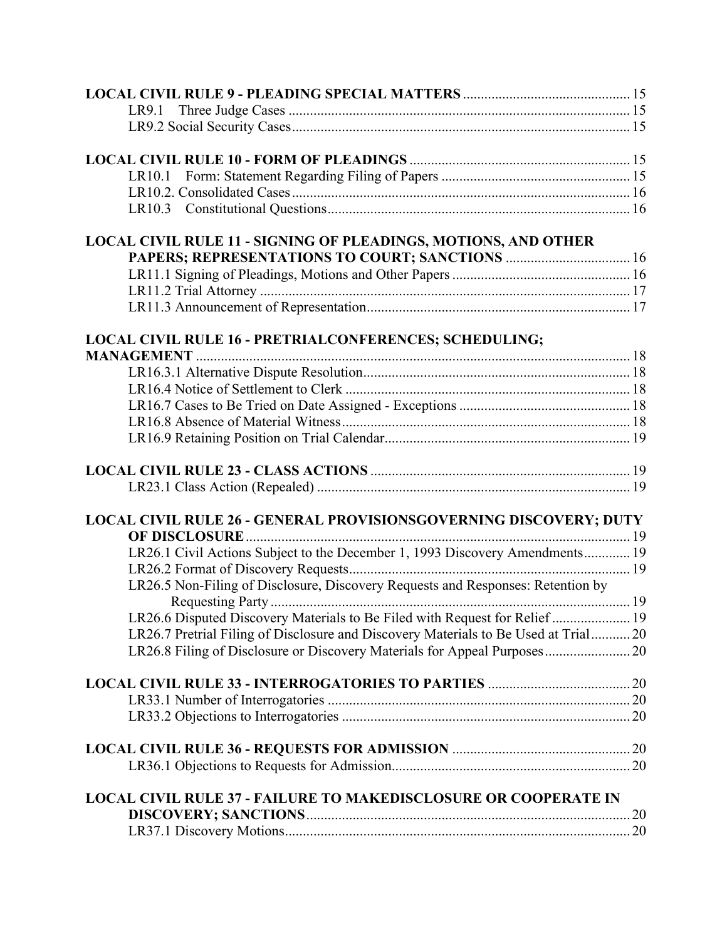| <b>LOCAL CIVIL RULE 11 - SIGNING OF PLEADINGS, MOTIONS, AND OTHER</b>                                                                                           |  |
|-----------------------------------------------------------------------------------------------------------------------------------------------------------------|--|
|                                                                                                                                                                 |  |
|                                                                                                                                                                 |  |
|                                                                                                                                                                 |  |
|                                                                                                                                                                 |  |
| LOCAL CIVIL RULE 16 - PRETRIALCONFERENCES; SCHEDULING;                                                                                                          |  |
|                                                                                                                                                                 |  |
|                                                                                                                                                                 |  |
|                                                                                                                                                                 |  |
|                                                                                                                                                                 |  |
|                                                                                                                                                                 |  |
|                                                                                                                                                                 |  |
|                                                                                                                                                                 |  |
|                                                                                                                                                                 |  |
| LOCAL CIVIL RULE 26 - GENERAL PROVISIONSGOVERNING DISCOVERY; DUTY                                                                                               |  |
|                                                                                                                                                                 |  |
| LR26.1 Civil Actions Subject to the December 1, 1993 Discovery Amendments 19                                                                                    |  |
|                                                                                                                                                                 |  |
| LR26.5 Non-Filing of Disclosure, Discovery Requests and Responses: Retention by                                                                                 |  |
|                                                                                                                                                                 |  |
| LR26.6 Disputed Discovery Materials to Be Filed with Request for Relief  19                                                                                     |  |
| LR26.7 Pretrial Filing of Disclosure and Discovery Materials to Be Used at Trial20<br>LR26.8 Filing of Disclosure or Discovery Materials for Appeal Purposes 20 |  |
|                                                                                                                                                                 |  |
|                                                                                                                                                                 |  |
|                                                                                                                                                                 |  |
|                                                                                                                                                                 |  |
|                                                                                                                                                                 |  |
| <b>LOCAL CIVIL RULE 37 - FAILURE TO MAKEDISCLOSURE OR COOPERATE IN</b>                                                                                          |  |
|                                                                                                                                                                 |  |
|                                                                                                                                                                 |  |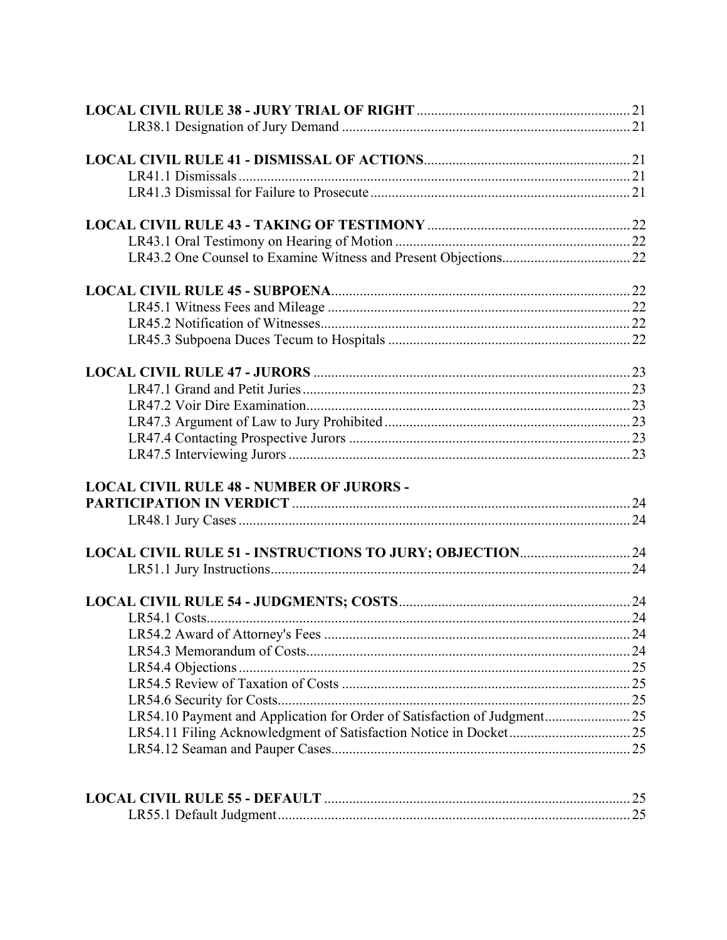| <b>LOCAL CIVIL RULE 48 - NUMBER OF JURORS -</b>          |  |
|----------------------------------------------------------|--|
|                                                          |  |
|                                                          |  |
| LOCAL CIVIL RULE 51 - INSTRUCTIONS TO JURY; OBJECTION 24 |  |
|                                                          |  |
|                                                          |  |
|                                                          |  |
|                                                          |  |
|                                                          |  |
|                                                          |  |
|                                                          |  |
|                                                          |  |
|                                                          |  |
|                                                          |  |
|                                                          |  |
|                                                          |  |
|                                                          |  |
|                                                          |  |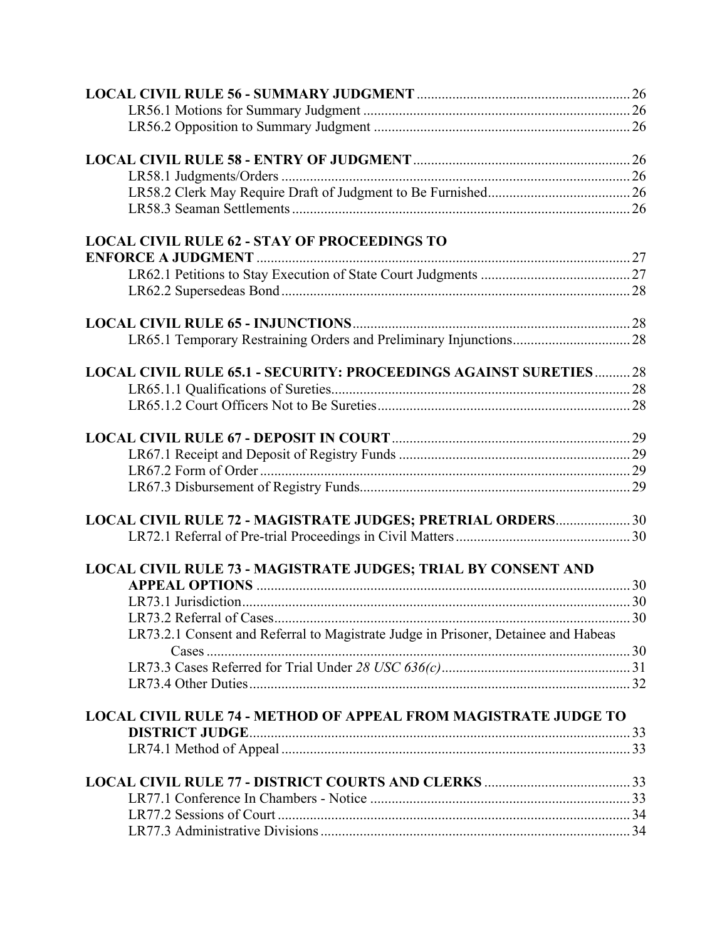| <b>LOCAL CIVIL RULE 62 - STAY OF PROCEEDINGS TO</b>                                |  |
|------------------------------------------------------------------------------------|--|
|                                                                                    |  |
|                                                                                    |  |
|                                                                                    |  |
|                                                                                    |  |
|                                                                                    |  |
| <b>LOCAL CIVIL RULE 65.1 - SECURITY: PROCEEDINGS AGAINST SURETIES  28</b>          |  |
|                                                                                    |  |
|                                                                                    |  |
|                                                                                    |  |
|                                                                                    |  |
|                                                                                    |  |
|                                                                                    |  |
| LOCAL CIVIL RULE 72 - MAGISTRATE JUDGES; PRETRIAL ORDERS 30                        |  |
|                                                                                    |  |
| <b>LOCAL CIVIL RULE 73 - MAGISTRATE JUDGES; TRIAL BY CONSENT AND</b>               |  |
|                                                                                    |  |
|                                                                                    |  |
|                                                                                    |  |
| LR73.2.1 Consent and Referral to Magistrate Judge in Prisoner, Detainee and Habeas |  |
|                                                                                    |  |
|                                                                                    |  |
|                                                                                    |  |
| <b>LOCAL CIVIL RULE 74 - METHOD OF APPEAL FROM MAGISTRATE JUDGE TO</b>             |  |
|                                                                                    |  |
|                                                                                    |  |
|                                                                                    |  |
|                                                                                    |  |
|                                                                                    |  |
|                                                                                    |  |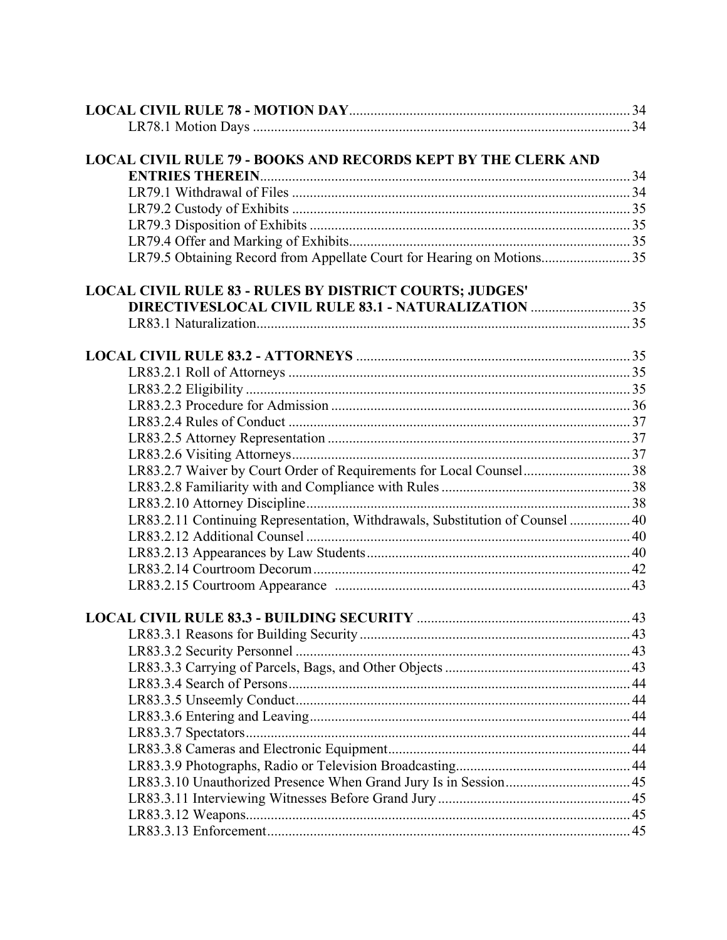| <b>LOCAL CIVIL RULE 79 - BOOKS AND RECORDS KEPT BY THE CLERK AND</b>          |  |
|-------------------------------------------------------------------------------|--|
|                                                                               |  |
|                                                                               |  |
|                                                                               |  |
|                                                                               |  |
|                                                                               |  |
| LR79.5 Obtaining Record from Appellate Court for Hearing on Motions35         |  |
| <b>LOCAL CIVIL RULE 83 - RULES BY DISTRICT COURTS; JUDGES'</b>                |  |
|                                                                               |  |
|                                                                               |  |
|                                                                               |  |
|                                                                               |  |
|                                                                               |  |
|                                                                               |  |
|                                                                               |  |
|                                                                               |  |
|                                                                               |  |
| LR83.2.7 Waiver by Court Order of Requirements for Local Counsel38            |  |
|                                                                               |  |
|                                                                               |  |
| LR83.2.11 Continuing Representation, Withdrawals, Substitution of Counsel  40 |  |
|                                                                               |  |
|                                                                               |  |
|                                                                               |  |
|                                                                               |  |
|                                                                               |  |
|                                                                               |  |
|                                                                               |  |
|                                                                               |  |
|                                                                               |  |
|                                                                               |  |
|                                                                               |  |
|                                                                               |  |
|                                                                               |  |
|                                                                               |  |
|                                                                               |  |
|                                                                               |  |
|                                                                               |  |
|                                                                               |  |
|                                                                               |  |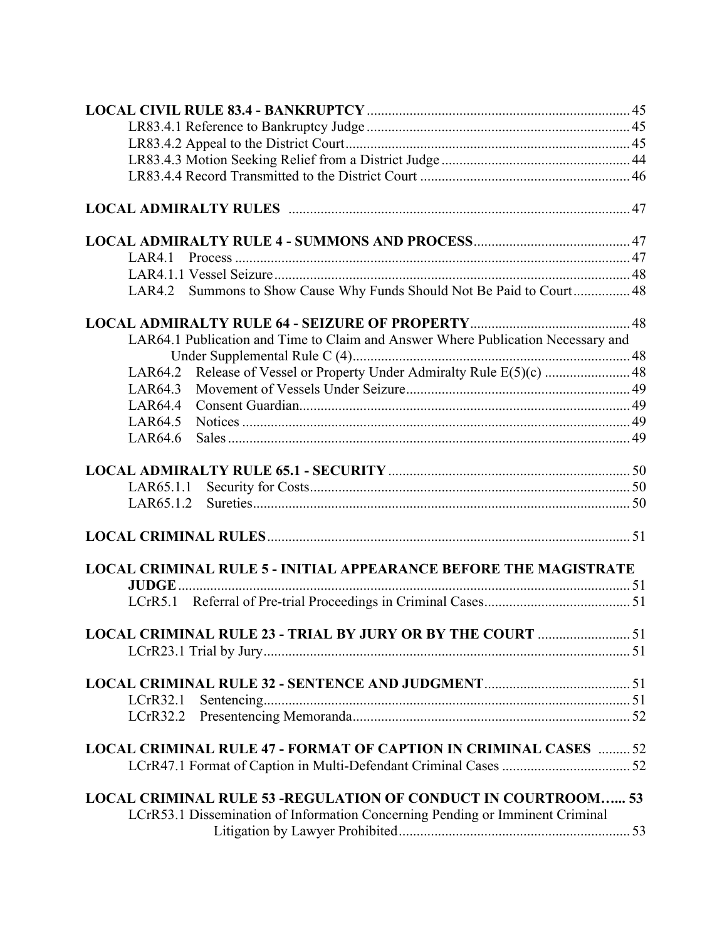| LAR4.1                                                                               |  |
|--------------------------------------------------------------------------------------|--|
|                                                                                      |  |
| LAR4.2 Summons to Show Cause Why Funds Should Not Be Paid to Court 48                |  |
|                                                                                      |  |
|                                                                                      |  |
| LAR64.1 Publication and Time to Claim and Answer Where Publication Necessary and     |  |
|                                                                                      |  |
| Release of Vessel or Property Under Admiralty Rule E(5)(c)  48<br>LAR64.2<br>LAR64.3 |  |
|                                                                                      |  |
| LAR64.4                                                                              |  |
| LAR64.5                                                                              |  |
| LAR64.6                                                                              |  |
|                                                                                      |  |
| LAR65.1.1                                                                            |  |
| LAR65.1.2                                                                            |  |
|                                                                                      |  |
|                                                                                      |  |
|                                                                                      |  |
| <b>LOCAL CRIMINAL RULE 5 - INITIAL APPEARANCE BEFORE THE MAGISTRATE</b>              |  |
|                                                                                      |  |
|                                                                                      |  |
|                                                                                      |  |
|                                                                                      |  |
|                                                                                      |  |
|                                                                                      |  |
|                                                                                      |  |
| LCrR32.1                                                                             |  |
| LCrR32.2                                                                             |  |
| <b>LOCAL CRIMINAL RULE 47 - FORMAT OF CAPTION IN CRIMINAL CASES 52</b>               |  |
|                                                                                      |  |
|                                                                                      |  |
| <b>LOCAL CRIMINAL RULE 53 -REGULATION OF CONDUCT IN COURTROOM 53</b>                 |  |
| LCrR53.1 Dissemination of Information Concerning Pending or Imminent Criminal        |  |
|                                                                                      |  |
|                                                                                      |  |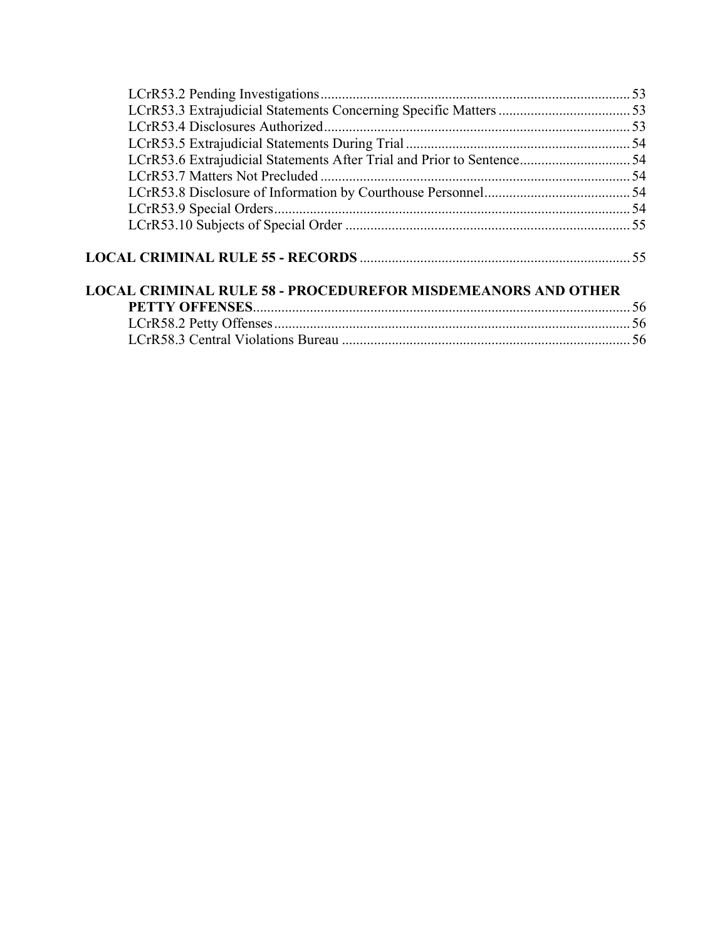| LCrR53.6 Extrajudicial Statements After Trial and Prior to Sentence 54 |      |
|------------------------------------------------------------------------|------|
|                                                                        |      |
|                                                                        |      |
|                                                                        |      |
|                                                                        |      |
|                                                                        |      |
| <b>LOCAL CRIMINAL RULE 58 - PROCEDUREFOR MISDEMEANORS AND OTHER</b>    |      |
|                                                                        | . 56 |
|                                                                        |      |
|                                                                        |      |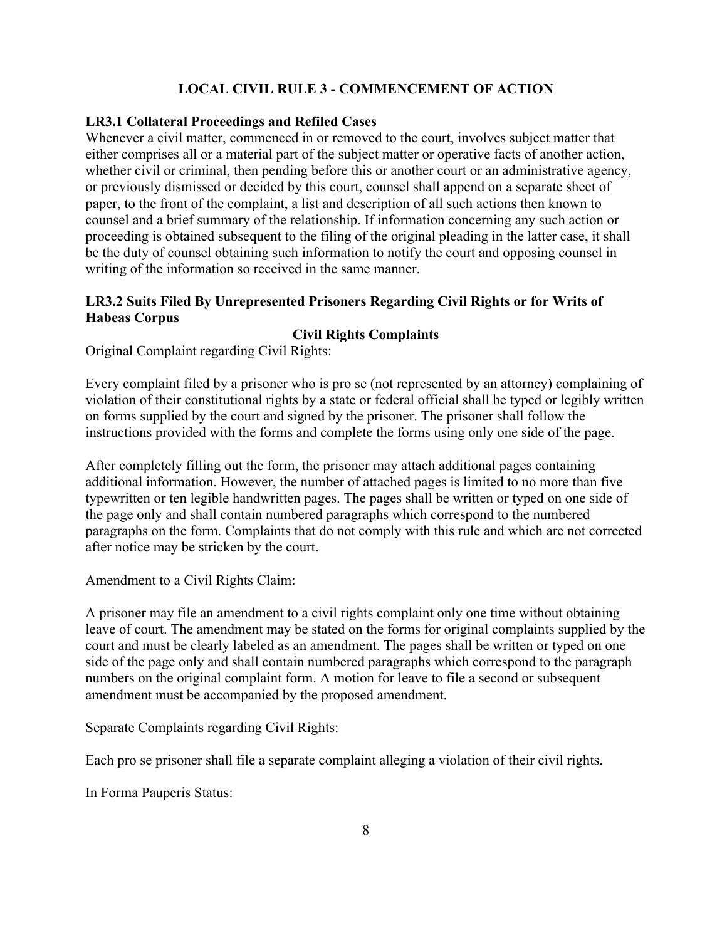### **LOCAL CIVIL RULE 3 - COMMENCEMENT OF ACTION**

#### **LR3.1 Collateral Proceedings and Refiled Cases**

Whenever a civil matter, commenced in or removed to the court, involves subject matter that either comprises all or a material part of the subject matter or operative facts of another action, whether civil or criminal, then pending before this or another court or an administrative agency, or previously dismissed or decided by this court, counsel shall append on a separate sheet of paper, to the front of the complaint, a list and description of all such actions then known to counsel and a brief summary of the relationship. If information concerning any such action or proceeding is obtained subsequent to the filing of the original pleading in the latter case, it shall be the duty of counsel obtaining such information to notify the court and opposing counsel in writing of the information so received in the same manner.

### **LR3.2 Suits Filed By Unrepresented Prisoners Regarding Civil Rights or for Writs of Habeas Corpus**

## **Civil Rights Complaints**

Original Complaint regarding Civil Rights:

Every complaint filed by a prisoner who is pro se (not represented by an attorney) complaining of violation of their constitutional rights by a state or federal official shall be typed or legibly written on forms supplied by the court and signed by the prisoner. The prisoner shall follow the instructions provided with the forms and complete the forms using only one side of the page.

After completely filling out the form, the prisoner may attach additional pages containing additional information. However, the number of attached pages is limited to no more than five typewritten or ten legible handwritten pages. The pages shall be written or typed on one side of the page only and shall contain numbered paragraphs which correspond to the numbered paragraphs on the form. Complaints that do not comply with this rule and which are not corrected after notice may be stricken by the court.

Amendment to a Civil Rights Claim:

A prisoner may file an amendment to a civil rights complaint only one time without obtaining leave of court. The amendment may be stated on the forms for original complaints supplied by the court and must be clearly labeled as an amendment. The pages shall be written or typed on one side of the page only and shall contain numbered paragraphs which correspond to the paragraph numbers on the original complaint form. A motion for leave to file a second or subsequent amendment must be accompanied by the proposed amendment.

Separate Complaints regarding Civil Rights:

Each pro se prisoner shall file a separate complaint alleging a violation of their civil rights.

In Forma Pauperis Status: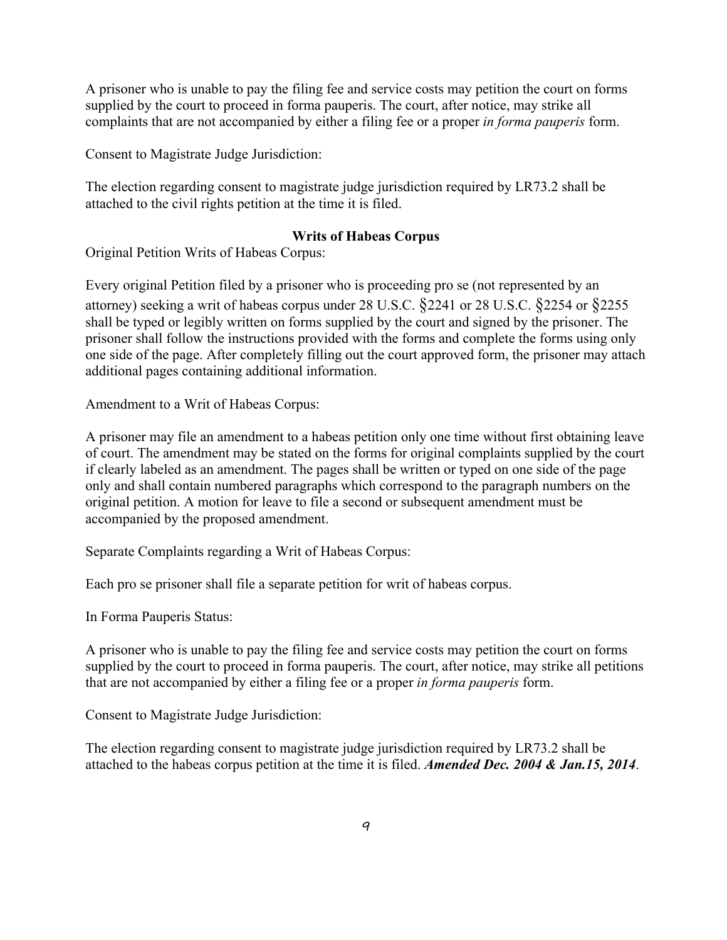A prisoner who is unable to pay the filing fee and service costs may petition the court on forms supplied by the court to proceed in forma pauperis. The court, after notice, may strike all complaints that are not accompanied by either a filing fee or a proper *in forma pauperis* form.

Consent to Magistrate Judge Jurisdiction:

The election regarding consent to magistrate judge jurisdiction required by LR73.2 shall be attached to the civil rights petition at the time it is filed.

### **Writs of Habeas Corpus**

Original Petition Writs of Habeas Corpus:

Every original Petition filed by a prisoner who is proceeding pro se (not represented by an attorney) seeking a writ of habeas corpus under 28 U.S.C. §2241 or 28 U.S.C. §2254 or §2255 shall be typed or legibly written on forms supplied by the court and signed by the prisoner. The prisoner shall follow the instructions provided with the forms and complete the forms using only one side of the page. After completely filling out the court approved form, the prisoner may attach additional pages containing additional information.

Amendment to a Writ of Habeas Corpus:

A prisoner may file an amendment to a habeas petition only one time without first obtaining leave of court. The amendment may be stated on the forms for original complaints supplied by the court if clearly labeled as an amendment. The pages shall be written or typed on one side of the page only and shall contain numbered paragraphs which correspond to the paragraph numbers on the original petition. A motion for leave to file a second or subsequent amendment must be accompanied by the proposed amendment.

Separate Complaints regarding a Writ of Habeas Corpus:

Each pro se prisoner shall file a separate petition for writ of habeas corpus.

In Forma Pauperis Status:

A prisoner who is unable to pay the filing fee and service costs may petition the court on forms supplied by the court to proceed in forma pauperis. The court, after notice, may strike all petitions that are not accompanied by either a filing fee or a proper *in forma pauperis* form.

Consent to Magistrate Judge Jurisdiction:

The election regarding consent to magistrate judge jurisdiction required by LR73.2 shall be attached to the habeas corpus petition at the time it is filed. *Amended Dec. 2004 & Jan.15, 2014*.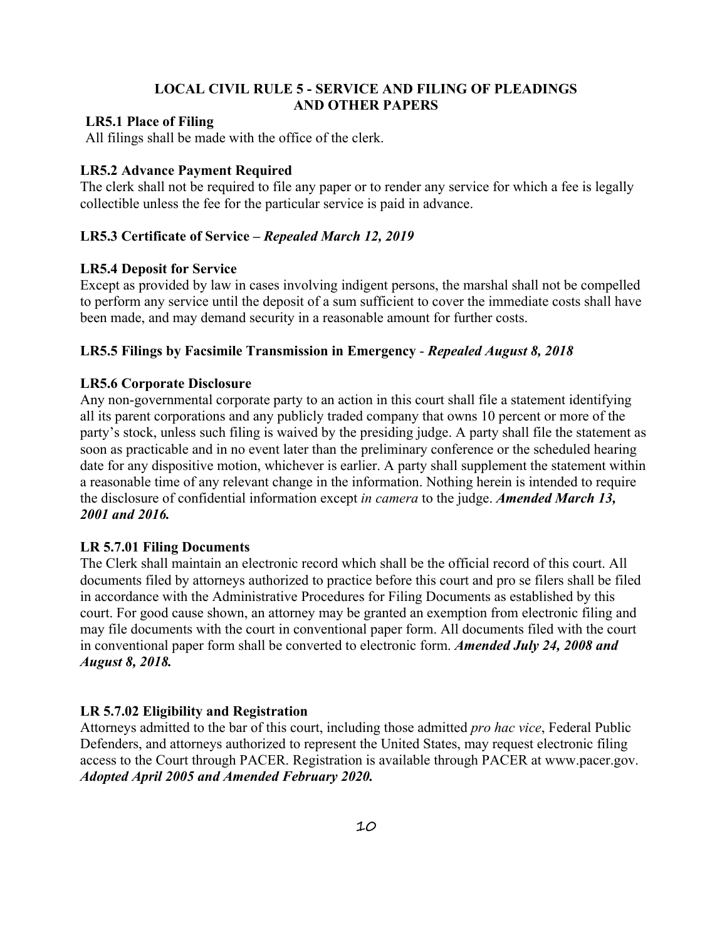## **LOCAL CIVIL RULE 5 - SERVICE AND FILING OF PLEADINGS AND OTHER PAPERS**

## **LR5.1 Place of Filing**

All filings shall be made with the office of the clerk.

# **LR5.2 Advance Payment Required**

The clerk shall not be required to file any paper or to render any service for which a fee is legally collectible unless the fee for the particular service is paid in advance.

# **LR5.3 Certificate of Service –** *Repealed March 12, 2019*

## **LR5.4 Deposit for Service**

Except as provided by law in cases involving indigent persons, the marshal shall not be compelled to perform any service until the deposit of a sum sufficient to cover the immediate costs shall have been made, and may demand security in a reasonable amount for further costs.

## **LR5.5 Filings by Facsimile Transmission in Emergency** - *Repealed August 8, 2018*

# **LR5.6 Corporate Disclosure**

Any non-governmental corporate party to an action in this court shall file a statement identifying all its parent corporations and any publicly traded company that owns 10 percent or more of the party's stock, unless such filing is waived by the presiding judge. A party shall file the statement as soon as practicable and in no event later than the preliminary conference or the scheduled hearing date for any dispositive motion, whichever is earlier. A party shall supplement the statement within a reasonable time of any relevant change in the information. Nothing herein is intended to require the disclosure of confidential information except *in camera* to the judge. *Amended March 13, 2001 and 2016.*

## **LR 5.7.01 Filing Documents**

The Clerk shall maintain an electronic record which shall be the official record of this court. All documents filed by attorneys authorized to practice before this court and pro se filers shall be filed in accordance with the Administrative Procedures for Filing Documents as established by this court. For good cause shown, an attorney may be granted an exemption from electronic filing and may file documents with the court in conventional paper form. All documents filed with the court in conventional paper form shall be converted to electronic form. *Amended July 24, 2008 and August 8, 2018.*

# **LR 5.7.02 Eligibility and Registration**

Attorneys admitted to the bar of this court, including those admitted *pro hac vice*, Federal Public Defenders, and attorneys authorized to represent the United States, may request electronic filing access to the Court through PACER. Registration is available through PACER at www.pacer.gov. *Adopted April 2005 and Amended February 2020.*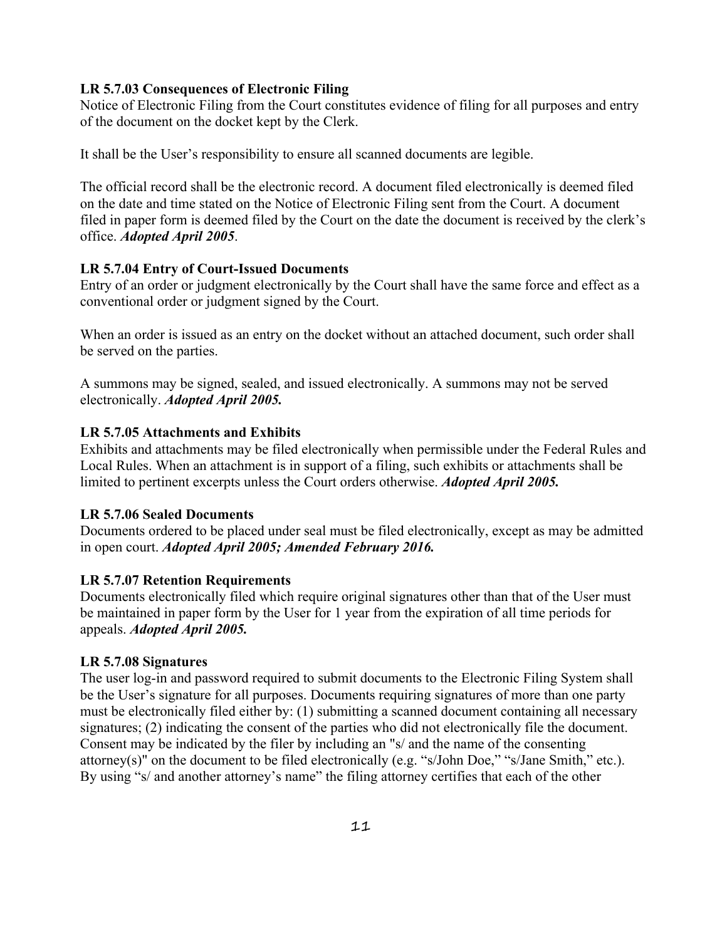## **LR 5.7.03 Consequences of Electronic Filing**

Notice of Electronic Filing from the Court constitutes evidence of filing for all purposes and entry of the document on the docket kept by the Clerk.

It shall be the User's responsibility to ensure all scanned documents are legible.

The official record shall be the electronic record. A document filed electronically is deemed filed on the date and time stated on the Notice of Electronic Filing sent from the Court. A document filed in paper form is deemed filed by the Court on the date the document is received by the clerk's office. *Adopted April 2005*.

### **LR 5.7.04 Entry of Court-Issued Documents**

Entry of an order or judgment electronically by the Court shall have the same force and effect as a conventional order or judgment signed by the Court.

When an order is issued as an entry on the docket without an attached document, such order shall be served on the parties.

A summons may be signed, sealed, and issued electronically. A summons may not be served electronically. *Adopted April 2005.*

### **LR 5.7.05 Attachments and Exhibits**

Exhibits and attachments may be filed electronically when permissible under the Federal Rules and Local Rules. When an attachment is in support of a filing, such exhibits or attachments shall be limited to pertinent excerpts unless the Court orders otherwise. *Adopted April 2005.*

## **LR 5.7.06 Sealed Documents**

Documents ordered to be placed under seal must be filed electronically, except as may be admitted in open court. *Adopted April 2005; Amended February 2016.*

## **LR 5.7.07 Retention Requirements**

Documents electronically filed which require original signatures other than that of the User must be maintained in paper form by the User for 1 year from the expiration of all time periods for appeals. *Adopted April 2005.* 

### **LR 5.7.08 Signatures**

The user log-in and password required to submit documents to the Electronic Filing System shall be the User's signature for all purposes. Documents requiring signatures of more than one party must be electronically filed either by: (1) submitting a scanned document containing all necessary signatures; (2) indicating the consent of the parties who did not electronically file the document. Consent may be indicated by the filer by including an "s/ and the name of the consenting attorney(s)" on the document to be filed electronically (e.g. "s/John Doe," "s/Jane Smith," etc.). By using "s/ and another attorney's name" the filing attorney certifies that each of the other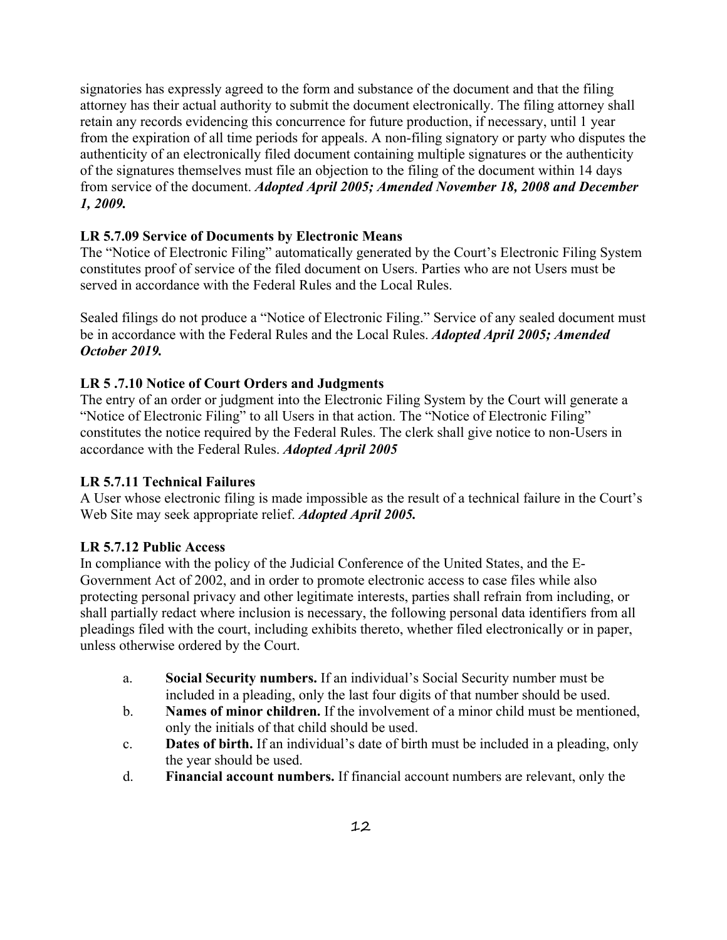signatories has expressly agreed to the form and substance of the document and that the filing attorney has their actual authority to submit the document electronically. The filing attorney shall retain any records evidencing this concurrence for future production, if necessary, until 1 year from the expiration of all time periods for appeals. A non-filing signatory or party who disputes the authenticity of an electronically filed document containing multiple signatures or the authenticity of the signatures themselves must file an objection to the filing of the document within 14 days from service of the document. *Adopted April 2005; Amended November 18, 2008 and December 1, 2009.*

## **LR 5.7.09 Service of Documents by Electronic Means**

The "Notice of Electronic Filing" automatically generated by the Court's Electronic Filing System constitutes proof of service of the filed document on Users. Parties who are not Users must be served in accordance with the Federal Rules and the Local Rules.

Sealed filings do not produce a "Notice of Electronic Filing." Service of any sealed document must be in accordance with the Federal Rules and the Local Rules. *Adopted April 2005; Amended October 2019.*

# **LR 5 .7.10 Notice of Court Orders and Judgments**

The entry of an order or judgment into the Electronic Filing System by the Court will generate a "Notice of Electronic Filing" to all Users in that action. The "Notice of Electronic Filing" constitutes the notice required by the Federal Rules. The clerk shall give notice to non-Users in accordance with the Federal Rules. *Adopted April 2005*

## **LR 5.7.11 Technical Failures**

A User whose electronic filing is made impossible as the result of a technical failure in the Court's Web Site may seek appropriate relief. *Adopted April 2005.*

## **LR 5.7.12 Public Access**

In compliance with the policy of the Judicial Conference of the United States, and the E-Government Act of 2002, and in order to promote electronic access to case files while also protecting personal privacy and other legitimate interests, parties shall refrain from including, or shall partially redact where inclusion is necessary, the following personal data identifiers from all pleadings filed with the court, including exhibits thereto, whether filed electronically or in paper, unless otherwise ordered by the Court.

- a. **Social Security numbers.** If an individual's Social Security number must be included in a pleading, only the last four digits of that number should be used.
- b. **Names of minor children.** If the involvement of a minor child must be mentioned, only the initials of that child should be used.
- c. **Dates of birth.** If an individual's date of birth must be included in a pleading, only the year should be used.
- d. **Financial account numbers.** If financial account numbers are relevant, only the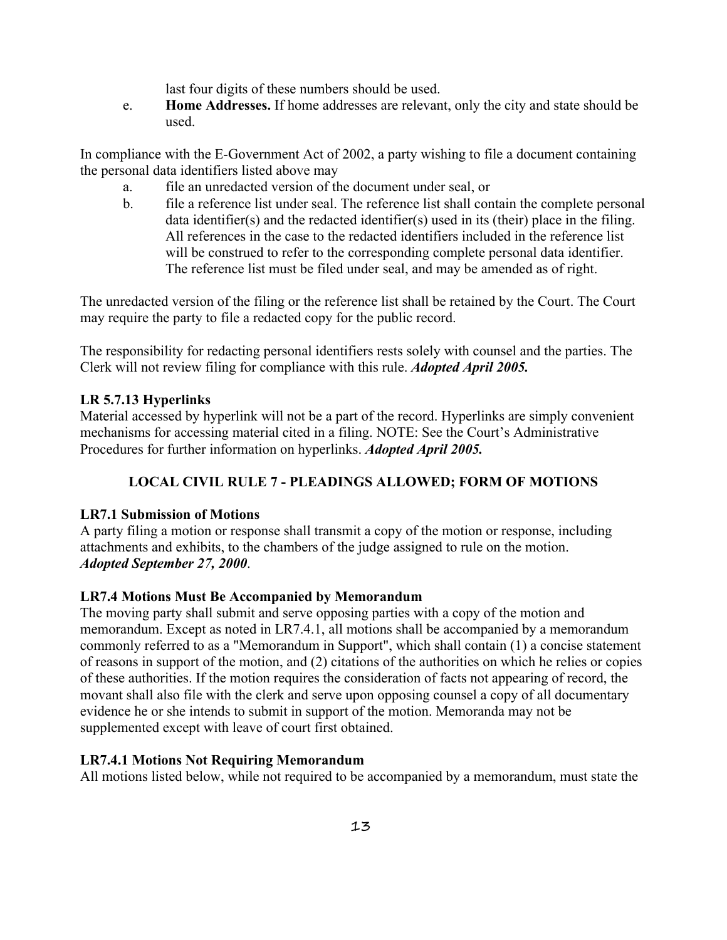last four digits of these numbers should be used.

e. **Home Addresses.** If home addresses are relevant, only the city and state should be used.

In compliance with the E-Government Act of 2002, a party wishing to file a document containing the personal data identifiers listed above may

- a. file an unredacted version of the document under seal, or
- b. file a reference list under seal. The reference list shall contain the complete personal data identifier(s) and the redacted identifier(s) used in its (their) place in the filing. All references in the case to the redacted identifiers included in the reference list will be construed to refer to the corresponding complete personal data identifier. The reference list must be filed under seal, and may be amended as of right.

The unredacted version of the filing or the reference list shall be retained by the Court. The Court may require the party to file a redacted copy for the public record.

The responsibility for redacting personal identifiers rests solely with counsel and the parties. The Clerk will not review filing for compliance with this rule. *Adopted April 2005.*

# **LR 5.7.13 Hyperlinks**

Material accessed by hyperlink will not be a part of the record. Hyperlinks are simply convenient mechanisms for accessing material cited in a filing. NOTE: See the Court's Administrative Procedures for further information on hyperlinks. *Adopted April 2005.*

# **LOCAL CIVIL RULE 7 - PLEADINGS ALLOWED; FORM OF MOTIONS**

## **LR7.1 Submission of Motions**

A party filing a motion or response shall transmit a copy of the motion or response, including attachments and exhibits, to the chambers of the judge assigned to rule on the motion. *Adopted September 27, 2000*.

# **LR7.4 Motions Must Be Accompanied by Memorandum**

The moving party shall submit and serve opposing parties with a copy of the motion and memorandum. Except as noted in LR7.4.1, all motions shall be accompanied by a memorandum commonly referred to as a "Memorandum in Support", which shall contain (1) a concise statement of reasons in support of the motion, and (2) citations of the authorities on which he relies or copies of these authorities. If the motion requires the consideration of facts not appearing of record, the movant shall also file with the clerk and serve upon opposing counsel a copy of all documentary evidence he or she intends to submit in support of the motion. Memoranda may not be supplemented except with leave of court first obtained.

# **LR7.4.1 Motions Not Requiring Memorandum**

All motions listed below, while not required to be accompanied by a memorandum, must state the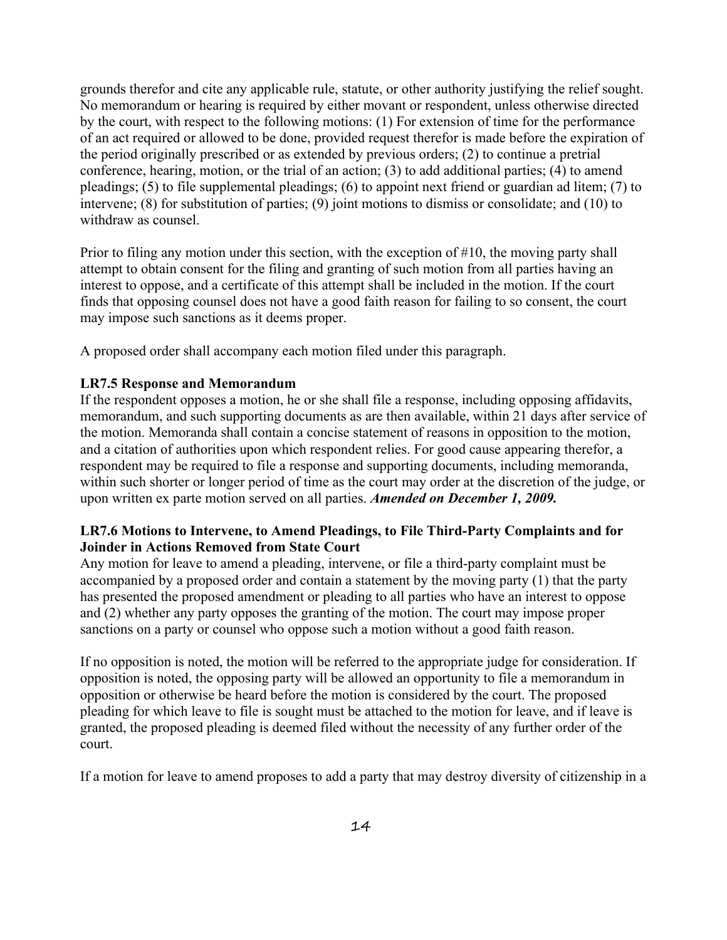grounds therefor and cite any applicable rule, statute, or other authority justifying the relief sought. No memorandum or hearing is required by either movant or respondent, unless otherwise directed by the court, with respect to the following motions: (1) For extension of time for the performance of an act required or allowed to be done, provided request therefor is made before the expiration of the period originally prescribed or as extended by previous orders; (2) to continue a pretrial conference, hearing, motion, or the trial of an action; (3) to add additional parties; (4) to amend pleadings; (5) to file supplemental pleadings; (6) to appoint next friend or guardian ad litem; (7) to intervene; (8) for substitution of parties; (9) joint motions to dismiss or consolidate; and (10) to withdraw as counsel.

Prior to filing any motion under this section, with the exception of #10, the moving party shall attempt to obtain consent for the filing and granting of such motion from all parties having an interest to oppose, and a certificate of this attempt shall be included in the motion. If the court finds that opposing counsel does not have a good faith reason for failing to so consent, the court may impose such sanctions as it deems proper.

A proposed order shall accompany each motion filed under this paragraph.

#### **LR7.5 Response and Memorandum**

If the respondent opposes a motion, he or she shall file a response, including opposing affidavits, memorandum, and such supporting documents as are then available, within 21 days after service of the motion. Memoranda shall contain a concise statement of reasons in opposition to the motion, and a citation of authorities upon which respondent relies. For good cause appearing therefor, a respondent may be required to file a response and supporting documents, including memoranda, within such shorter or longer period of time as the court may order at the discretion of the judge, or upon written ex parte motion served on all parties. *Amended on December 1, 2009.*

## **LR7.6 Motions to Intervene, to Amend Pleadings, to File Third-Party Complaints and for Joinder in Actions Removed from State Court**

Any motion for leave to amend a pleading, intervene, or file a third-party complaint must be accompanied by a proposed order and contain a statement by the moving party (1) that the party has presented the proposed amendment or pleading to all parties who have an interest to oppose and (2) whether any party opposes the granting of the motion. The court may impose proper sanctions on a party or counsel who oppose such a motion without a good faith reason.

If no opposition is noted, the motion will be referred to the appropriate judge for consideration. If opposition is noted, the opposing party will be allowed an opportunity to file a memorandum in opposition or otherwise be heard before the motion is considered by the court. The proposed pleading for which leave to file is sought must be attached to the motion for leave, and if leave is granted, the proposed pleading is deemed filed without the necessity of any further order of the court.

If a motion for leave to amend proposes to add a party that may destroy diversity of citizenship in a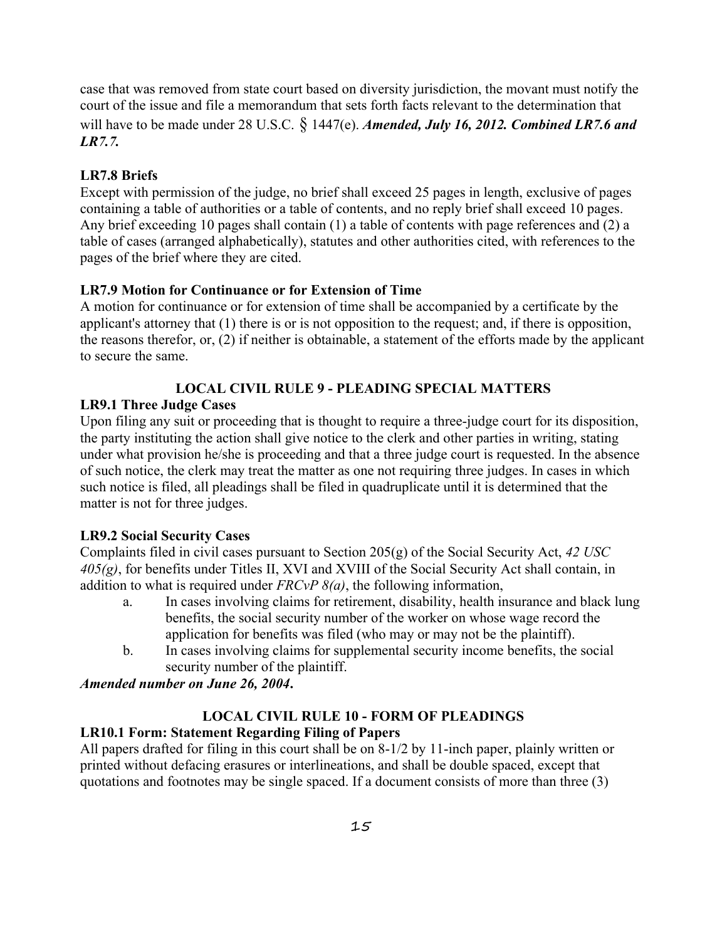case that was removed from state court based on diversity jurisdiction, the movant must notify the court of the issue and file a memorandum that sets forth facts relevant to the determination that will have to be made under 28 U.S.C. § 1447(e). *Amended, July 16, 2012. Combined LR7.6 and LR7.7.*

# **LR7.8 Briefs**

Except with permission of the judge, no brief shall exceed 25 pages in length, exclusive of pages containing a table of authorities or a table of contents, and no reply brief shall exceed 10 pages. Any brief exceeding 10 pages shall contain (1) a table of contents with page references and (2) a table of cases (arranged alphabetically), statutes and other authorities cited, with references to the pages of the brief where they are cited.

## **LR7.9 Motion for Continuance or for Extension of Time**

A motion for continuance or for extension of time shall be accompanied by a certificate by the applicant's attorney that (1) there is or is not opposition to the request; and, if there is opposition, the reasons therefor, or, (2) if neither is obtainable, a statement of the efforts made by the applicant to secure the same.

# **LOCAL CIVIL RULE 9 - PLEADING SPECIAL MATTERS**

# **LR9.1 Three Judge Cases**

Upon filing any suit or proceeding that is thought to require a three-judge court for its disposition, the party instituting the action shall give notice to the clerk and other parties in writing, stating under what provision he/she is proceeding and that a three judge court is requested. In the absence of such notice, the clerk may treat the matter as one not requiring three judges. In cases in which such notice is filed, all pleadings shall be filed in quadruplicate until it is determined that the matter is not for three judges.

## **LR9.2 Social Security Cases**

Complaints filed in civil cases pursuant to Section 205(g) of the Social Security Act, *42 USC 405(g)*, for benefits under Titles II, XVI and XVIII of the Social Security Act shall contain, in addition to what is required under *FRCvP 8(a)*, the following information,

- a. In cases involving claims for retirement, disability, health insurance and black lung benefits, the social security number of the worker on whose wage record the application for benefits was filed (who may or may not be the plaintiff).
- b. In cases involving claims for supplemental security income benefits, the social security number of the plaintiff.

# *Amended number on June 26, 2004***.**

## **LOCAL CIVIL RULE 10 - FORM OF PLEADINGS LR10.1 Form: Statement Regarding Filing of Papers**

All papers drafted for filing in this court shall be on 8-1/2 by 11-inch paper, plainly written or printed without defacing erasures or interlineations, and shall be double spaced, except that quotations and footnotes may be single spaced. If a document consists of more than three (3)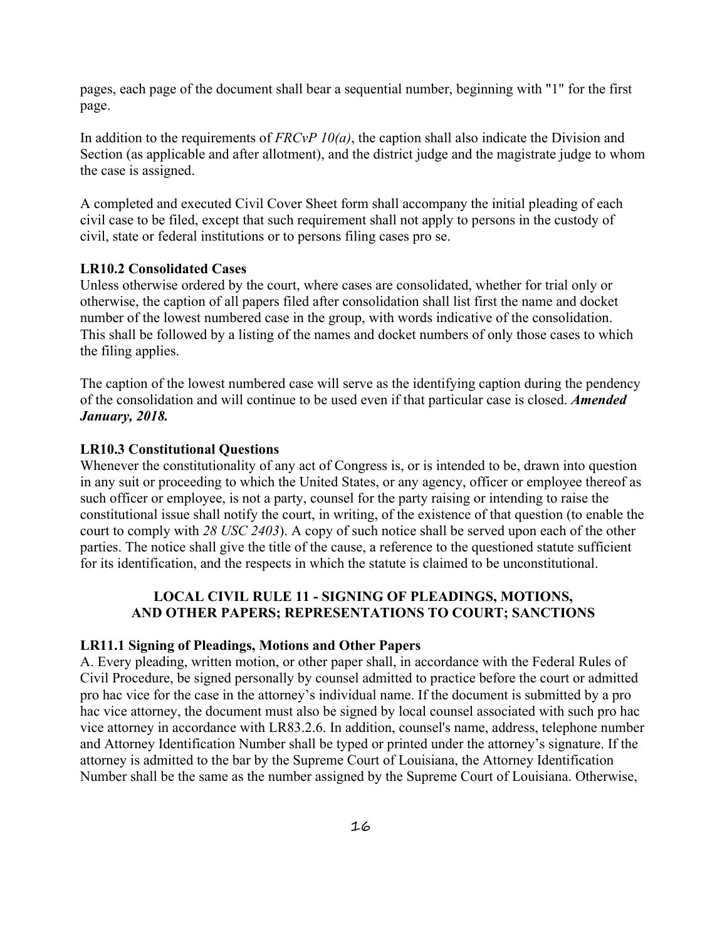pages, each page of the document shall bear a sequential number, beginning with "1" for the first page.

In addition to the requirements of *FRCvP 10(a)*, the caption shall also indicate the Division and Section (as applicable and after allotment), and the district judge and the magistrate judge to whom the case is assigned.

A completed and executed Civil Cover Sheet form shall accompany the initial pleading of each civil case to be filed, except that such requirement shall not apply to persons in the custody of civil, state or federal institutions or to persons filing cases pro se.

## **LR10.2 Consolidated Cases**

Unless otherwise ordered by the court, where cases are consolidated, whether for trial only or otherwise, the caption of all papers filed after consolidation shall list first the name and docket number of the lowest numbered case in the group, with words indicative of the consolidation. This shall be followed by a listing of the names and docket numbers of only those cases to which the filing applies.

The caption of the lowest numbered case will serve as the identifying caption during the pendency of the consolidation and will continue to be used even if that particular case is closed. *Amended January, 2018.* 

#### **LR10.3 Constitutional Questions**

Whenever the constitutionality of any act of Congress is, or is intended to be, drawn into question in any suit or proceeding to which the United States, or any agency, officer or employee thereof as such officer or employee, is not a party, counsel for the party raising or intending to raise the constitutional issue shall notify the court, in writing, of the existence of that question (to enable the court to comply with *28 USC 2403*). A copy of such notice shall be served upon each of the other parties. The notice shall give the title of the cause, a reference to the questioned statute sufficient for its identification, and the respects in which the statute is claimed to be unconstitutional.

## **LOCAL CIVIL RULE 11 - SIGNING OF PLEADINGS, MOTIONS, AND OTHER PAPERS; REPRESENTATIONS TO COURT; SANCTIONS**

#### **LR11.1 Signing of Pleadings, Motions and Other Papers**

A. Every pleading, written motion, or other paper shall, in accordance with the Federal Rules of Civil Procedure, be signed personally by counsel admitted to practice before the court or admitted pro hac vice for the case in the attorney's individual name. If the document is submitted by a pro hac vice attorney, the document must also be signed by local counsel associated with such pro hac vice attorney in accordance with LR83.2.6. In addition, counsel's name, address, telephone number and Attorney Identification Number shall be typed or printed under the attorney's signature. If the attorney is admitted to the bar by the Supreme Court of Louisiana, the Attorney Identification Number shall be the same as the number assigned by the Supreme Court of Louisiana. Otherwise,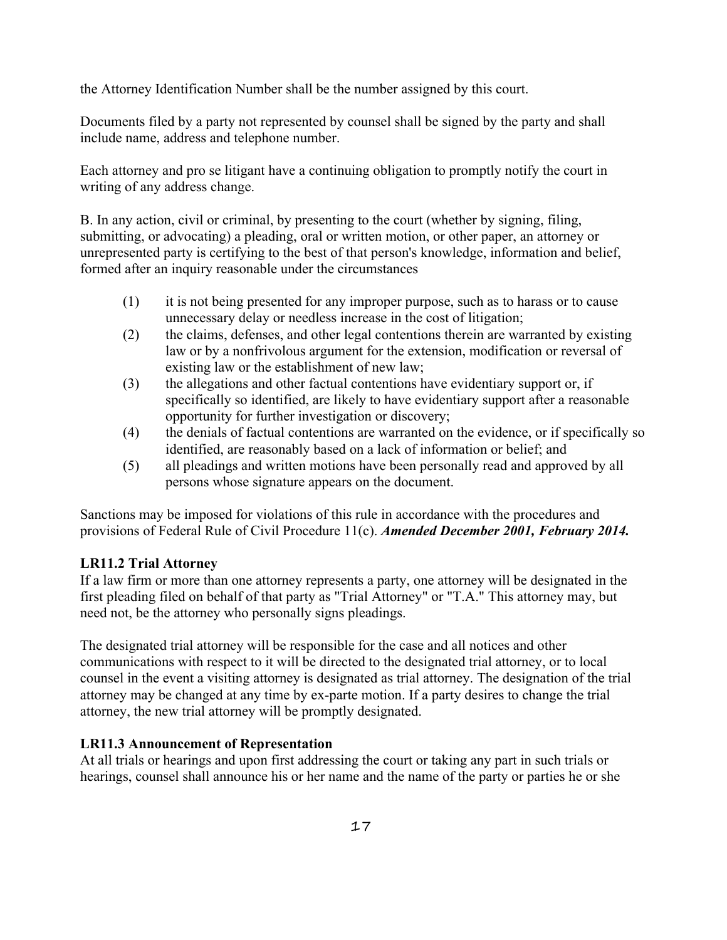the Attorney Identification Number shall be the number assigned by this court.

Documents filed by a party not represented by counsel shall be signed by the party and shall include name, address and telephone number.

Each attorney and pro se litigant have a continuing obligation to promptly notify the court in writing of any address change.

B. In any action, civil or criminal, by presenting to the court (whether by signing, filing, submitting, or advocating) a pleading, oral or written motion, or other paper, an attorney or unrepresented party is certifying to the best of that person's knowledge, information and belief, formed after an inquiry reasonable under the circumstances

- (1) it is not being presented for any improper purpose, such as to harass or to cause unnecessary delay or needless increase in the cost of litigation;
- (2) the claims, defenses, and other legal contentions therein are warranted by existing law or by a nonfrivolous argument for the extension, modification or reversal of existing law or the establishment of new law;
- (3) the allegations and other factual contentions have evidentiary support or, if specifically so identified, are likely to have evidentiary support after a reasonable opportunity for further investigation or discovery;
- (4) the denials of factual contentions are warranted on the evidence, or if specifically so identified, are reasonably based on a lack of information or belief; and
- (5) all pleadings and written motions have been personally read and approved by all persons whose signature appears on the document.

Sanctions may be imposed for violations of this rule in accordance with the procedures and provisions of Federal Rule of Civil Procedure 11(c). *Amended December 2001, February 2014.*

# **LR11.2 Trial Attorney**

If a law firm or more than one attorney represents a party, one attorney will be designated in the first pleading filed on behalf of that party as "Trial Attorney" or "T.A." This attorney may, but need not, be the attorney who personally signs pleadings.

The designated trial attorney will be responsible for the case and all notices and other communications with respect to it will be directed to the designated trial attorney, or to local counsel in the event a visiting attorney is designated as trial attorney. The designation of the trial attorney may be changed at any time by ex-parte motion. If a party desires to change the trial attorney, the new trial attorney will be promptly designated.

# **LR11.3 Announcement of Representation**

At all trials or hearings and upon first addressing the court or taking any part in such trials or hearings, counsel shall announce his or her name and the name of the party or parties he or she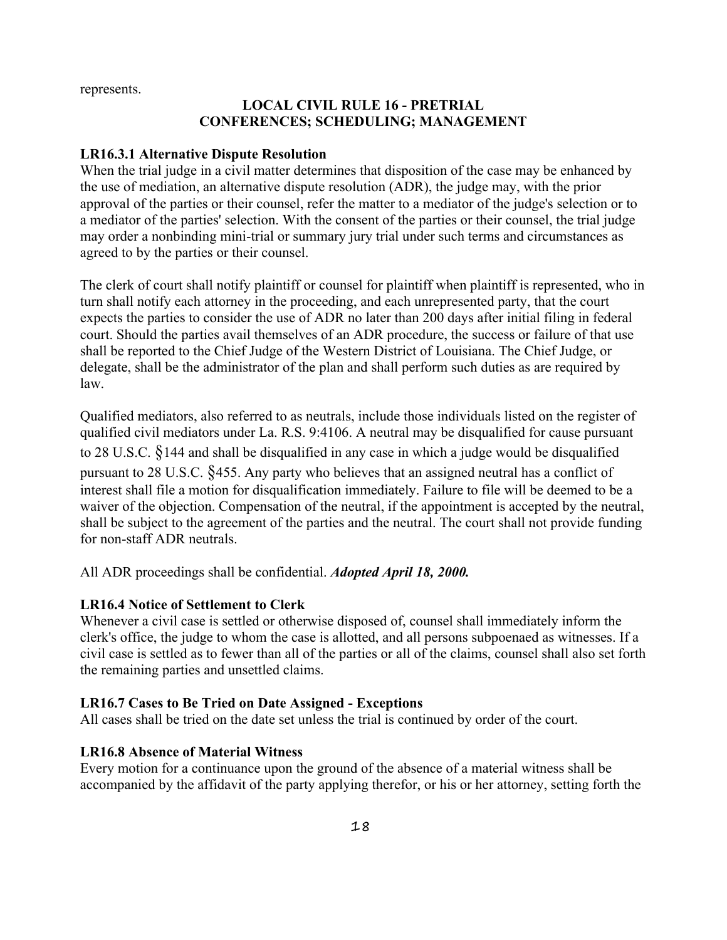represents.

# **LOCAL CIVIL RULE 16 - PRETRIAL CONFERENCES; SCHEDULING; MANAGEMENT**

### **LR16.3.1 Alternative Dispute Resolution**

When the trial judge in a civil matter determines that disposition of the case may be enhanced by the use of mediation, an alternative dispute resolution (ADR), the judge may, with the prior approval of the parties or their counsel, refer the matter to a mediator of the judge's selection or to a mediator of the parties' selection. With the consent of the parties or their counsel, the trial judge may order a nonbinding mini-trial or summary jury trial under such terms and circumstances as agreed to by the parties or their counsel.

The clerk of court shall notify plaintiff or counsel for plaintiff when plaintiff is represented, who in turn shall notify each attorney in the proceeding, and each unrepresented party, that the court expects the parties to consider the use of ADR no later than 200 days after initial filing in federal court. Should the parties avail themselves of an ADR procedure, the success or failure of that use shall be reported to the Chief Judge of the Western District of Louisiana. The Chief Judge, or delegate, shall be the administrator of the plan and shall perform such duties as are required by law.

Qualified mediators, also referred to as neutrals, include those individuals listed on the register of qualified civil mediators under La. R.S. 9:4106. A neutral may be disqualified for cause pursuant to 28 U.S.C. §144 and shall be disqualified in any case in which a judge would be disqualified pursuant to 28 U.S.C. §455. Any party who believes that an assigned neutral has a conflict of interest shall file a motion for disqualification immediately. Failure to file will be deemed to be a waiver of the objection. Compensation of the neutral, if the appointment is accepted by the neutral, shall be subject to the agreement of the parties and the neutral. The court shall not provide funding for non-staff ADR neutrals.

All ADR proceedings shall be confidential. *Adopted April 18, 2000.*

#### **LR16.4 Notice of Settlement to Clerk**

Whenever a civil case is settled or otherwise disposed of, counsel shall immediately inform the clerk's office, the judge to whom the case is allotted, and all persons subpoenaed as witnesses. If a civil case is settled as to fewer than all of the parties or all of the claims, counsel shall also set forth the remaining parties and unsettled claims.

#### **LR16.7 Cases to Be Tried on Date Assigned - Exceptions**

All cases shall be tried on the date set unless the trial is continued by order of the court.

#### **LR16.8 Absence of Material Witness**

Every motion for a continuance upon the ground of the absence of a material witness shall be accompanied by the affidavit of the party applying therefor, or his or her attorney, setting forth the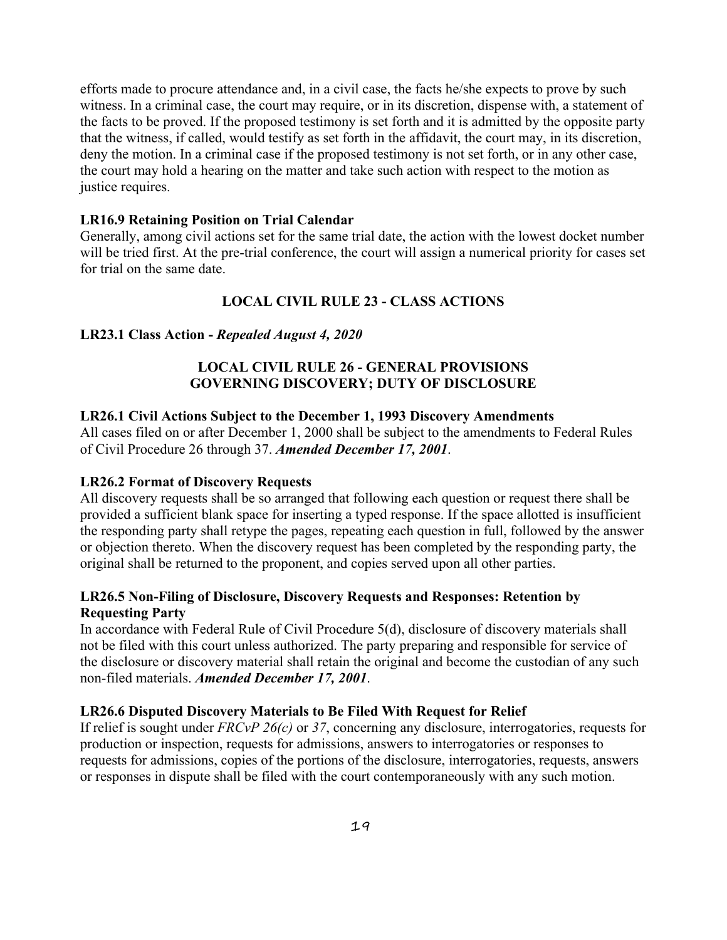efforts made to procure attendance and, in a civil case, the facts he/she expects to prove by such witness. In a criminal case, the court may require, or in its discretion, dispense with, a statement of the facts to be proved. If the proposed testimony is set forth and it is admitted by the opposite party that the witness, if called, would testify as set forth in the affidavit, the court may, in its discretion, deny the motion. In a criminal case if the proposed testimony is not set forth, or in any other case, the court may hold a hearing on the matter and take such action with respect to the motion as justice requires.

### **LR16.9 Retaining Position on Trial Calendar**

Generally, among civil actions set for the same trial date, the action with the lowest docket number will be tried first. At the pre-trial conference, the court will assign a numerical priority for cases set for trial on the same date.

## **LOCAL CIVIL RULE 23 - CLASS ACTIONS**

# **LR23.1 Class Action -** *Repealed August 4, 2020*

## **LOCAL CIVIL RULE 26 - GENERAL PROVISIONS GOVERNING DISCOVERY; DUTY OF DISCLOSURE**

#### **LR26.1 Civil Actions Subject to the December 1, 1993 Discovery Amendments**

All cases filed on or after December 1, 2000 shall be subject to the amendments to Federal Rules of Civil Procedure 26 through 37. *Amended December 17, 2001*.

#### **LR26.2 Format of Discovery Requests**

All discovery requests shall be so arranged that following each question or request there shall be provided a sufficient blank space for inserting a typed response. If the space allotted is insufficient the responding party shall retype the pages, repeating each question in full, followed by the answer or objection thereto. When the discovery request has been completed by the responding party, the original shall be returned to the proponent, and copies served upon all other parties.

## **LR26.5 Non-Filing of Disclosure, Discovery Requests and Responses: Retention by Requesting Party**

In accordance with Federal Rule of Civil Procedure 5(d), disclosure of discovery materials shall not be filed with this court unless authorized. The party preparing and responsible for service of the disclosure or discovery material shall retain the original and become the custodian of any such non-filed materials. *Amended December 17, 2001*.

### **LR26.6 Disputed Discovery Materials to Be Filed With Request for Relief**

If relief is sought under *FRCvP 26(c)* or *37*, concerning any disclosure, interrogatories, requests for production or inspection, requests for admissions, answers to interrogatories or responses to requests for admissions, copies of the portions of the disclosure, interrogatories, requests, answers or responses in dispute shall be filed with the court contemporaneously with any such motion.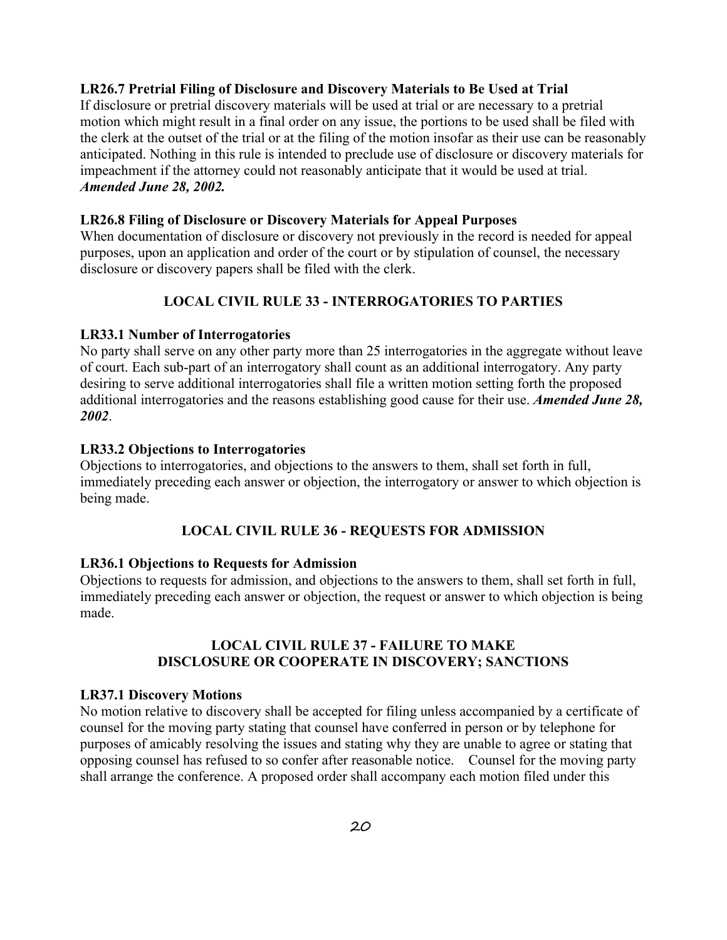### **LR26.7 Pretrial Filing of Disclosure and Discovery Materials to Be Used at Trial**

If disclosure or pretrial discovery materials will be used at trial or are necessary to a pretrial motion which might result in a final order on any issue, the portions to be used shall be filed with the clerk at the outset of the trial or at the filing of the motion insofar as their use can be reasonably anticipated. Nothing in this rule is intended to preclude use of disclosure or discovery materials for impeachment if the attorney could not reasonably anticipate that it would be used at trial. *Amended June 28, 2002.*

### **LR26.8 Filing of Disclosure or Discovery Materials for Appeal Purposes**

When documentation of disclosure or discovery not previously in the record is needed for appeal purposes, upon an application and order of the court or by stipulation of counsel, the necessary disclosure or discovery papers shall be filed with the clerk.

## **LOCAL CIVIL RULE 33 - INTERROGATORIES TO PARTIES**

#### **LR33.1 Number of Interrogatories**

No party shall serve on any other party more than 25 interrogatories in the aggregate without leave of court. Each sub-part of an interrogatory shall count as an additional interrogatory. Any party desiring to serve additional interrogatories shall file a written motion setting forth the proposed additional interrogatories and the reasons establishing good cause for their use. *Amended June 28, 2002*.

#### **LR33.2 Objections to Interrogatories**

Objections to interrogatories, and objections to the answers to them, shall set forth in full, immediately preceding each answer or objection, the interrogatory or answer to which objection is being made.

### **LOCAL CIVIL RULE 36 - REQUESTS FOR ADMISSION**

### **LR36.1 Objections to Requests for Admission**

Objections to requests for admission, and objections to the answers to them, shall set forth in full, immediately preceding each answer or objection, the request or answer to which objection is being made.

# **LOCAL CIVIL RULE 37 - FAILURE TO MAKE DISCLOSURE OR COOPERATE IN DISCOVERY; SANCTIONS**

#### **LR37.1 Discovery Motions**

No motion relative to discovery shall be accepted for filing unless accompanied by a certificate of counsel for the moving party stating that counsel have conferred in person or by telephone for purposes of amicably resolving the issues and stating why they are unable to agree or stating that opposing counsel has refused to so confer after reasonable notice. Counsel for the moving party shall arrange the conference. A proposed order shall accompany each motion filed under this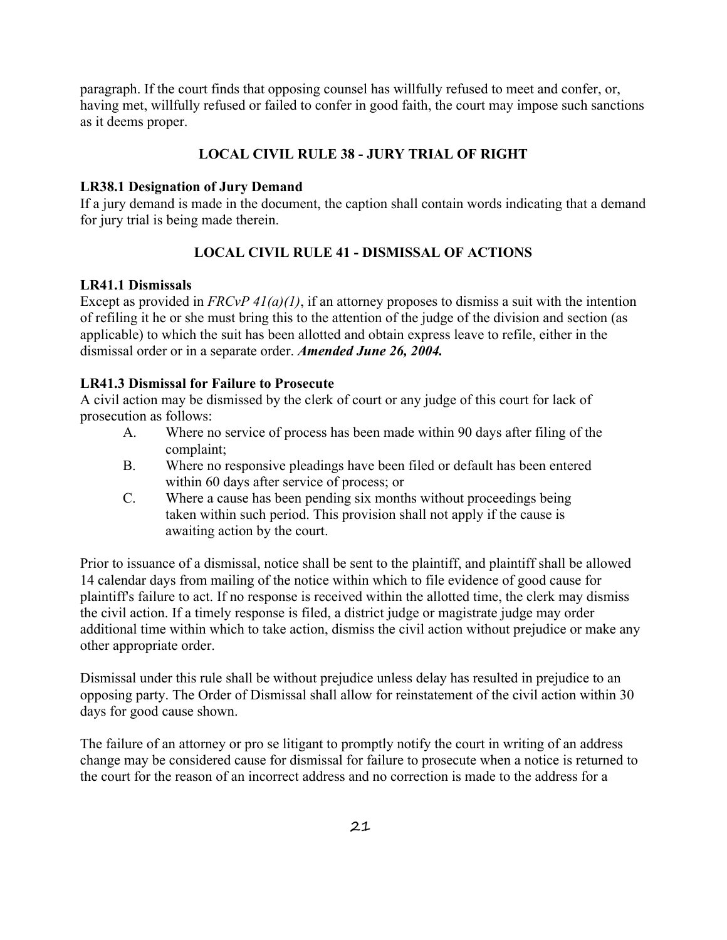paragraph. If the court finds that opposing counsel has willfully refused to meet and confer, or, having met, willfully refused or failed to confer in good faith, the court may impose such sanctions as it deems proper.

## **LOCAL CIVIL RULE 38 - JURY TRIAL OF RIGHT**

### **LR38.1 Designation of Jury Demand**

If a jury demand is made in the document, the caption shall contain words indicating that a demand for jury trial is being made therein.

# **LOCAL CIVIL RULE 41 - DISMISSAL OF ACTIONS**

## **LR41.1 Dismissals**

Except as provided in *FRCvP 41(a)(1)*, if an attorney proposes to dismiss a suit with the intention of refiling it he or she must bring this to the attention of the judge of the division and section (as applicable) to which the suit has been allotted and obtain express leave to refile, either in the dismissal order or in a separate order. *Amended June 26, 2004.*

## **LR41.3 Dismissal for Failure to Prosecute**

A civil action may be dismissed by the clerk of court or any judge of this court for lack of prosecution as follows:

- A. Where no service of process has been made within 90 days after filing of the complaint;
- B. Where no responsive pleadings have been filed or default has been entered within 60 days after service of process; or
- C. Where a cause has been pending six months without proceedings being taken within such period. This provision shall not apply if the cause is awaiting action by the court.

Prior to issuance of a dismissal, notice shall be sent to the plaintiff, and plaintiff shall be allowed 14 calendar days from mailing of the notice within which to file evidence of good cause for plaintiff's failure to act. If no response is received within the allotted time, the clerk may dismiss the civil action. If a timely response is filed, a district judge or magistrate judge may order additional time within which to take action, dismiss the civil action without prejudice or make any other appropriate order.

Dismissal under this rule shall be without prejudice unless delay has resulted in prejudice to an opposing party. The Order of Dismissal shall allow for reinstatement of the civil action within 30 days for good cause shown.

The failure of an attorney or pro se litigant to promptly notify the court in writing of an address change may be considered cause for dismissal for failure to prosecute when a notice is returned to the court for the reason of an incorrect address and no correction is made to the address for a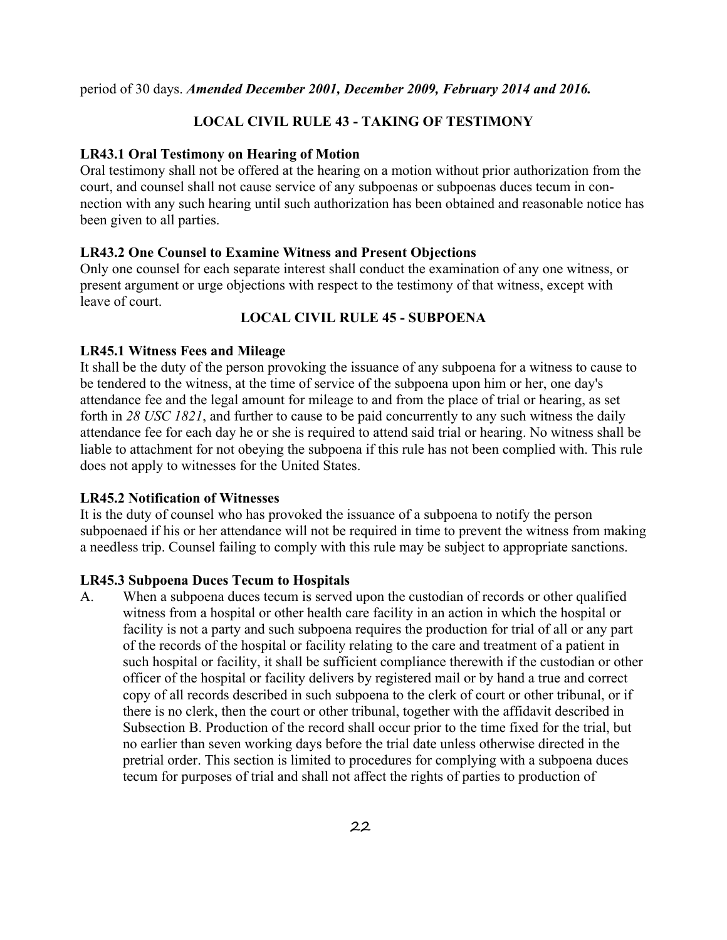### **LOCAL CIVIL RULE 43 - TAKING OF TESTIMONY**

### **LR43.1 Oral Testimony on Hearing of Motion**

Oral testimony shall not be offered at the hearing on a motion without prior authorization from the court, and counsel shall not cause service of any subpoenas or subpoenas duces tecum in connection with any such hearing until such authorization has been obtained and reasonable notice has been given to all parties.

#### **LR43.2 One Counsel to Examine Witness and Present Objections**

Only one counsel for each separate interest shall conduct the examination of any one witness, or present argument or urge objections with respect to the testimony of that witness, except with leave of court.

### **LOCAL CIVIL RULE 45 - SUBPOENA**

#### **LR45.1 Witness Fees and Mileage**

It shall be the duty of the person provoking the issuance of any subpoena for a witness to cause to be tendered to the witness, at the time of service of the subpoena upon him or her, one day's attendance fee and the legal amount for mileage to and from the place of trial or hearing, as set forth in *28 USC 1821*, and further to cause to be paid concurrently to any such witness the daily attendance fee for each day he or she is required to attend said trial or hearing. No witness shall be liable to attachment for not obeying the subpoena if this rule has not been complied with. This rule does not apply to witnesses for the United States.

#### **LR45.2 Notification of Witnesses**

It is the duty of counsel who has provoked the issuance of a subpoena to notify the person subpoenaed if his or her attendance will not be required in time to prevent the witness from making a needless trip. Counsel failing to comply with this rule may be subject to appropriate sanctions.

#### **LR45.3 Subpoena Duces Tecum to Hospitals**

A. When a subpoena duces tecum is served upon the custodian of records or other qualified witness from a hospital or other health care facility in an action in which the hospital or facility is not a party and such subpoena requires the production for trial of all or any part of the records of the hospital or facility relating to the care and treatment of a patient in such hospital or facility, it shall be sufficient compliance therewith if the custodian or other officer of the hospital or facility delivers by registered mail or by hand a true and correct copy of all records described in such subpoena to the clerk of court or other tribunal, or if there is no clerk, then the court or other tribunal, together with the affidavit described in Subsection B. Production of the record shall occur prior to the time fixed for the trial, but no earlier than seven working days before the trial date unless otherwise directed in the pretrial order. This section is limited to procedures for complying with a subpoena duces tecum for purposes of trial and shall not affect the rights of parties to production of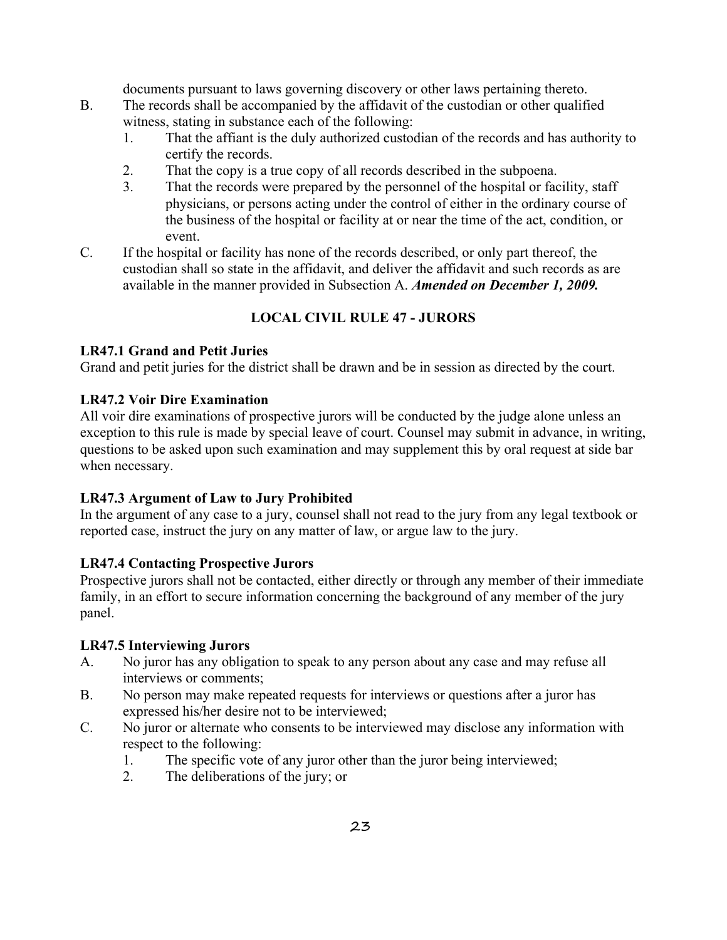documents pursuant to laws governing discovery or other laws pertaining thereto.

- B. The records shall be accompanied by the affidavit of the custodian or other qualified witness, stating in substance each of the following:
	- 1. That the affiant is the duly authorized custodian of the records and has authority to certify the records.
	- 2. That the copy is a true copy of all records described in the subpoena.
	- 3. That the records were prepared by the personnel of the hospital or facility, staff physicians, or persons acting under the control of either in the ordinary course of the business of the hospital or facility at or near the time of the act, condition, or event.
- C. If the hospital or facility has none of the records described, or only part thereof, the custodian shall so state in the affidavit, and deliver the affidavit and such records as are available in the manner provided in Subsection A. *Amended on December 1, 2009.*

# **LOCAL CIVIL RULE 47 - JURORS**

# **LR47.1 Grand and Petit Juries**

Grand and petit juries for the district shall be drawn and be in session as directed by the court.

# **LR47.2 Voir Dire Examination**

All voir dire examinations of prospective jurors will be conducted by the judge alone unless an exception to this rule is made by special leave of court. Counsel may submit in advance, in writing, questions to be asked upon such examination and may supplement this by oral request at side bar when necessary.

# **LR47.3 Argument of Law to Jury Prohibited**

In the argument of any case to a jury, counsel shall not read to the jury from any legal textbook or reported case, instruct the jury on any matter of law, or argue law to the jury.

# **LR47.4 Contacting Prospective Jurors**

Prospective jurors shall not be contacted, either directly or through any member of their immediate family, in an effort to secure information concerning the background of any member of the jury panel.

## **LR47.5 Interviewing Jurors**

- A. No juror has any obligation to speak to any person about any case and may refuse all interviews or comments;
- B. No person may make repeated requests for interviews or questions after a juror has expressed his/her desire not to be interviewed;
- C. No juror or alternate who consents to be interviewed may disclose any information with respect to the following:
	- 1. The specific vote of any juror other than the juror being interviewed;
	- 2. The deliberations of the jury; or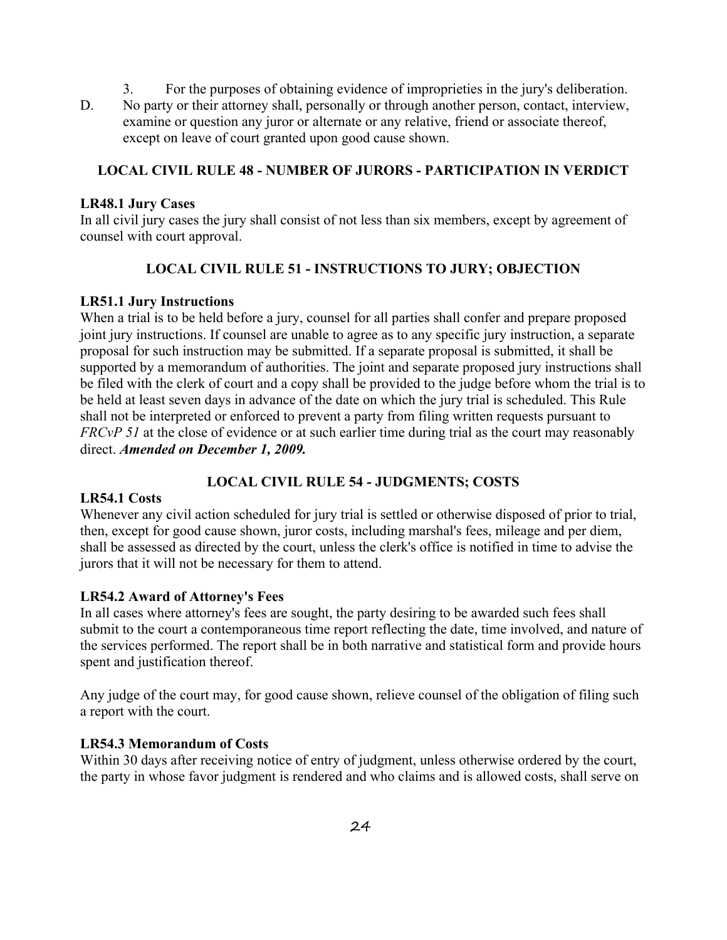- 3. For the purposes of obtaining evidence of improprieties in the jury's deliberation.
- D. No party or their attorney shall, personally or through another person, contact, interview, examine or question any juror or alternate or any relative, friend or associate thereof, except on leave of court granted upon good cause shown.

## **LOCAL CIVIL RULE 48 - NUMBER OF JURORS - PARTICIPATION IN VERDICT**

## **LR48.1 Jury Cases**

In all civil jury cases the jury shall consist of not less than six members, except by agreement of counsel with court approval.

# **LOCAL CIVIL RULE 51 - INSTRUCTIONS TO JURY; OBJECTION**

## **LR51.1 Jury Instructions**

When a trial is to be held before a jury, counsel for all parties shall confer and prepare proposed joint jury instructions. If counsel are unable to agree as to any specific jury instruction, a separate proposal for such instruction may be submitted. If a separate proposal is submitted, it shall be supported by a memorandum of authorities. The joint and separate proposed jury instructions shall be filed with the clerk of court and a copy shall be provided to the judge before whom the trial is to be held at least seven days in advance of the date on which the jury trial is scheduled. This Rule shall not be interpreted or enforced to prevent a party from filing written requests pursuant to *FRCvP 51* at the close of evidence or at such earlier time during trial as the court may reasonably direct. *Amended on December 1, 2009.*

# **LOCAL CIVIL RULE 54 - JUDGMENTS; COSTS**

## **LR54.1 Costs**

Whenever any civil action scheduled for jury trial is settled or otherwise disposed of prior to trial, then, except for good cause shown, juror costs, including marshal's fees, mileage and per diem, shall be assessed as directed by the court, unless the clerk's office is notified in time to advise the jurors that it will not be necessary for them to attend.

## **LR54.2 Award of Attorney's Fees**

In all cases where attorney's fees are sought, the party desiring to be awarded such fees shall submit to the court a contemporaneous time report reflecting the date, time involved, and nature of the services performed. The report shall be in both narrative and statistical form and provide hours spent and justification thereof.

Any judge of the court may, for good cause shown, relieve counsel of the obligation of filing such a report with the court.

### **LR54.3 Memorandum of Costs**

Within 30 days after receiving notice of entry of judgment, unless otherwise ordered by the court, the party in whose favor judgment is rendered and who claims and is allowed costs, shall serve on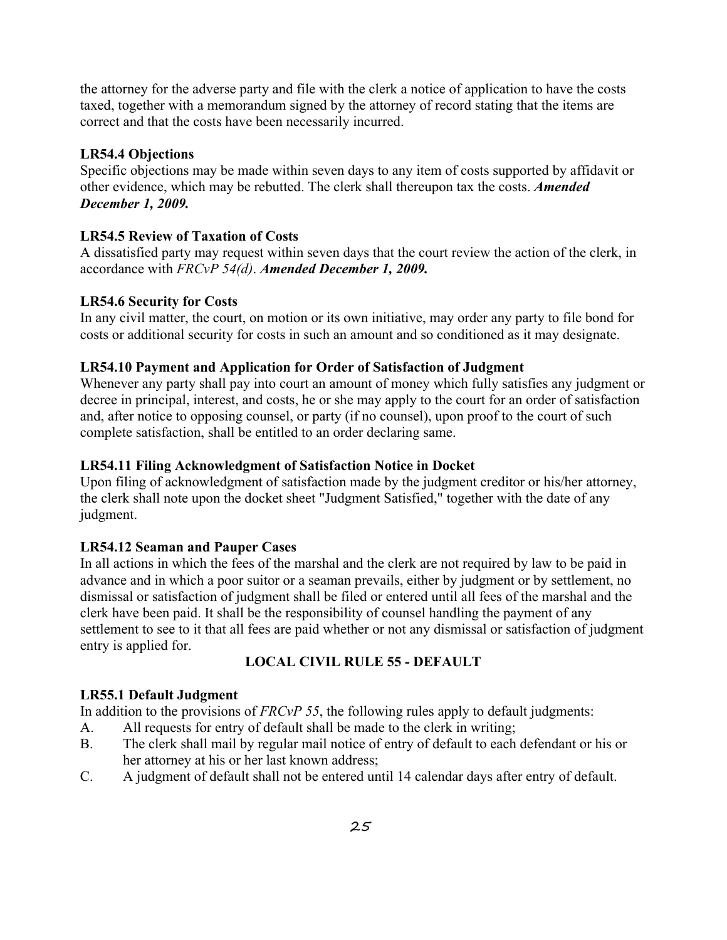the attorney for the adverse party and file with the clerk a notice of application to have the costs taxed, together with a memorandum signed by the attorney of record stating that the items are correct and that the costs have been necessarily incurred.

## **LR54.4 Objections**

Specific objections may be made within seven days to any item of costs supported by affidavit or other evidence, which may be rebutted. The clerk shall thereupon tax the costs. *Amended December 1, 2009.*

## **LR54.5 Review of Taxation of Costs**

A dissatisfied party may request within seven days that the court review the action of the clerk, in accordance with *FRCvP 54(d)*. *Amended December 1, 2009.*

### **LR54.6 Security for Costs**

In any civil matter, the court, on motion or its own initiative, may order any party to file bond for costs or additional security for costs in such an amount and so conditioned as it may designate.

### **LR54.10 Payment and Application for Order of Satisfaction of Judgment**

Whenever any party shall pay into court an amount of money which fully satisfies any judgment or decree in principal, interest, and costs, he or she may apply to the court for an order of satisfaction and, after notice to opposing counsel, or party (if no counsel), upon proof to the court of such complete satisfaction, shall be entitled to an order declaring same.

### **LR54.11 Filing Acknowledgment of Satisfaction Notice in Docket**

Upon filing of acknowledgment of satisfaction made by the judgment creditor or his/her attorney, the clerk shall note upon the docket sheet "Judgment Satisfied," together with the date of any judgment.

### **LR54.12 Seaman and Pauper Cases**

In all actions in which the fees of the marshal and the clerk are not required by law to be paid in advance and in which a poor suitor or a seaman prevails, either by judgment or by settlement, no dismissal or satisfaction of judgment shall be filed or entered until all fees of the marshal and the clerk have been paid. It shall be the responsibility of counsel handling the payment of any settlement to see to it that all fees are paid whether or not any dismissal or satisfaction of judgment entry is applied for.

## **LOCAL CIVIL RULE 55 - DEFAULT**

### **LR55.1 Default Judgment**

In addition to the provisions of *FRCvP 55*, the following rules apply to default judgments:

- A. All requests for entry of default shall be made to the clerk in writing;
- B. The clerk shall mail by regular mail notice of entry of default to each defendant or his or her attorney at his or her last known address;
- C. A judgment of default shall not be entered until 14 calendar days after entry of default.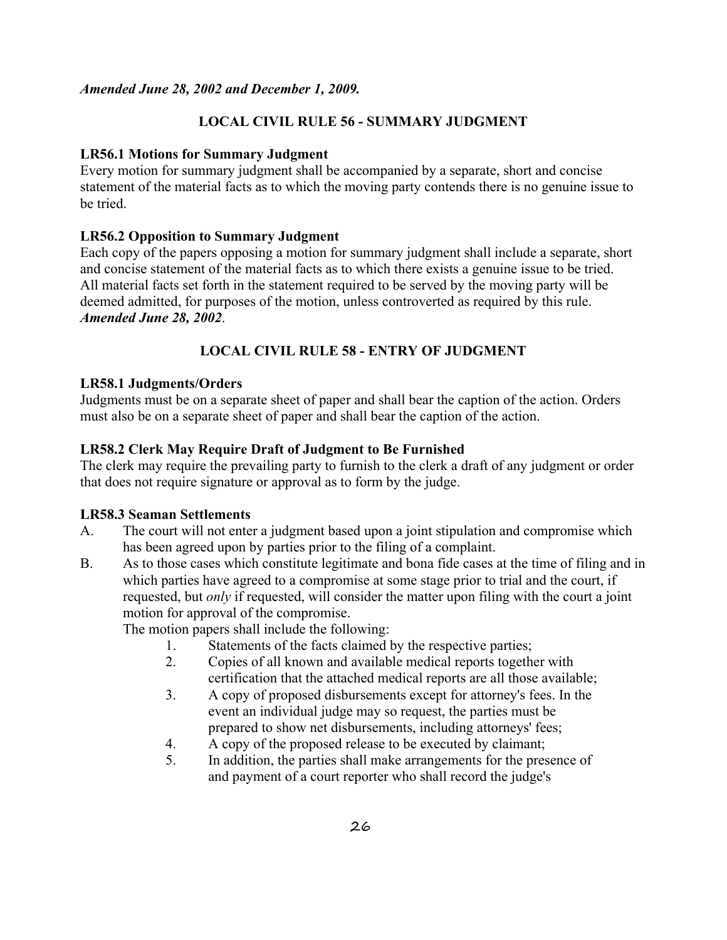### *Amended June 28, 2002 and December 1, 2009.*

## **LOCAL CIVIL RULE 56 - SUMMARY JUDGMENT**

## **LR56.1 Motions for Summary Judgment**

Every motion for summary judgment shall be accompanied by a separate, short and concise statement of the material facts as to which the moving party contends there is no genuine issue to be tried.

## **LR56.2 Opposition to Summary Judgment**

Each copy of the papers opposing a motion for summary judgment shall include a separate, short and concise statement of the material facts as to which there exists a genuine issue to be tried. All material facts set forth in the statement required to be served by the moving party will be deemed admitted, for purposes of the motion, unless controverted as required by this rule. *Amended June 28, 2002*.

# **LOCAL CIVIL RULE 58 - ENTRY OF JUDGMENT**

### **LR58.1 Judgments/Orders**

Judgments must be on a separate sheet of paper and shall bear the caption of the action. Orders must also be on a separate sheet of paper and shall bear the caption of the action.

### **LR58.2 Clerk May Require Draft of Judgment to Be Furnished**

The clerk may require the prevailing party to furnish to the clerk a draft of any judgment or order that does not require signature or approval as to form by the judge.

### **LR58.3 Seaman Settlements**

- A. The court will not enter a judgment based upon a joint stipulation and compromise which has been agreed upon by parties prior to the filing of a complaint.
- B. As to those cases which constitute legitimate and bona fide cases at the time of filing and in which parties have agreed to a compromise at some stage prior to trial and the court, if requested, but *only* if requested, will consider the matter upon filing with the court a joint motion for approval of the compromise.

The motion papers shall include the following:

- 1. Statements of the facts claimed by the respective parties;
- 2. Copies of all known and available medical reports together with certification that the attached medical reports are all those available;
- 3. A copy of proposed disbursements except for attorney's fees. In the event an individual judge may so request, the parties must be prepared to show net disbursements, including attorneys' fees;
- 4. A copy of the proposed release to be executed by claimant;
- 5. In addition, the parties shall make arrangements for the presence of and payment of a court reporter who shall record the judge's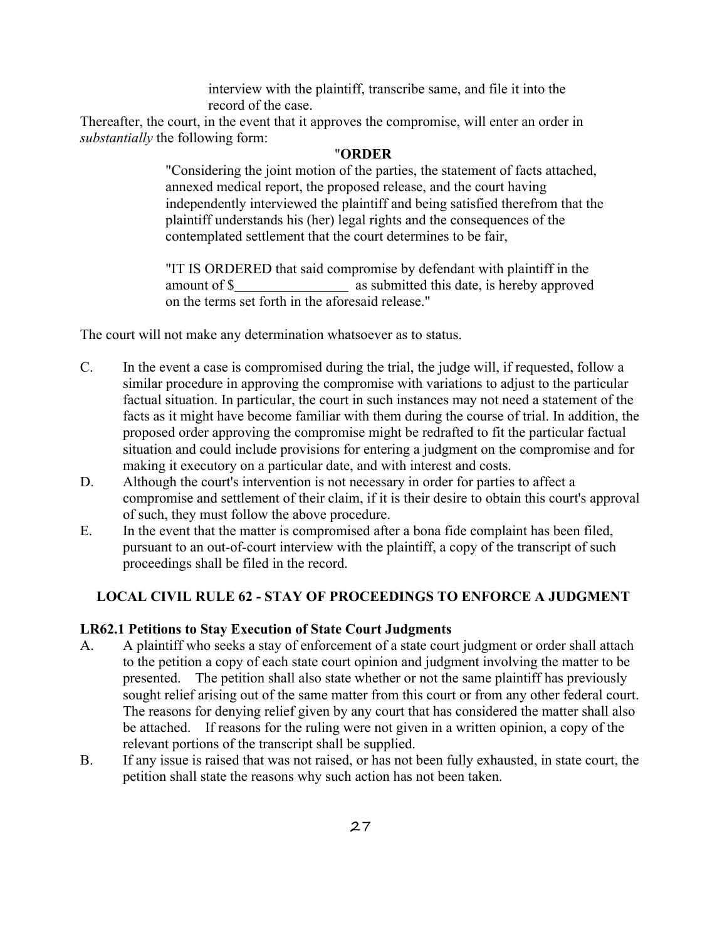interview with the plaintiff, transcribe same, and file it into the record of the case.

Thereafter, the court, in the event that it approves the compromise, will enter an order in *substantially* the following form:

### "**ORDER**

"Considering the joint motion of the parties, the statement of facts attached, annexed medical report, the proposed release, and the court having independently interviewed the plaintiff and being satisfied therefrom that the plaintiff understands his (her) legal rights and the consequences of the contemplated settlement that the court determines to be fair,

"IT IS ORDERED that said compromise by defendant with plaintiff in the amount of \$ as submitted this date, is hereby approved on the terms set forth in the aforesaid release."

The court will not make any determination whatsoever as to status.

- C. In the event a case is compromised during the trial, the judge will, if requested, follow a similar procedure in approving the compromise with variations to adjust to the particular factual situation. In particular, the court in such instances may not need a statement of the facts as it might have become familiar with them during the course of trial. In addition, the proposed order approving the compromise might be redrafted to fit the particular factual situation and could include provisions for entering a judgment on the compromise and for making it executory on a particular date, and with interest and costs.
- D. Although the court's intervention is not necessary in order for parties to affect a compromise and settlement of their claim, if it is their desire to obtain this court's approval of such, they must follow the above procedure.
- E. In the event that the matter is compromised after a bona fide complaint has been filed, pursuant to an out-of-court interview with the plaintiff, a copy of the transcript of such proceedings shall be filed in the record.

# **LOCAL CIVIL RULE 62 - STAY OF PROCEEDINGS TO ENFORCE A JUDGMENT**

### **LR62.1 Petitions to Stay Execution of State Court Judgments**

- A. A plaintiff who seeks a stay of enforcement of a state court judgment or order shall attach to the petition a copy of each state court opinion and judgment involving the matter to be presented. The petition shall also state whether or not the same plaintiff has previously sought relief arising out of the same matter from this court or from any other federal court. The reasons for denying relief given by any court that has considered the matter shall also be attached. If reasons for the ruling were not given in a written opinion, a copy of the relevant portions of the transcript shall be supplied.
- B. If any issue is raised that was not raised, or has not been fully exhausted, in state court, the petition shall state the reasons why such action has not been taken.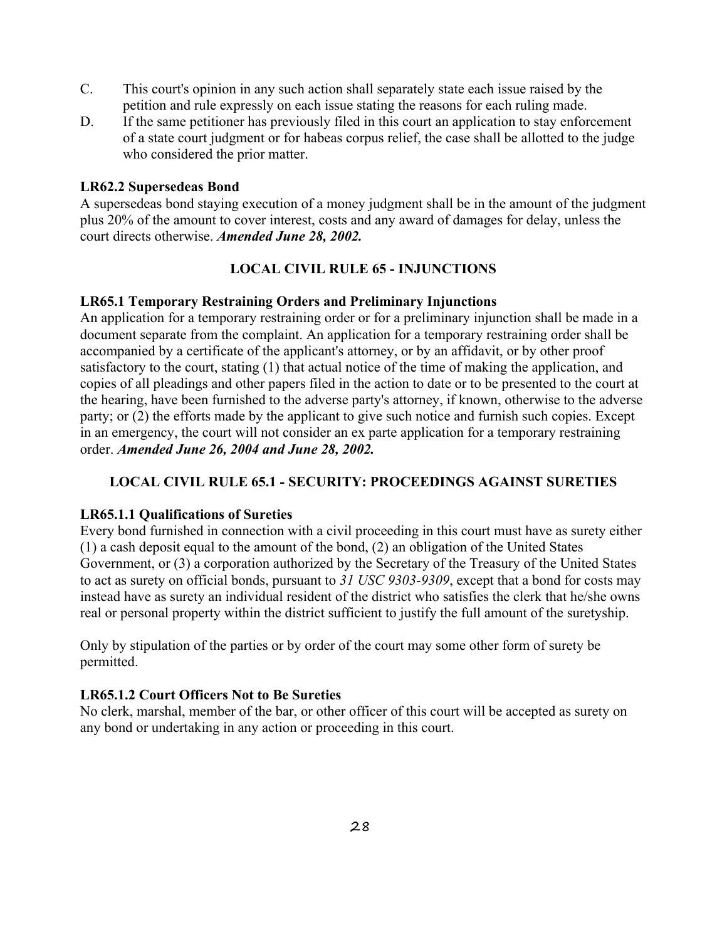- C. This court's opinion in any such action shall separately state each issue raised by the petition and rule expressly on each issue stating the reasons for each ruling made.
- D. If the same petitioner has previously filed in this court an application to stay enforcement of a state court judgment or for habeas corpus relief, the case shall be allotted to the judge who considered the prior matter.

# **LR62.2 Supersedeas Bond**

A supersedeas bond staying execution of a money judgment shall be in the amount of the judgment plus 20% of the amount to cover interest, costs and any award of damages for delay, unless the court directs otherwise. *Amended June 28, 2002.*

# **LOCAL CIVIL RULE 65 - INJUNCTIONS**

# **LR65.1 Temporary Restraining Orders and Preliminary Injunctions**

An application for a temporary restraining order or for a preliminary injunction shall be made in a document separate from the complaint. An application for a temporary restraining order shall be accompanied by a certificate of the applicant's attorney, or by an affidavit, or by other proof satisfactory to the court, stating (1) that actual notice of the time of making the application, and copies of all pleadings and other papers filed in the action to date or to be presented to the court at the hearing, have been furnished to the adverse party's attorney, if known, otherwise to the adverse party; or (2) the efforts made by the applicant to give such notice and furnish such copies. Except in an emergency, the court will not consider an ex parte application for a temporary restraining order. *Amended June 26, 2004 and June 28, 2002.*

# **LOCAL CIVIL RULE 65.1 - SECURITY: PROCEEDINGS AGAINST SURETIES**

# **LR65.1.1 Qualifications of Sureties**

Every bond furnished in connection with a civil proceeding in this court must have as surety either (1) a cash deposit equal to the amount of the bond, (2) an obligation of the United States Government, or (3) a corporation authorized by the Secretary of the Treasury of the United States to act as surety on official bonds, pursuant to *31 USC 9303*-*9309*, except that a bond for costs may instead have as surety an individual resident of the district who satisfies the clerk that he/she owns real or personal property within the district sufficient to justify the full amount of the suretyship.

Only by stipulation of the parties or by order of the court may some other form of surety be permitted.

# **LR65.1.2 Court Officers Not to Be Sureties**

No clerk, marshal, member of the bar, or other officer of this court will be accepted as surety on any bond or undertaking in any action or proceeding in this court.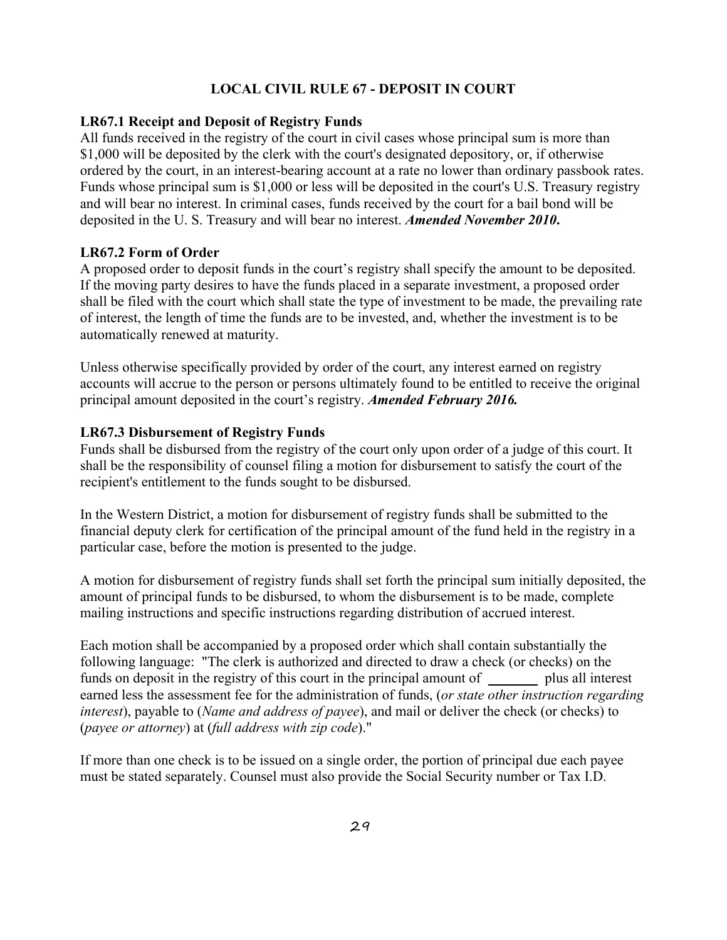## **LOCAL CIVIL RULE 67 - DEPOSIT IN COURT**

#### **LR67.1 Receipt and Deposit of Registry Funds**

All funds received in the registry of the court in civil cases whose principal sum is more than \$1,000 will be deposited by the clerk with the court's designated depository, or, if otherwise ordered by the court, in an interest-bearing account at a rate no lower than ordinary passbook rates. Funds whose principal sum is \$1,000 or less will be deposited in the court's U.S. Treasury registry and will bear no interest. In criminal cases, funds received by the court for a bail bond will be deposited in the U. S. Treasury and will bear no interest. *Amended November 2010***.**

#### **LR67.2 Form of Order**

A proposed order to deposit funds in the court's registry shall specify the amount to be deposited. If the moving party desires to have the funds placed in a separate investment, a proposed order shall be filed with the court which shall state the type of investment to be made, the prevailing rate of interest, the length of time the funds are to be invested, and, whether the investment is to be automatically renewed at maturity.

Unless otherwise specifically provided by order of the court, any interest earned on registry accounts will accrue to the person or persons ultimately found to be entitled to receive the original principal amount deposited in the court's registry. *Amended February 2016.*

### **LR67.3 Disbursement of Registry Funds**

Funds shall be disbursed from the registry of the court only upon order of a judge of this court. It shall be the responsibility of counsel filing a motion for disbursement to satisfy the court of the recipient's entitlement to the funds sought to be disbursed.

In the Western District, a motion for disbursement of registry funds shall be submitted to the financial deputy clerk for certification of the principal amount of the fund held in the registry in a particular case, before the motion is presented to the judge.

A motion for disbursement of registry funds shall set forth the principal sum initially deposited, the amount of principal funds to be disbursed, to whom the disbursement is to be made, complete mailing instructions and specific instructions regarding distribution of accrued interest.

Each motion shall be accompanied by a proposed order which shall contain substantially the following language: "The clerk is authorized and directed to draw a check (or checks) on the funds on deposit in the registry of this court in the principal amount of plus all interest earned less the assessment fee for the administration of funds, (*or state other instruction regarding interest*), payable to (*Name and address of payee*), and mail or deliver the check (or checks) to (*payee or attorney*) at (*full address with zip code*)."

If more than one check is to be issued on a single order, the portion of principal due each payee must be stated separately. Counsel must also provide the Social Security number or Tax I.D.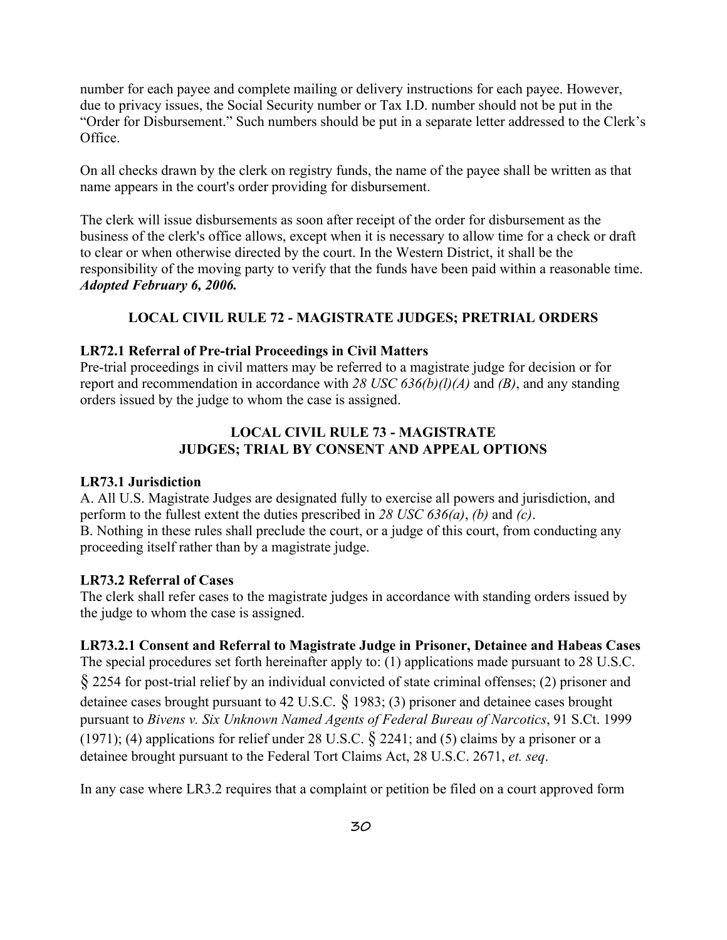number for each payee and complete mailing or delivery instructions for each payee. However, due to privacy issues, the Social Security number or Tax I.D. number should not be put in the "Order for Disbursement." Such numbers should be put in a separate letter addressed to the Clerk's Office.

On all checks drawn by the clerk on registry funds, the name of the payee shall be written as that name appears in the court's order providing for disbursement.

The clerk will issue disbursements as soon after receipt of the order for disbursement as the business of the clerk's office allows, except when it is necessary to allow time for a check or draft to clear or when otherwise directed by the court. In the Western District, it shall be the responsibility of the moving party to verify that the funds have been paid within a reasonable time. *Adopted February 6, 2006.*

### **LOCAL CIVIL RULE 72 - MAGISTRATE JUDGES; PRETRIAL ORDERS**

#### **LR72.1 Referral of Pre-trial Proceedings in Civil Matters**

Pre-trial proceedings in civil matters may be referred to a magistrate judge for decision or for report and recommendation in accordance with *28 USC 636(b)(l)(A)* and *(B)*, and any standing orders issued by the judge to whom the case is assigned.

# **LOCAL CIVIL RULE 73 - MAGISTRATE JUDGES; TRIAL BY CONSENT AND APPEAL OPTIONS**

#### **LR73.1 Jurisdiction**

A. All U.S. Magistrate Judges are designated fully to exercise all powers and jurisdiction, and perform to the fullest extent the duties prescribed in *28 USC 636(a)*, *(b)* and *(c)*. B. Nothing in these rules shall preclude the court, or a judge of this court, from conducting any proceeding itself rather than by a magistrate judge.

#### **LR73.2 Referral of Cases**

The clerk shall refer cases to the magistrate judges in accordance with standing orders issued by the judge to whom the case is assigned.

## **LR73.2.1 Consent and Referral to Magistrate Judge in Prisoner, Detainee and Habeas Cases**

The special procedures set forth hereinafter apply to: (1) applications made pursuant to 28 U.S.C. § 2254 for post-trial relief by an individual convicted of state criminal offenses; (2) prisoner and detainee cases brought pursuant to 42 U.S.C. § 1983; (3) prisoner and detainee cases brought pursuant to *Bivens v. Six Unknown Named Agents of Federal Bureau of Narcotics*, 91 S.Ct. 1999 (1971); (4) applications for relief under 28 U.S.C.  $\S$  2241; and (5) claims by a prisoner or a detainee brought pursuant to the Federal Tort Claims Act, 28 U.S.C. 2671, *et. seq*.

In any case where LR3.2 requires that a complaint or petition be filed on a court approved form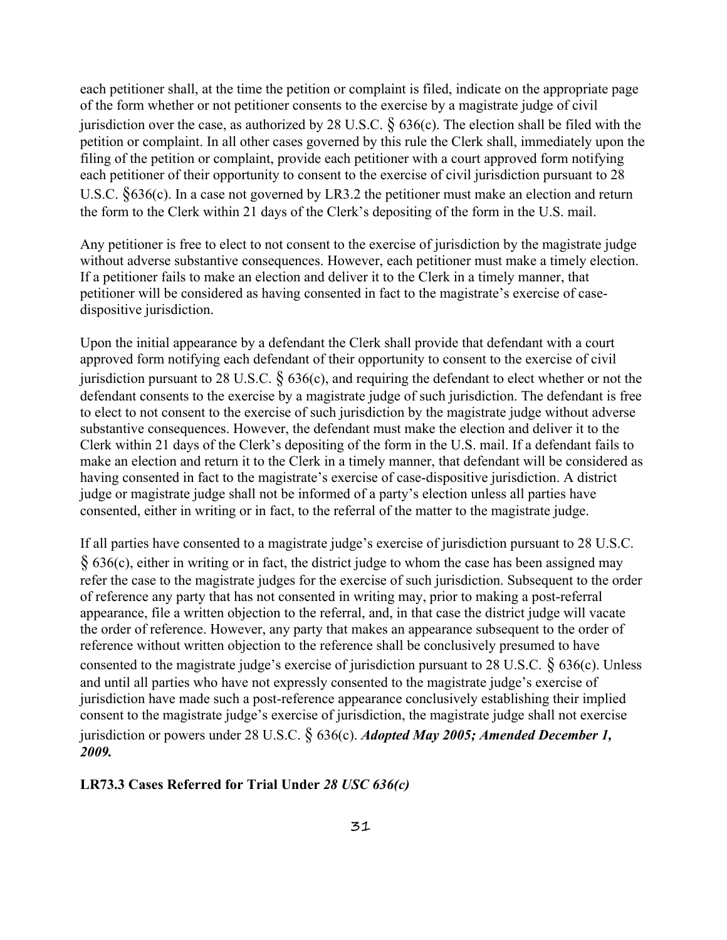each petitioner shall, at the time the petition or complaint is filed, indicate on the appropriate page of the form whether or not petitioner consents to the exercise by a magistrate judge of civil jurisdiction over the case, as authorized by 28 U.S.C.  $\S$  636(c). The election shall be filed with the petition or complaint. In all other cases governed by this rule the Clerk shall, immediately upon the filing of the petition or complaint, provide each petitioner with a court approved form notifying each petitioner of their opportunity to consent to the exercise of civil jurisdiction pursuant to 28 U.S.C. §636(c). In a case not governed by LR3.2 the petitioner must make an election and return the form to the Clerk within 21 days of the Clerk's depositing of the form in the U.S. mail.

Any petitioner is free to elect to not consent to the exercise of jurisdiction by the magistrate judge without adverse substantive consequences. However, each petitioner must make a timely election. If a petitioner fails to make an election and deliver it to the Clerk in a timely manner, that petitioner will be considered as having consented in fact to the magistrate's exercise of casedispositive jurisdiction.

Upon the initial appearance by a defendant the Clerk shall provide that defendant with a court approved form notifying each defendant of their opportunity to consent to the exercise of civil jurisdiction pursuant to 28 U.S.C.  $\S$  636(c), and requiring the defendant to elect whether or not the defendant consents to the exercise by a magistrate judge of such jurisdiction. The defendant is free to elect to not consent to the exercise of such jurisdiction by the magistrate judge without adverse substantive consequences. However, the defendant must make the election and deliver it to the Clerk within 21 days of the Clerk's depositing of the form in the U.S. mail. If a defendant fails to make an election and return it to the Clerk in a timely manner, that defendant will be considered as having consented in fact to the magistrate's exercise of case-dispositive jurisdiction. A district judge or magistrate judge shall not be informed of a party's election unless all parties have consented, either in writing or in fact, to the referral of the matter to the magistrate judge.

If all parties have consented to a magistrate judge's exercise of jurisdiction pursuant to 28 U.S.C.  $\S$  636(c), either in writing or in fact, the district judge to whom the case has been assigned may refer the case to the magistrate judges for the exercise of such jurisdiction. Subsequent to the order of reference any party that has not consented in writing may, prior to making a post-referral appearance, file a written objection to the referral, and, in that case the district judge will vacate the order of reference. However, any party that makes an appearance subsequent to the order of reference without written objection to the reference shall be conclusively presumed to have

consented to the magistrate judge's exercise of jurisdiction pursuant to 28 U.S.C.  $\S$  636(c). Unless and until all parties who have not expressly consented to the magistrate judge's exercise of jurisdiction have made such a post-reference appearance conclusively establishing their implied consent to the magistrate judge's exercise of jurisdiction, the magistrate judge shall not exercise jurisdiction or powers under 28 U.S.C. § 636(c). *Adopted May 2005; Amended December 1, 2009.*

## **LR73.3 Cases Referred for Trial Under** *28 USC 636(c)*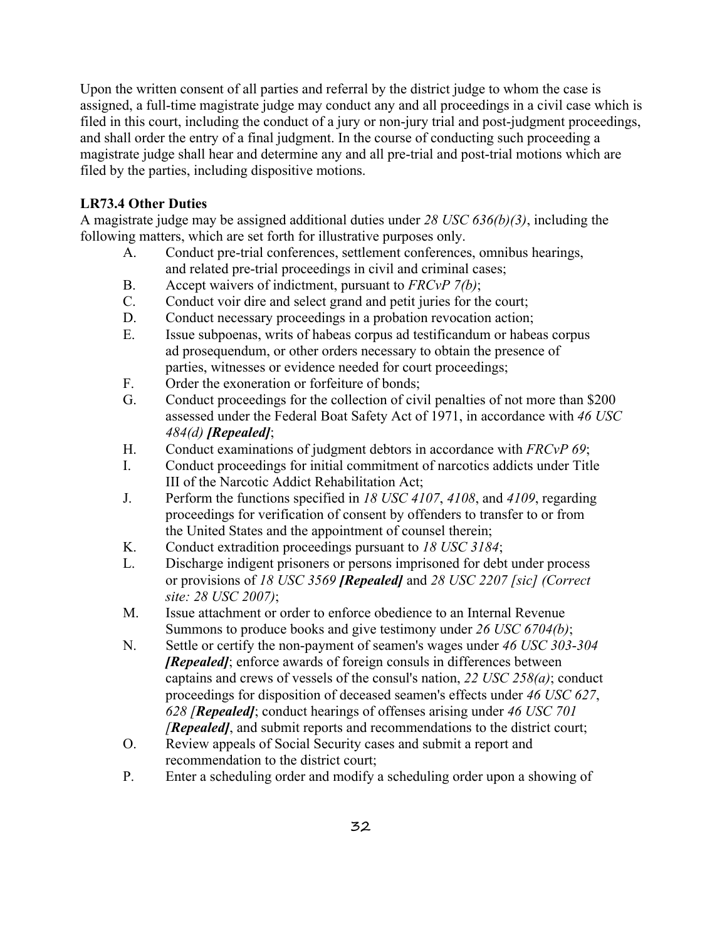Upon the written consent of all parties and referral by the district judge to whom the case is assigned, a full-time magistrate judge may conduct any and all proceedings in a civil case which is filed in this court, including the conduct of a jury or non-jury trial and post-judgment proceedings, and shall order the entry of a final judgment. In the course of conducting such proceeding a magistrate judge shall hear and determine any and all pre-trial and post-trial motions which are filed by the parties, including dispositive motions.

## **LR73.4 Other Duties**

A magistrate judge may be assigned additional duties under *28 USC 636(b)(3)*, including the following matters, which are set forth for illustrative purposes only.

- A. Conduct pre-trial conferences, settlement conferences, omnibus hearings, and related pre-trial proceedings in civil and criminal cases;
- B. Accept waivers of indictment, pursuant to *FRCvP 7(b)*;
- C. Conduct voir dire and select grand and petit juries for the court;
- D. Conduct necessary proceedings in a probation revocation action;
- E. Issue subpoenas, writs of habeas corpus ad testificandum or habeas corpus ad prosequendum, or other orders necessary to obtain the presence of parties, witnesses or evidence needed for court proceedings;
- F. Order the exoneration or forfeiture of bonds;
- G. Conduct proceedings for the collection of civil penalties of not more than \$200 assessed under the Federal Boat Safety Act of 1971, in accordance with *46 USC 484(d) [Repealed]*;
- H. Conduct examinations of judgment debtors in accordance with *FRCvP 69*;
- I. Conduct proceedings for initial commitment of narcotics addicts under Title III of the Narcotic Addict Rehabilitation Act;
- J. Perform the functions specified in *18 USC 4107*, *4108*, and *4109*, regarding proceedings for verification of consent by offenders to transfer to or from the United States and the appointment of counsel therein;
- K. Conduct extradition proceedings pursuant to *18 USC 3184*;
- L. Discharge indigent prisoners or persons imprisoned for debt under process or provisions of *18 USC 3569 [Repealed]* and *28 USC 2207 [sic] (Correct site: 28 USC 2007)*;
- M. Issue attachment or order to enforce obedience to an Internal Revenue Summons to produce books and give testimony under *26 USC 6704(b)*;
- N. Settle or certify the non-payment of seamen's wages under *46 USC 303*-*304 [Repealed]*; enforce awards of foreign consuls in differences between captains and crews of vessels of the consul's nation, *22 USC 258(a)*; conduct proceedings for disposition of deceased seamen's effects under *46 USC 627*, *628 [Repealed]*; conduct hearings of offenses arising under *46 USC 701 [Repealed]*, and submit reports and recommendations to the district court;
- O. Review appeals of Social Security cases and submit a report and recommendation to the district court;
- P. Enter a scheduling order and modify a scheduling order upon a showing of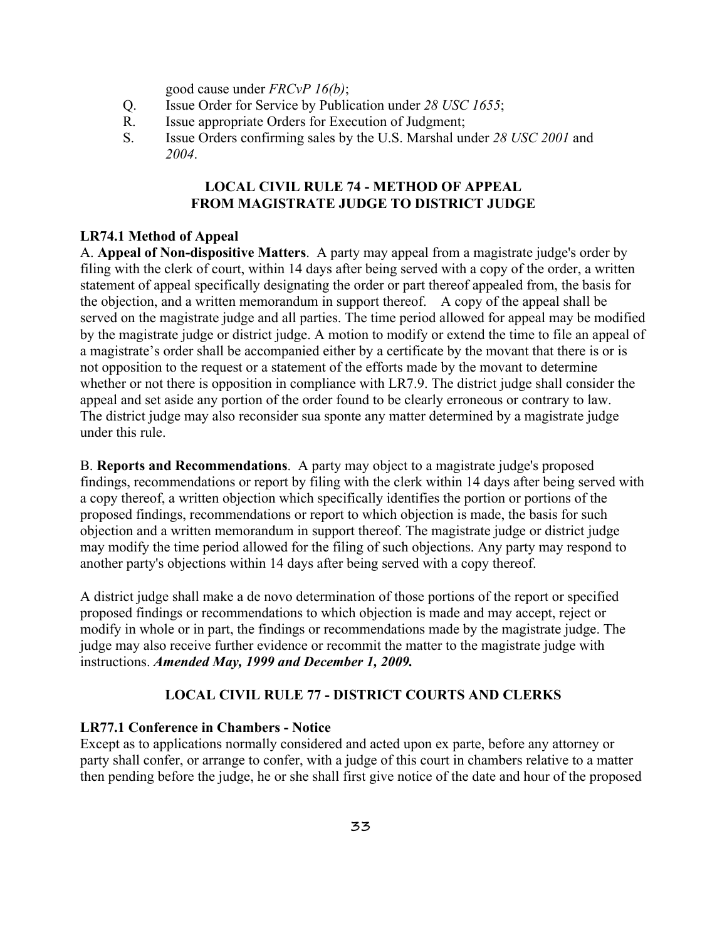good cause under *FRCvP 16(b)*;

- Q. Issue Order for Service by Publication under *28 USC 1655*;
- R. Issue appropriate Orders for Execution of Judgment;
- S. Issue Orders confirming sales by the U.S. Marshal under *28 USC 2001* and *2004*.

## **LOCAL CIVIL RULE 74 - METHOD OF APPEAL FROM MAGISTRATE JUDGE TO DISTRICT JUDGE**

### **LR74.1 Method of Appeal**

A. **Appeal of Non-dispositive Matters**. A party may appeal from a magistrate judge's order by filing with the clerk of court, within 14 days after being served with a copy of the order, a written statement of appeal specifically designating the order or part thereof appealed from, the basis for the objection, and a written memorandum in support thereof. A copy of the appeal shall be served on the magistrate judge and all parties. The time period allowed for appeal may be modified by the magistrate judge or district judge. A motion to modify or extend the time to file an appeal of a magistrate's order shall be accompanied either by a certificate by the movant that there is or is not opposition to the request or a statement of the efforts made by the movant to determine whether or not there is opposition in compliance with LR7.9. The district judge shall consider the appeal and set aside any portion of the order found to be clearly erroneous or contrary to law. The district judge may also reconsider sua sponte any matter determined by a magistrate judge under this rule.

B. **Reports and Recommendations**. A party may object to a magistrate judge's proposed findings, recommendations or report by filing with the clerk within 14 days after being served with a copy thereof, a written objection which specifically identifies the portion or portions of the proposed findings, recommendations or report to which objection is made, the basis for such objection and a written memorandum in support thereof. The magistrate judge or district judge may modify the time period allowed for the filing of such objections. Any party may respond to another party's objections within 14 days after being served with a copy thereof.

A district judge shall make a de novo determination of those portions of the report or specified proposed findings or recommendations to which objection is made and may accept, reject or modify in whole or in part, the findings or recommendations made by the magistrate judge. The judge may also receive further evidence or recommit the matter to the magistrate judge with instructions. *Amended May, 1999 and December 1, 2009.*

# **LOCAL CIVIL RULE 77 - DISTRICT COURTS AND CLERKS**

#### **LR77.1 Conference in Chambers - Notice**

Except as to applications normally considered and acted upon ex parte, before any attorney or party shall confer, or arrange to confer, with a judge of this court in chambers relative to a matter then pending before the judge, he or she shall first give notice of the date and hour of the proposed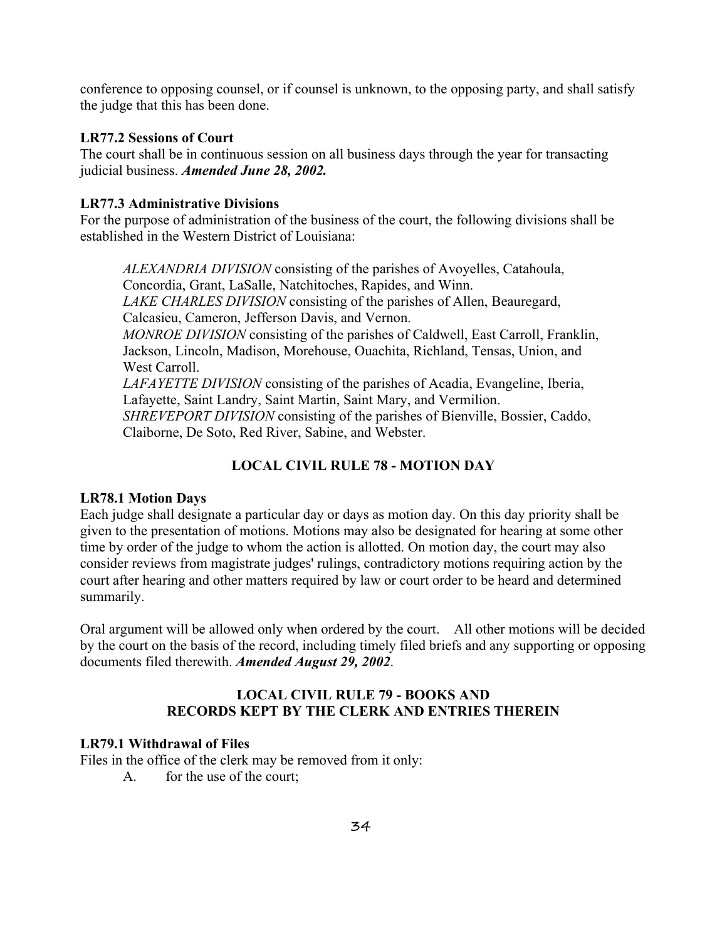conference to opposing counsel, or if counsel is unknown, to the opposing party, and shall satisfy the judge that this has been done.

## **LR77.2 Sessions of Court**

The court shall be in continuous session on all business days through the year for transacting judicial business. *Amended June 28, 2002.* 

### **LR77.3 Administrative Divisions**

For the purpose of administration of the business of the court, the following divisions shall be established in the Western District of Louisiana:

*ALEXANDRIA DIVISION* consisting of the parishes of Avoyelles, Catahoula, Concordia, Grant, LaSalle, Natchitoches, Rapides, and Winn. *LAKE CHARLES DIVISION* consisting of the parishes of Allen, Beauregard, Calcasieu, Cameron, Jefferson Davis, and Vernon. *MONROE DIVISION* consisting of the parishes of Caldwell, East Carroll, Franklin, Jackson, Lincoln, Madison, Morehouse, Ouachita, Richland, Tensas, Union, and West Carroll. *LAFAYETTE DIVISION* consisting of the parishes of Acadia, Evangeline, Iberia, Lafayette, Saint Landry, Saint Martin, Saint Mary, and Vermilion. *SHREVEPORT DIVISION* consisting of the parishes of Bienville, Bossier, Caddo, Claiborne, De Soto, Red River, Sabine, and Webster.

# **LOCAL CIVIL RULE 78 - MOTION DAY**

### **LR78.1 Motion Days**

Each judge shall designate a particular day or days as motion day. On this day priority shall be given to the presentation of motions. Motions may also be designated for hearing at some other time by order of the judge to whom the action is allotted. On motion day, the court may also consider reviews from magistrate judges' rulings, contradictory motions requiring action by the court after hearing and other matters required by law or court order to be heard and determined summarily.

Oral argument will be allowed only when ordered by the court. All other motions will be decided by the court on the basis of the record, including timely filed briefs and any supporting or opposing documents filed therewith. *Amended August 29, 2002*.

# **LOCAL CIVIL RULE 79 - BOOKS AND RECORDS KEPT BY THE CLERK AND ENTRIES THEREIN**

## **LR79.1 Withdrawal of Files**

Files in the office of the clerk may be removed from it only:

A. for the use of the court;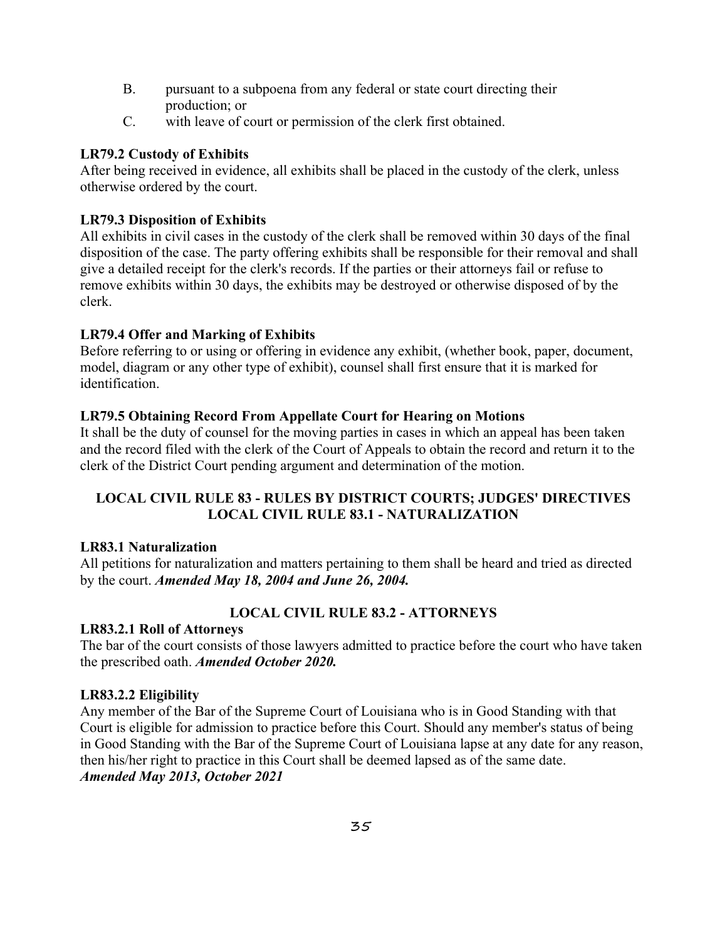- B. pursuant to a subpoena from any federal or state court directing their production; or
- C. with leave of court or permission of the clerk first obtained.

# **LR79.2 Custody of Exhibits**

After being received in evidence, all exhibits shall be placed in the custody of the clerk, unless otherwise ordered by the court.

# **LR79.3 Disposition of Exhibits**

All exhibits in civil cases in the custody of the clerk shall be removed within 30 days of the final disposition of the case. The party offering exhibits shall be responsible for their removal and shall give a detailed receipt for the clerk's records. If the parties or their attorneys fail or refuse to remove exhibits within 30 days, the exhibits may be destroyed or otherwise disposed of by the clerk.

# **LR79.4 Offer and Marking of Exhibits**

Before referring to or using or offering in evidence any exhibit, (whether book, paper, document, model, diagram or any other type of exhibit), counsel shall first ensure that it is marked for identification.

# **LR79.5 Obtaining Record From Appellate Court for Hearing on Motions**

It shall be the duty of counsel for the moving parties in cases in which an appeal has been taken and the record filed with the clerk of the Court of Appeals to obtain the record and return it to the clerk of the District Court pending argument and determination of the motion.

# **LOCAL CIVIL RULE 83 - RULES BY DISTRICT COURTS; JUDGES' DIRECTIVES LOCAL CIVIL RULE 83.1 - NATURALIZATION**

# **LR83.1 Naturalization**

All petitions for naturalization and matters pertaining to them shall be heard and tried as directed by the court. *Amended May 18, 2004 and June 26, 2004.*

# **LOCAL CIVIL RULE 83.2 - ATTORNEYS**

# **LR83.2.1 Roll of Attorneys**

The bar of the court consists of those lawyers admitted to practice before the court who have taken the prescribed oath. *Amended October 2020.* 

# **LR83.2.2 Eligibility**

Any member of the Bar of the Supreme Court of Louisiana who is in Good Standing with that Court is eligible for admission to practice before this Court. Should any member's status of being in Good Standing with the Bar of the Supreme Court of Louisiana lapse at any date for any reason, then his/her right to practice in this Court shall be deemed lapsed as of the same date. *Amended May 2013, October 2021*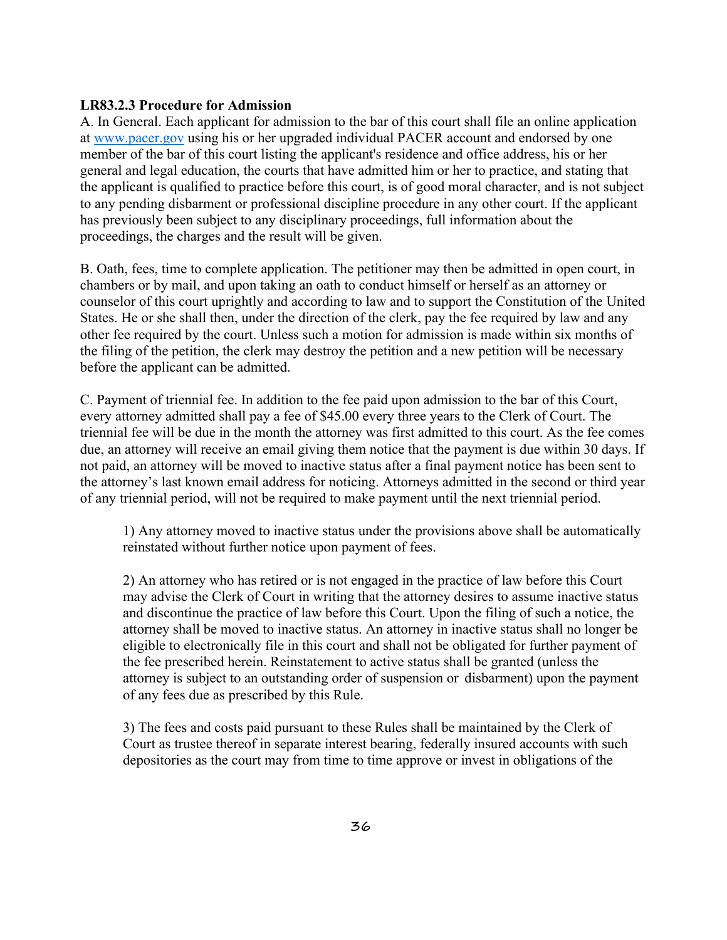### **LR83.2.3 Procedure for Admission**

A. In General. Each applicant for admission to the bar of this court shall file an online application at www.pacer.gov using his or her upgraded individual PACER account and endorsed by one member of the bar of this court listing the applicant's residence and office address, his or her general and legal education, the courts that have admitted him or her to practice, and stating that the applicant is qualified to practice before this court, is of good moral character, and is not subject to any pending disbarment or professional discipline procedure in any other court. If the applicant has previously been subject to any disciplinary proceedings, full information about the proceedings, the charges and the result will be given.

B. Oath, fees, time to complete application. The petitioner may then be admitted in open court, in chambers or by mail, and upon taking an oath to conduct himself or herself as an attorney or counselor of this court uprightly and according to law and to support the Constitution of the United States. He or she shall then, under the direction of the clerk, pay the fee required by law and any other fee required by the court. Unless such a motion for admission is made within six months of the filing of the petition, the clerk may destroy the petition and a new petition will be necessary before the applicant can be admitted.

C. Payment of triennial fee. In addition to the fee paid upon admission to the bar of this Court, every attorney admitted shall pay a fee of \$45.00 every three years to the Clerk of Court. The triennial fee will be due in the month the attorney was first admitted to this court. As the fee comes due, an attorney will receive an email giving them notice that the payment is due within 30 days. If not paid, an attorney will be moved to inactive status after a final payment notice has been sent to the attorney's last known email address for noticing. Attorneys admitted in the second or third year of any triennial period, will not be required to make payment until the next triennial period.

1) Any attorney moved to inactive status under the provisions above shall be automatically reinstated without further notice upon payment of fees.

2) An attorney who has retired or is not engaged in the practice of law before this Court may advise the Clerk of Court in writing that the attorney desires to assume inactive status and discontinue the practice of law before this Court. Upon the filing of such a notice, the attorney shall be moved to inactive status. An attorney in inactive status shall no longer be eligible to electronically file in this court and shall not be obligated for further payment of the fee prescribed herein. Reinstatement to active status shall be granted (unless the attorney is subject to an outstanding order of suspension or disbarment) upon the payment of any fees due as prescribed by this Rule.

 3) The fees and costs paid pursuant to these Rules shall be maintained by the Clerk of Court as trustee thereof in separate interest bearing, federally insured accounts with such depositories as the court may from time to time approve or invest in obligations of the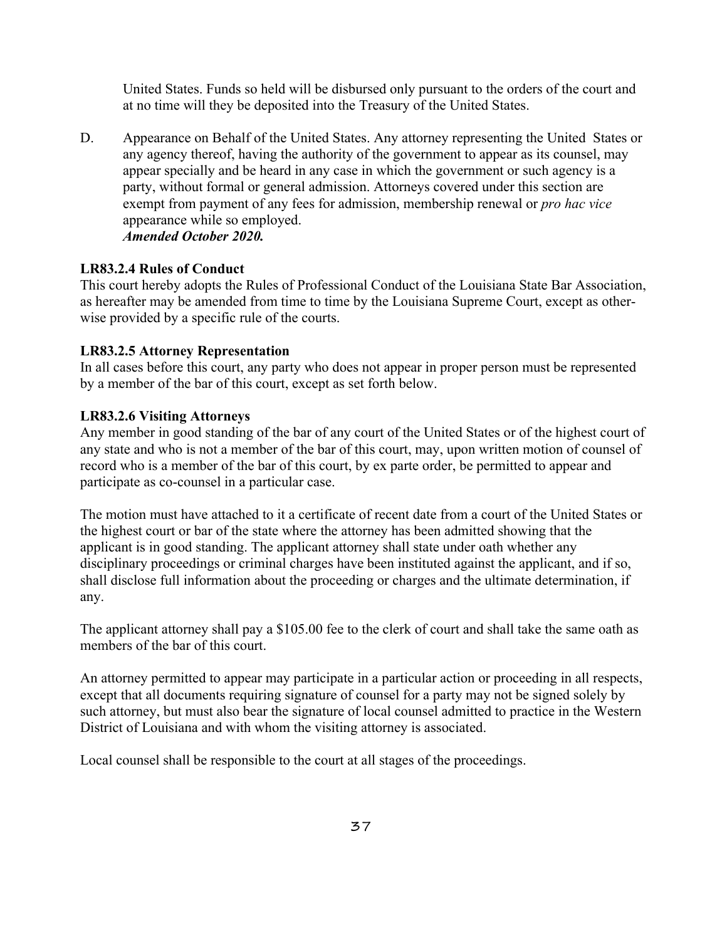United States. Funds so held will be disbursed only pursuant to the orders of the court and at no time will they be deposited into the Treasury of the United States.

D. Appearance on Behalf of the United States. Any attorney representing the United States or any agency thereof, having the authority of the government to appear as its counsel, may appear specially and be heard in any case in which the government or such agency is a party, without formal or general admission. Attorneys covered under this section are exempt from payment of any fees for admission, membership renewal or *pro hac vice* appearance while so employed. *Amended October 2020.* 

## **LR83.2.4 Rules of Conduct**

This court hereby adopts the Rules of Professional Conduct of the Louisiana State Bar Association, as hereafter may be amended from time to time by the Louisiana Supreme Court, except as otherwise provided by a specific rule of the courts.

### **LR83.2.5 Attorney Representation**

In all cases before this court, any party who does not appear in proper person must be represented by a member of the bar of this court, except as set forth below.

### **LR83.2.6 Visiting Attorneys**

Any member in good standing of the bar of any court of the United States or of the highest court of any state and who is not a member of the bar of this court, may, upon written motion of counsel of record who is a member of the bar of this court, by ex parte order, be permitted to appear and participate as co-counsel in a particular case.

The motion must have attached to it a certificate of recent date from a court of the United States or the highest court or bar of the state where the attorney has been admitted showing that the applicant is in good standing. The applicant attorney shall state under oath whether any disciplinary proceedings or criminal charges have been instituted against the applicant, and if so, shall disclose full information about the proceeding or charges and the ultimate determination, if any.

The applicant attorney shall pay a \$105.00 fee to the clerk of court and shall take the same oath as members of the bar of this court.

An attorney permitted to appear may participate in a particular action or proceeding in all respects, except that all documents requiring signature of counsel for a party may not be signed solely by such attorney, but must also bear the signature of local counsel admitted to practice in the Western District of Louisiana and with whom the visiting attorney is associated.

Local counsel shall be responsible to the court at all stages of the proceedings.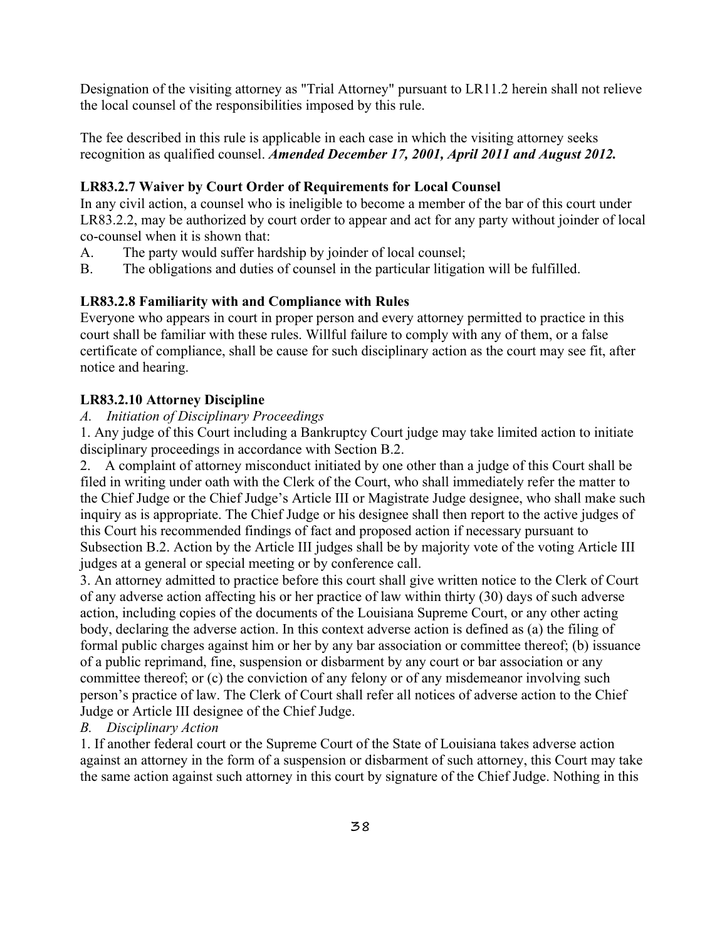Designation of the visiting attorney as "Trial Attorney" pursuant to LR11.2 herein shall not relieve the local counsel of the responsibilities imposed by this rule.

The fee described in this rule is applicable in each case in which the visiting attorney seeks recognition as qualified counsel. *Amended December 17, 2001, April 2011 and August 2012.*

### **LR83.2.7 Waiver by Court Order of Requirements for Local Counsel**

In any civil action, a counsel who is ineligible to become a member of the bar of this court under LR83.2.2, may be authorized by court order to appear and act for any party without joinder of local co-counsel when it is shown that:

- A. The party would suffer hardship by joinder of local counsel;
- B. The obligations and duties of counsel in the particular litigation will be fulfilled.

### **LR83.2.8 Familiarity with and Compliance with Rules**

Everyone who appears in court in proper person and every attorney permitted to practice in this court shall be familiar with these rules. Willful failure to comply with any of them, or a false certificate of compliance, shall be cause for such disciplinary action as the court may see fit, after notice and hearing.

### **LR83.2.10 Attorney Discipline**

### *A. Initiation of Disciplinary Proceedings*

1. Any judge of this Court including a Bankruptcy Court judge may take limited action to initiate disciplinary proceedings in accordance with Section B.2.

2. A complaint of attorney misconduct initiated by one other than a judge of this Court shall be filed in writing under oath with the Clerk of the Court, who shall immediately refer the matter to the Chief Judge or the Chief Judge's Article III or Magistrate Judge designee, who shall make such inquiry as is appropriate. The Chief Judge or his designee shall then report to the active judges of this Court his recommended findings of fact and proposed action if necessary pursuant to Subsection B.2. Action by the Article III judges shall be by majority vote of the voting Article III judges at a general or special meeting or by conference call.

3. An attorney admitted to practice before this court shall give written notice to the Clerk of Court of any adverse action affecting his or her practice of law within thirty (30) days of such adverse action, including copies of the documents of the Louisiana Supreme Court, or any other acting body, declaring the adverse action. In this context adverse action is defined as (a) the filing of formal public charges against him or her by any bar association or committee thereof; (b) issuance of a public reprimand, fine, suspension or disbarment by any court or bar association or any committee thereof; or (c) the conviction of any felony or of any misdemeanor involving such person's practice of law. The Clerk of Court shall refer all notices of adverse action to the Chief Judge or Article III designee of the Chief Judge.

### *B. Disciplinary Action*

1. If another federal court or the Supreme Court of the State of Louisiana takes adverse action against an attorney in the form of a suspension or disbarment of such attorney, this Court may take the same action against such attorney in this court by signature of the Chief Judge. Nothing in this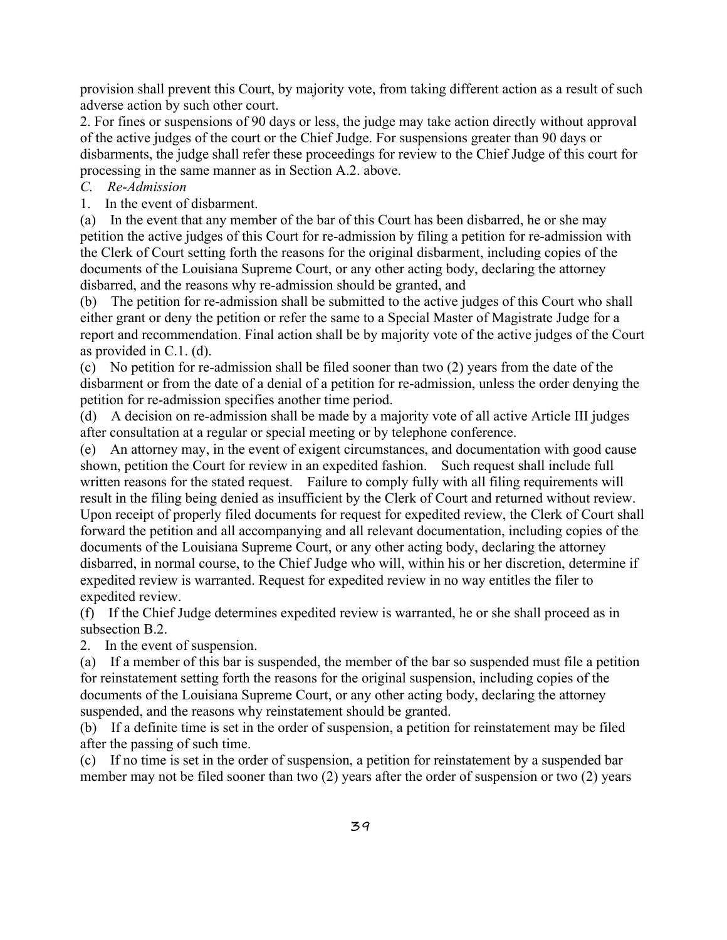provision shall prevent this Court, by majority vote, from taking different action as a result of such adverse action by such other court.

2. For fines or suspensions of 90 days or less, the judge may take action directly without approval of the active judges of the court or the Chief Judge. For suspensions greater than 90 days or disbarments, the judge shall refer these proceedings for review to the Chief Judge of this court for processing in the same manner as in Section A.2. above.

# *C. Re-Admission*

# 1. In the event of disbarment.

(a) In the event that any member of the bar of this Court has been disbarred, he or she may petition the active judges of this Court for re-admission by filing a petition for re-admission with the Clerk of Court setting forth the reasons for the original disbarment, including copies of the documents of the Louisiana Supreme Court, or any other acting body, declaring the attorney disbarred, and the reasons why re-admission should be granted, and

(b) The petition for re-admission shall be submitted to the active judges of this Court who shall either grant or deny the petition or refer the same to a Special Master of Magistrate Judge for a report and recommendation. Final action shall be by majority vote of the active judges of the Court as provided in C.1. (d).

(c) No petition for re-admission shall be filed sooner than two (2) years from the date of the disbarment or from the date of a denial of a petition for re-admission, unless the order denying the petition for re-admission specifies another time period.

(d) A decision on re-admission shall be made by a majority vote of all active Article III judges after consultation at a regular or special meeting or by telephone conference.

(e) An attorney may, in the event of exigent circumstances, and documentation with good cause shown, petition the Court for review in an expedited fashion. Such request shall include full written reasons for the stated request. Failure to comply fully with all filing requirements will result in the filing being denied as insufficient by the Clerk of Court and returned without review. Upon receipt of properly filed documents for request for expedited review, the Clerk of Court shall forward the petition and all accompanying and all relevant documentation, including copies of the documents of the Louisiana Supreme Court, or any other acting body, declaring the attorney disbarred, in normal course, to the Chief Judge who will, within his or her discretion, determine if expedited review is warranted. Request for expedited review in no way entitles the filer to expedited review.

(f) If the Chief Judge determines expedited review is warranted, he or she shall proceed as in subsection B.2.

2. In the event of suspension.

(a) If a member of this bar is suspended, the member of the bar so suspended must file a petition for reinstatement setting forth the reasons for the original suspension, including copies of the documents of the Louisiana Supreme Court, or any other acting body, declaring the attorney suspended, and the reasons why reinstatement should be granted.

(b) If a definite time is set in the order of suspension, a petition for reinstatement may be filed after the passing of such time.

(c) If no time is set in the order of suspension, a petition for reinstatement by a suspended bar member may not be filed sooner than two (2) years after the order of suspension or two (2) years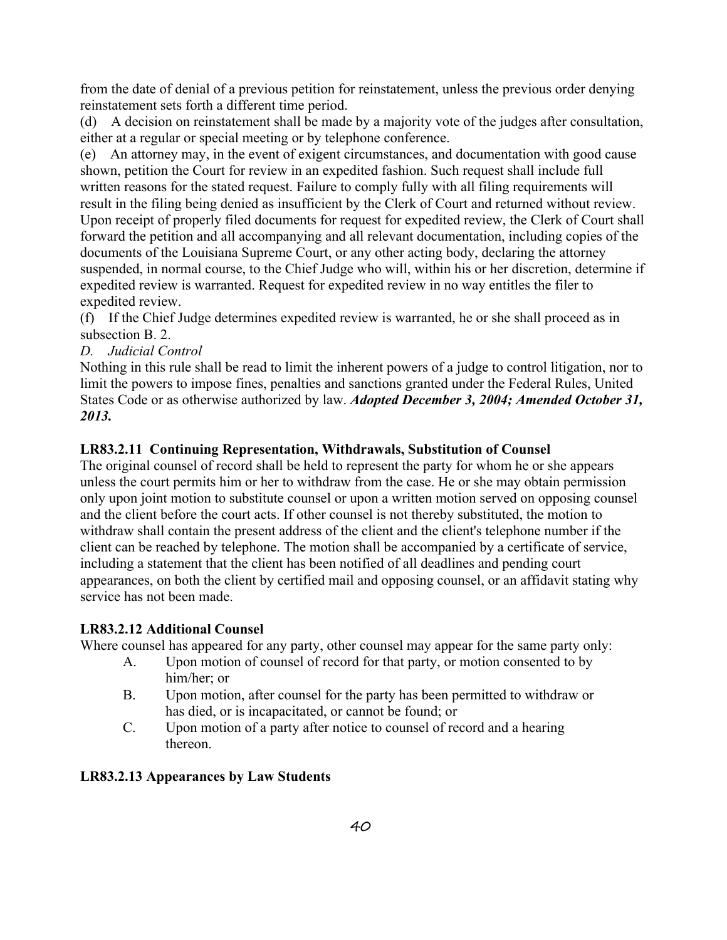from the date of denial of a previous petition for reinstatement, unless the previous order denying reinstatement sets forth a different time period.

(d) A decision on reinstatement shall be made by a majority vote of the judges after consultation, either at a regular or special meeting or by telephone conference.

(e) An attorney may, in the event of exigent circumstances, and documentation with good cause shown, petition the Court for review in an expedited fashion. Such request shall include full written reasons for the stated request. Failure to comply fully with all filing requirements will result in the filing being denied as insufficient by the Clerk of Court and returned without review. Upon receipt of properly filed documents for request for expedited review, the Clerk of Court shall forward the petition and all accompanying and all relevant documentation, including copies of the documents of the Louisiana Supreme Court, or any other acting body, declaring the attorney suspended, in normal course, to the Chief Judge who will, within his or her discretion, determine if expedited review is warranted. Request for expedited review in no way entitles the filer to expedited review.

(f) If the Chief Judge determines expedited review is warranted, he or she shall proceed as in subsection B. 2.

*D. Judicial Control*

Nothing in this rule shall be read to limit the inherent powers of a judge to control litigation, nor to limit the powers to impose fines, penalties and sanctions granted under the Federal Rules, United States Code or as otherwise authorized by law. *Adopted December 3, 2004; Amended October 31, 2013.*

# **LR83.2.11 Continuing Representation, Withdrawals, Substitution of Counsel**

The original counsel of record shall be held to represent the party for whom he or she appears unless the court permits him or her to withdraw from the case. He or she may obtain permission only upon joint motion to substitute counsel or upon a written motion served on opposing counsel and the client before the court acts. If other counsel is not thereby substituted, the motion to withdraw shall contain the present address of the client and the client's telephone number if the client can be reached by telephone. The motion shall be accompanied by a certificate of service, including a statement that the client has been notified of all deadlines and pending court appearances, on both the client by certified mail and opposing counsel, or an affidavit stating why service has not been made.

## **LR83.2.12 Additional Counsel**

Where counsel has appeared for any party, other counsel may appear for the same party only:

- A. Upon motion of counsel of record for that party, or motion consented to by him/her; or
- B. Upon motion, after counsel for the party has been permitted to withdraw or has died, or is incapacitated, or cannot be found; or
- C. Upon motion of a party after notice to counsel of record and a hearing thereon.

# **LR83.2.13 Appearances by Law Students**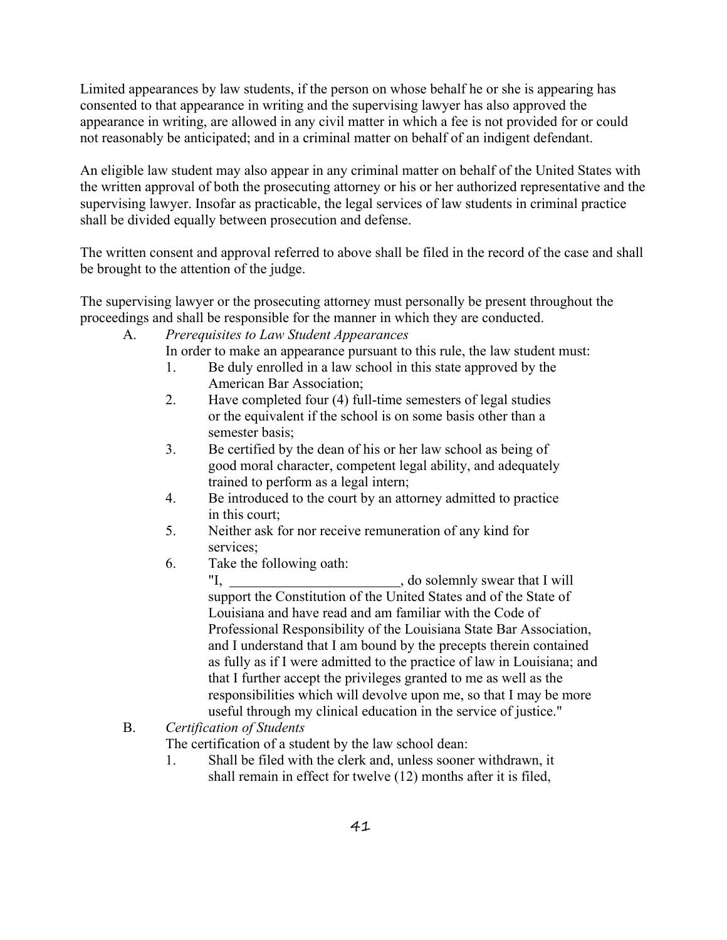Limited appearances by law students, if the person on whose behalf he or she is appearing has consented to that appearance in writing and the supervising lawyer has also approved the appearance in writing, are allowed in any civil matter in which a fee is not provided for or could not reasonably be anticipated; and in a criminal matter on behalf of an indigent defendant.

An eligible law student may also appear in any criminal matter on behalf of the United States with the written approval of both the prosecuting attorney or his or her authorized representative and the supervising lawyer. Insofar as practicable, the legal services of law students in criminal practice shall be divided equally between prosecution and defense.

The written consent and approval referred to above shall be filed in the record of the case and shall be brought to the attention of the judge.

The supervising lawyer or the prosecuting attorney must personally be present throughout the proceedings and shall be responsible for the manner in which they are conducted.

A. *Prerequisites to Law Student Appearances*

In order to make an appearance pursuant to this rule, the law student must:

- 1. Be duly enrolled in a law school in this state approved by the American Bar Association;
- 2. Have completed four (4) full-time semesters of legal studies or the equivalent if the school is on some basis other than a semester basis;
- 3. Be certified by the dean of his or her law school as being of good moral character, competent legal ability, and adequately trained to perform as a legal intern;
- 4. Be introduced to the court by an attorney admitted to practice in this court;
- 5. Neither ask for nor receive remuneration of any kind for services;
- 6. Take the following oath:

"I, , do solemnly swear that I will support the Constitution of the United States and of the State of Louisiana and have read and am familiar with the Code of Professional Responsibility of the Louisiana State Bar Association, and I understand that I am bound by the precepts therein contained as fully as if I were admitted to the practice of law in Louisiana; and that I further accept the privileges granted to me as well as the responsibilities which will devolve upon me, so that I may be more useful through my clinical education in the service of justice."

B. *Certification of Students*

The certification of a student by the law school dean:

1. Shall be filed with the clerk and, unless sooner withdrawn, it shall remain in effect for twelve (12) months after it is filed,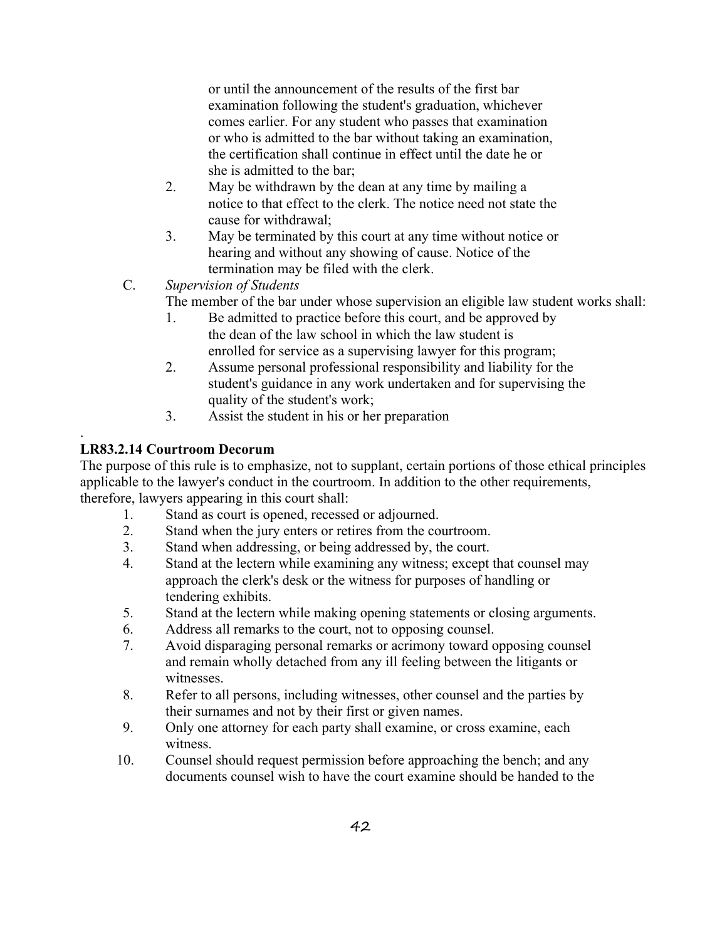or until the announcement of the results of the first bar examination following the student's graduation, whichever comes earlier. For any student who passes that examination or who is admitted to the bar without taking an examination, the certification shall continue in effect until the date he or she is admitted to the bar;

- 2. May be withdrawn by the dean at any time by mailing a notice to that effect to the clerk. The notice need not state the cause for withdrawal;
- 3. May be terminated by this court at any time without notice or hearing and without any showing of cause. Notice of the termination may be filed with the clerk.
- C. *Supervision of Students*

The member of the bar under whose supervision an eligible law student works shall:

- 1. Be admitted to practice before this court, and be approved by the dean of the law school in which the law student is enrolled for service as a supervising lawyer for this program;
- 2. Assume personal professional responsibility and liability for the student's guidance in any work undertaken and for supervising the quality of the student's work;
- 3. Assist the student in his or her preparation

# **LR83.2.14 Courtroom Decorum**

.

The purpose of this rule is to emphasize, not to supplant, certain portions of those ethical principles applicable to the lawyer's conduct in the courtroom. In addition to the other requirements, therefore, lawyers appearing in this court shall:

- 1. Stand as court is opened, recessed or adjourned.
- 2. Stand when the jury enters or retires from the courtroom.
- 3. Stand when addressing, or being addressed by, the court.
- 4. Stand at the lectern while examining any witness; except that counsel may approach the clerk's desk or the witness for purposes of handling or tendering exhibits.
- 5. Stand at the lectern while making opening statements or closing arguments.
- 6. Address all remarks to the court, not to opposing counsel.
- 7. Avoid disparaging personal remarks or acrimony toward opposing counsel and remain wholly detached from any ill feeling between the litigants or witnesses.
- 8. Refer to all persons, including witnesses, other counsel and the parties by their surnames and not by their first or given names.
- 9. Only one attorney for each party shall examine, or cross examine, each witness.
- 10. Counsel should request permission before approaching the bench; and any documents counsel wish to have the court examine should be handed to the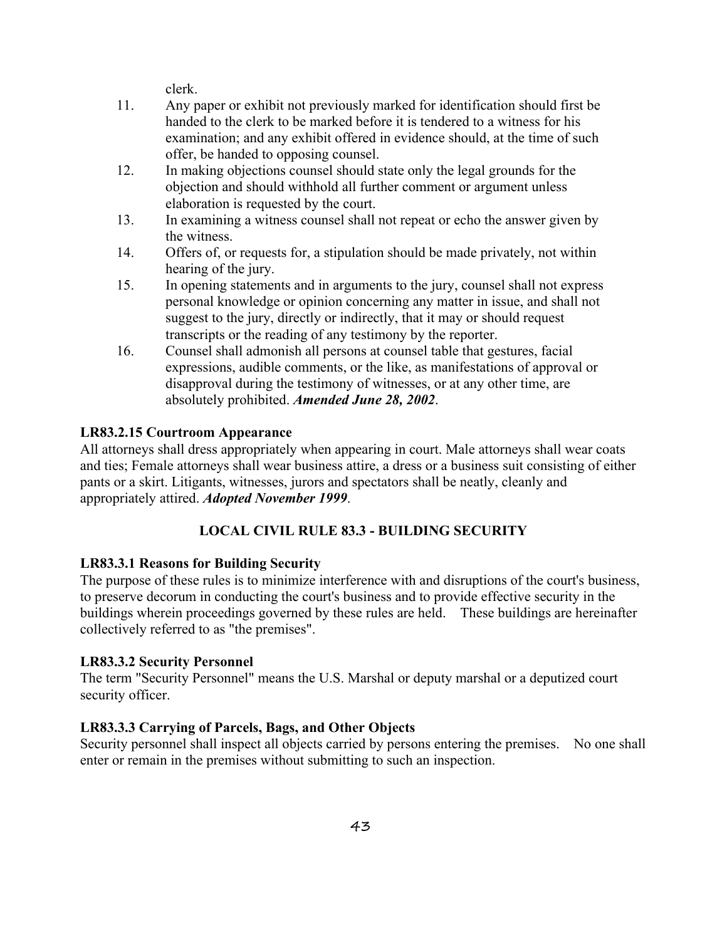clerk.

- 11. Any paper or exhibit not previously marked for identification should first be handed to the clerk to be marked before it is tendered to a witness for his examination; and any exhibit offered in evidence should, at the time of such offer, be handed to opposing counsel.
- 12. In making objections counsel should state only the legal grounds for the objection and should withhold all further comment or argument unless elaboration is requested by the court.
- 13. In examining a witness counsel shall not repeat or echo the answer given by the witness.
- 14. Offers of, or requests for, a stipulation should be made privately, not within hearing of the jury.
- 15. In opening statements and in arguments to the jury, counsel shall not express personal knowledge or opinion concerning any matter in issue, and shall not suggest to the jury, directly or indirectly, that it may or should request transcripts or the reading of any testimony by the reporter.
- 16. Counsel shall admonish all persons at counsel table that gestures, facial expressions, audible comments, or the like, as manifestations of approval or disapproval during the testimony of witnesses, or at any other time, are absolutely prohibited. *Amended June 28, 2002*.

# **LR83.2.15 Courtroom Appearance**

All attorneys shall dress appropriately when appearing in court. Male attorneys shall wear coats and ties; Female attorneys shall wear business attire, a dress or a business suit consisting of either pants or a skirt. Litigants, witnesses, jurors and spectators shall be neatly, cleanly and appropriately attired. *Adopted November 1999*.

# **LOCAL CIVIL RULE 83.3 - BUILDING SECURITY**

## **LR83.3.1 Reasons for Building Security**

The purpose of these rules is to minimize interference with and disruptions of the court's business, to preserve decorum in conducting the court's business and to provide effective security in the buildings wherein proceedings governed by these rules are held. These buildings are hereinafter collectively referred to as "the premises".

## **LR83.3.2 Security Personnel**

The term "Security Personnel" means the U.S. Marshal or deputy marshal or a deputized court security officer.

## **LR83.3.3 Carrying of Parcels, Bags, and Other Objects**

Security personnel shall inspect all objects carried by persons entering the premises. No one shall enter or remain in the premises without submitting to such an inspection.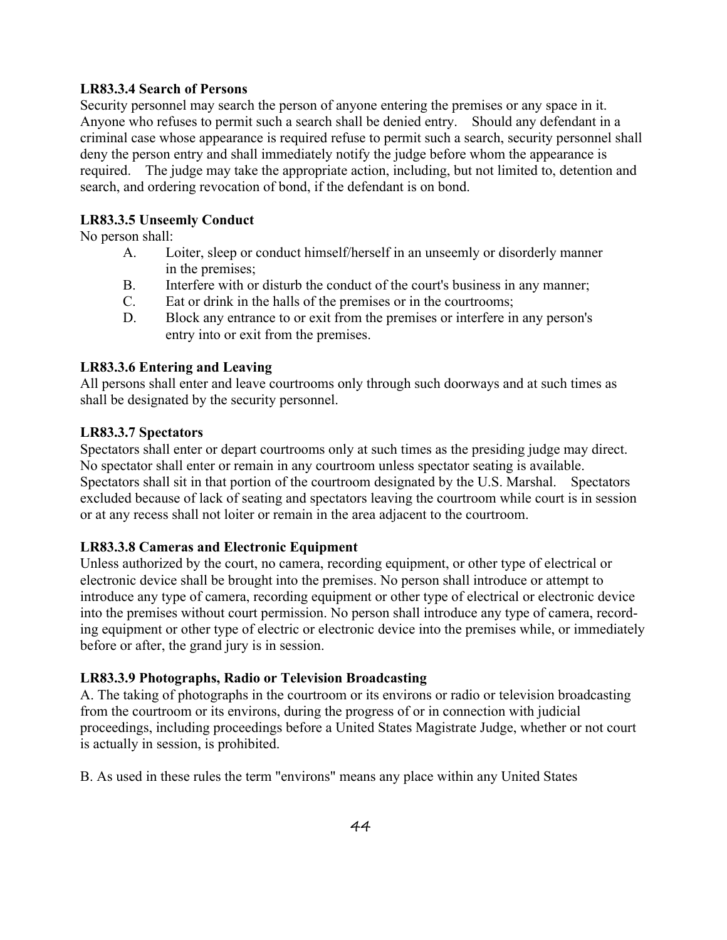## **LR83.3.4 Search of Persons**

Security personnel may search the person of anyone entering the premises or any space in it. Anyone who refuses to permit such a search shall be denied entry. Should any defendant in a criminal case whose appearance is required refuse to permit such a search, security personnel shall deny the person entry and shall immediately notify the judge before whom the appearance is required. The judge may take the appropriate action, including, but not limited to, detention and search, and ordering revocation of bond, if the defendant is on bond.

## **LR83.3.5 Unseemly Conduct**

No person shall:

- A. Loiter, sleep or conduct himself/herself in an unseemly or disorderly manner in the premises;
- B. Interfere with or disturb the conduct of the court's business in any manner;
- C. Eat or drink in the halls of the premises or in the courtrooms;
- D. Block any entrance to or exit from the premises or interfere in any person's entry into or exit from the premises.

### **LR83.3.6 Entering and Leaving**

All persons shall enter and leave courtrooms only through such doorways and at such times as shall be designated by the security personnel.

## **LR83.3.7 Spectators**

Spectators shall enter or depart courtrooms only at such times as the presiding judge may direct. No spectator shall enter or remain in any courtroom unless spectator seating is available. Spectators shall sit in that portion of the courtroom designated by the U.S. Marshal. Spectators excluded because of lack of seating and spectators leaving the courtroom while court is in session or at any recess shall not loiter or remain in the area adjacent to the courtroom.

## **LR83.3.8 Cameras and Electronic Equipment**

Unless authorized by the court, no camera, recording equipment, or other type of electrical or electronic device shall be brought into the premises. No person shall introduce or attempt to introduce any type of camera, recording equipment or other type of electrical or electronic device into the premises without court permission. No person shall introduce any type of camera, recording equipment or other type of electric or electronic device into the premises while, or immediately before or after, the grand jury is in session.

## **LR83.3.9 Photographs, Radio or Television Broadcasting**

A. The taking of photographs in the courtroom or its environs or radio or television broadcasting from the courtroom or its environs, during the progress of or in connection with judicial proceedings, including proceedings before a United States Magistrate Judge, whether or not court is actually in session, is prohibited.

B. As used in these rules the term "environs" means any place within any United States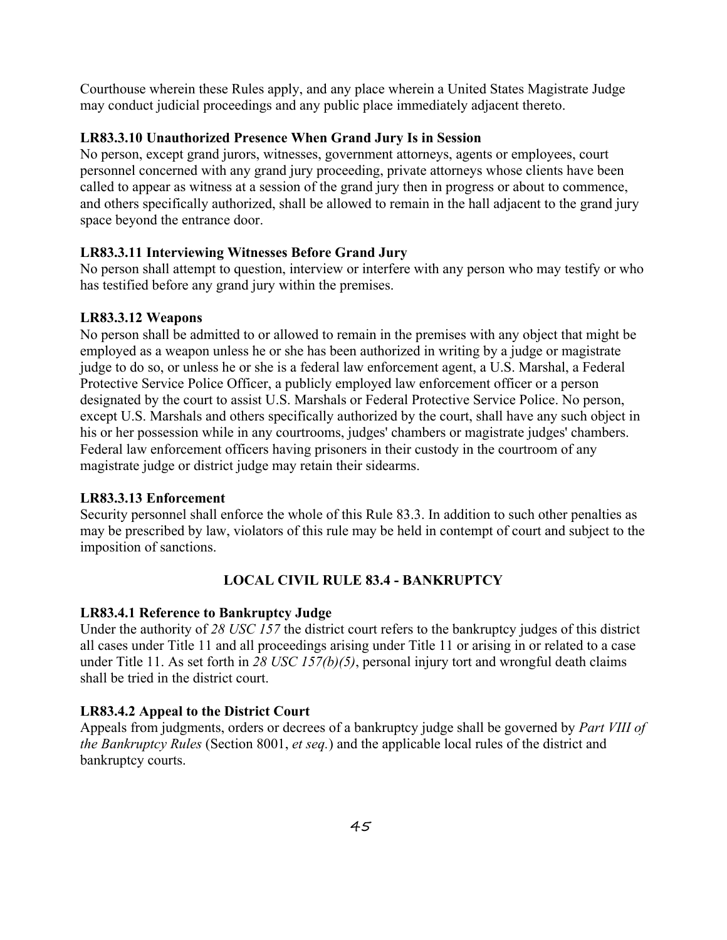Courthouse wherein these Rules apply, and any place wherein a United States Magistrate Judge may conduct judicial proceedings and any public place immediately adjacent thereto.

# **LR83.3.10 Unauthorized Presence When Grand Jury Is in Session**

No person, except grand jurors, witnesses, government attorneys, agents or employees, court personnel concerned with any grand jury proceeding, private attorneys whose clients have been called to appear as witness at a session of the grand jury then in progress or about to commence, and others specifically authorized, shall be allowed to remain in the hall adjacent to the grand jury space beyond the entrance door.

# **LR83.3.11 Interviewing Witnesses Before Grand Jury**

No person shall attempt to question, interview or interfere with any person who may testify or who has testified before any grand jury within the premises.

## **LR83.3.12 Weapons**

No person shall be admitted to or allowed to remain in the premises with any object that might be employed as a weapon unless he or she has been authorized in writing by a judge or magistrate judge to do so, or unless he or she is a federal law enforcement agent, a U.S. Marshal, a Federal Protective Service Police Officer, a publicly employed law enforcement officer or a person designated by the court to assist U.S. Marshals or Federal Protective Service Police. No person, except U.S. Marshals and others specifically authorized by the court, shall have any such object in his or her possession while in any courtrooms, judges' chambers or magistrate judges' chambers. Federal law enforcement officers having prisoners in their custody in the courtroom of any magistrate judge or district judge may retain their sidearms.

## **LR83.3.13 Enforcement**

Security personnel shall enforce the whole of this Rule 83.3. In addition to such other penalties as may be prescribed by law, violators of this rule may be held in contempt of court and subject to the imposition of sanctions.

# **LOCAL CIVIL RULE 83.4 - BANKRUPTCY**

# **LR83.4.1 Reference to Bankruptcy Judge**

Under the authority of *28 USC 157* the district court refers to the bankruptcy judges of this district all cases under Title 11 and all proceedings arising under Title 11 or arising in or related to a case under Title 11. As set forth in *28 USC 157(b)(5)*, personal injury tort and wrongful death claims shall be tried in the district court.

# **LR83.4.2 Appeal to the District Court**

Appeals from judgments, orders or decrees of a bankruptcy judge shall be governed by *Part VIII of the Bankruptcy Rules* (Section 8001, *et seq.*) and the applicable local rules of the district and bankruptcy courts.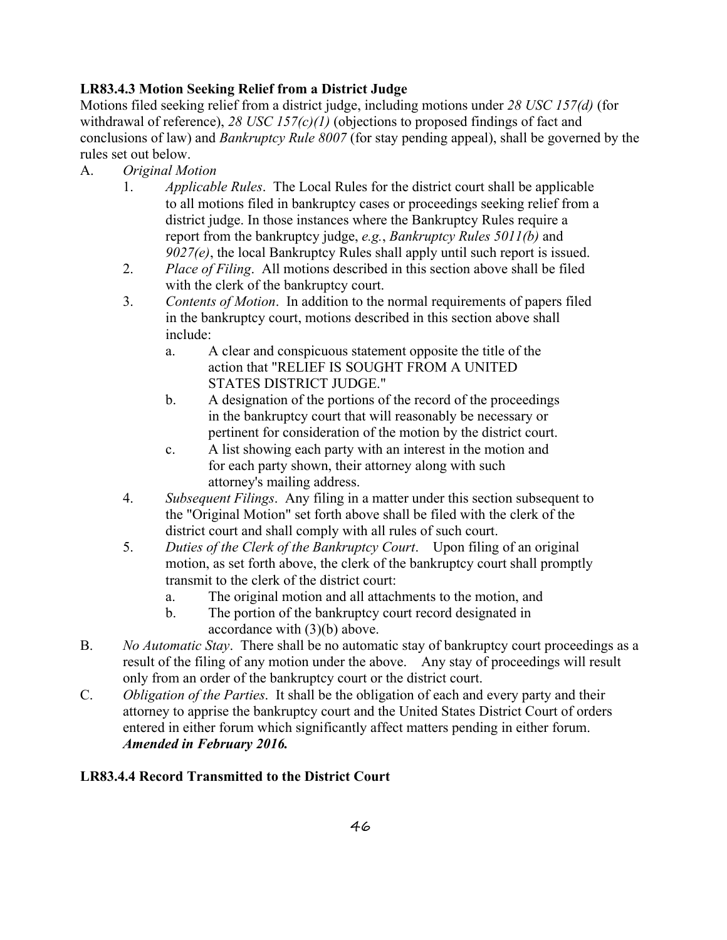# **LR83.4.3 Motion Seeking Relief from a District Judge**

Motions filed seeking relief from a district judge, including motions under *28 USC 157(d)* (for withdrawal of reference), 28 *USC 157(c)(1)* (objections to proposed findings of fact and conclusions of law) and *Bankruptcy Rule 8007* (for stay pending appeal), shall be governed by the rules set out below.

- A. *Original Motion*
	- 1. *Applicable Rules*. The Local Rules for the district court shall be applicable to all motions filed in bankruptcy cases or proceedings seeking relief from a district judge. In those instances where the Bankruptcy Rules require a report from the bankruptcy judge, *e.g.*, *Bankruptcy Rules 5011(b)* and *9027(e)*, the local Bankruptcy Rules shall apply until such report is issued.
	- 2. *Place of Filing*. All motions described in this section above shall be filed with the clerk of the bankruptcy court.
	- 3. *Contents of Motion*. In addition to the normal requirements of papers filed in the bankruptcy court, motions described in this section above shall include:
		- a. A clear and conspicuous statement opposite the title of the action that "RELIEF IS SOUGHT FROM A UNITED STATES DISTRICT JUDGE."
		- b. A designation of the portions of the record of the proceedings in the bankruptcy court that will reasonably be necessary or pertinent for consideration of the motion by the district court.
		- c. A list showing each party with an interest in the motion and for each party shown, their attorney along with such attorney's mailing address.
	- 4. *Subsequent Filings*. Any filing in a matter under this section subsequent to the "Original Motion" set forth above shall be filed with the clerk of the district court and shall comply with all rules of such court.
	- 5. *Duties of the Clerk of the Bankruptcy Court*. Upon filing of an original motion, as set forth above, the clerk of the bankruptcy court shall promptly transmit to the clerk of the district court:
		- a. The original motion and all attachments to the motion, and
		- b. The portion of the bankruptcy court record designated in accordance with (3)(b) above.
- B. *No Automatic Stay*. There shall be no automatic stay of bankruptcy court proceedings as a result of the filing of any motion under the above. Any stay of proceedings will result only from an order of the bankruptcy court or the district court.
- C. *Obligation of the Parties*. It shall be the obligation of each and every party and their attorney to apprise the bankruptcy court and the United States District Court of orders entered in either forum which significantly affect matters pending in either forum. *Amended in February 2016.*

# **LR83.4.4 Record Transmitted to the District Court**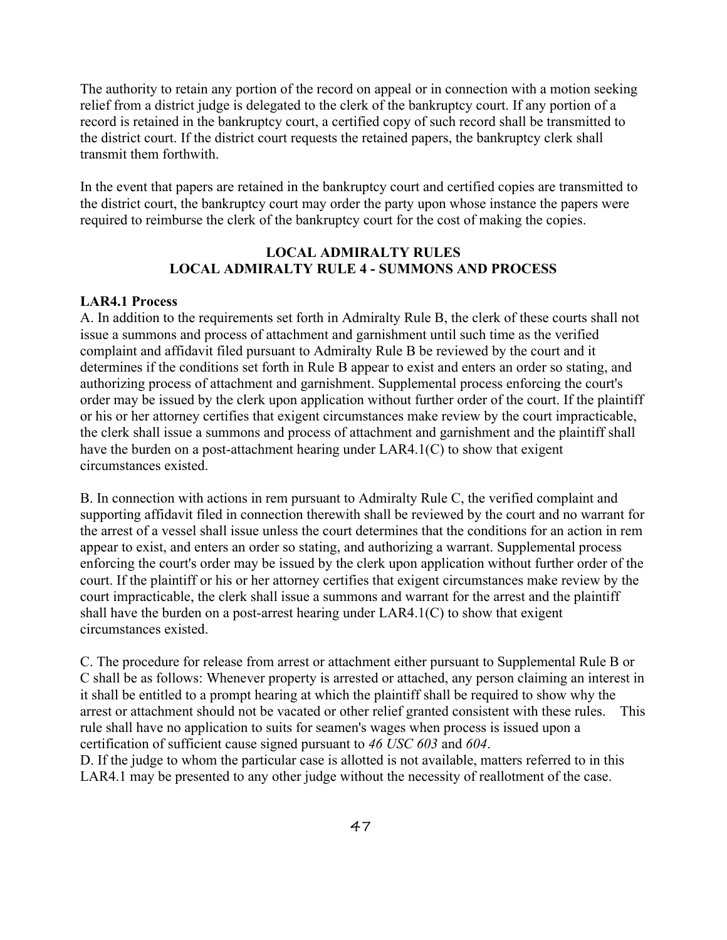The authority to retain any portion of the record on appeal or in connection with a motion seeking relief from a district judge is delegated to the clerk of the bankruptcy court. If any portion of a record is retained in the bankruptcy court, a certified copy of such record shall be transmitted to the district court. If the district court requests the retained papers, the bankruptcy clerk shall transmit them forthwith.

In the event that papers are retained in the bankruptcy court and certified copies are transmitted to the district court, the bankruptcy court may order the party upon whose instance the papers were required to reimburse the clerk of the bankruptcy court for the cost of making the copies.

## **LOCAL ADMIRALTY RULES LOCAL ADMIRALTY RULE 4 - SUMMONS AND PROCESS**

### **LAR4.1 Process**

A. In addition to the requirements set forth in Admiralty Rule B, the clerk of these courts shall not issue a summons and process of attachment and garnishment until such time as the verified complaint and affidavit filed pursuant to Admiralty Rule B be reviewed by the court and it determines if the conditions set forth in Rule B appear to exist and enters an order so stating, and authorizing process of attachment and garnishment. Supplemental process enforcing the court's order may be issued by the clerk upon application without further order of the court. If the plaintiff or his or her attorney certifies that exigent circumstances make review by the court impracticable, the clerk shall issue a summons and process of attachment and garnishment and the plaintiff shall have the burden on a post-attachment hearing under LAR4.1(C) to show that exigent circumstances existed.

B. In connection with actions in rem pursuant to Admiralty Rule C, the verified complaint and supporting affidavit filed in connection therewith shall be reviewed by the court and no warrant for the arrest of a vessel shall issue unless the court determines that the conditions for an action in rem appear to exist, and enters an order so stating, and authorizing a warrant. Supplemental process enforcing the court's order may be issued by the clerk upon application without further order of the court. If the plaintiff or his or her attorney certifies that exigent circumstances make review by the court impracticable, the clerk shall issue a summons and warrant for the arrest and the plaintiff shall have the burden on a post-arrest hearing under LAR4.1(C) to show that exigent circumstances existed.

C. The procedure for release from arrest or attachment either pursuant to Supplemental Rule B or C shall be as follows: Whenever property is arrested or attached, any person claiming an interest in it shall be entitled to a prompt hearing at which the plaintiff shall be required to show why the arrest or attachment should not be vacated or other relief granted consistent with these rules. This rule shall have no application to suits for seamen's wages when process is issued upon a certification of sufficient cause signed pursuant to *46 USC 603* and *604*.

D. If the judge to whom the particular case is allotted is not available, matters referred to in this LAR4.1 may be presented to any other judge without the necessity of reallotment of the case.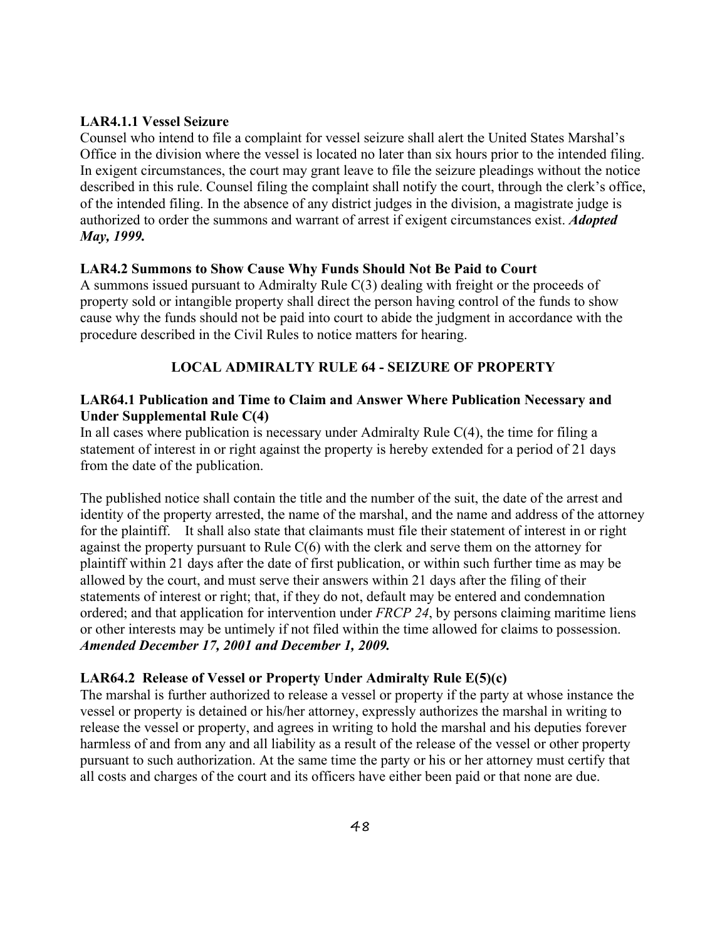### **LAR4.1.1 Vessel Seizure**

Counsel who intend to file a complaint for vessel seizure shall alert the United States Marshal's Office in the division where the vessel is located no later than six hours prior to the intended filing. In exigent circumstances, the court may grant leave to file the seizure pleadings without the notice described in this rule. Counsel filing the complaint shall notify the court, through the clerk's office, of the intended filing. In the absence of any district judges in the division, a magistrate judge is authorized to order the summons and warrant of arrest if exigent circumstances exist. *Adopted May, 1999.*

### **LAR4.2 Summons to Show Cause Why Funds Should Not Be Paid to Court**

A summons issued pursuant to Admiralty Rule C(3) dealing with freight or the proceeds of property sold or intangible property shall direct the person having control of the funds to show cause why the funds should not be paid into court to abide the judgment in accordance with the procedure described in the Civil Rules to notice matters for hearing.

# **LOCAL ADMIRALTY RULE 64 - SEIZURE OF PROPERTY**

## **LAR64.1 Publication and Time to Claim and Answer Where Publication Necessary and Under Supplemental Rule C(4)**

In all cases where publication is necessary under Admiralty Rule  $C(4)$ , the time for filing a statement of interest in or right against the property is hereby extended for a period of 21 days from the date of the publication.

The published notice shall contain the title and the number of the suit, the date of the arrest and identity of the property arrested, the name of the marshal, and the name and address of the attorney for the plaintiff. It shall also state that claimants must file their statement of interest in or right against the property pursuant to Rule  $C(6)$  with the clerk and serve them on the attorney for plaintiff within 21 days after the date of first publication, or within such further time as may be allowed by the court, and must serve their answers within 21 days after the filing of their statements of interest or right; that, if they do not, default may be entered and condemnation ordered; and that application for intervention under *FRCP 24*, by persons claiming maritime liens or other interests may be untimely if not filed within the time allowed for claims to possession. *Amended December 17, 2001 and December 1, 2009.*

## **LAR64.2 Release of Vessel or Property Under Admiralty Rule E(5)(c)**

The marshal is further authorized to release a vessel or property if the party at whose instance the vessel or property is detained or his/her attorney, expressly authorizes the marshal in writing to release the vessel or property, and agrees in writing to hold the marshal and his deputies forever harmless of and from any and all liability as a result of the release of the vessel or other property pursuant to such authorization. At the same time the party or his or her attorney must certify that all costs and charges of the court and its officers have either been paid or that none are due.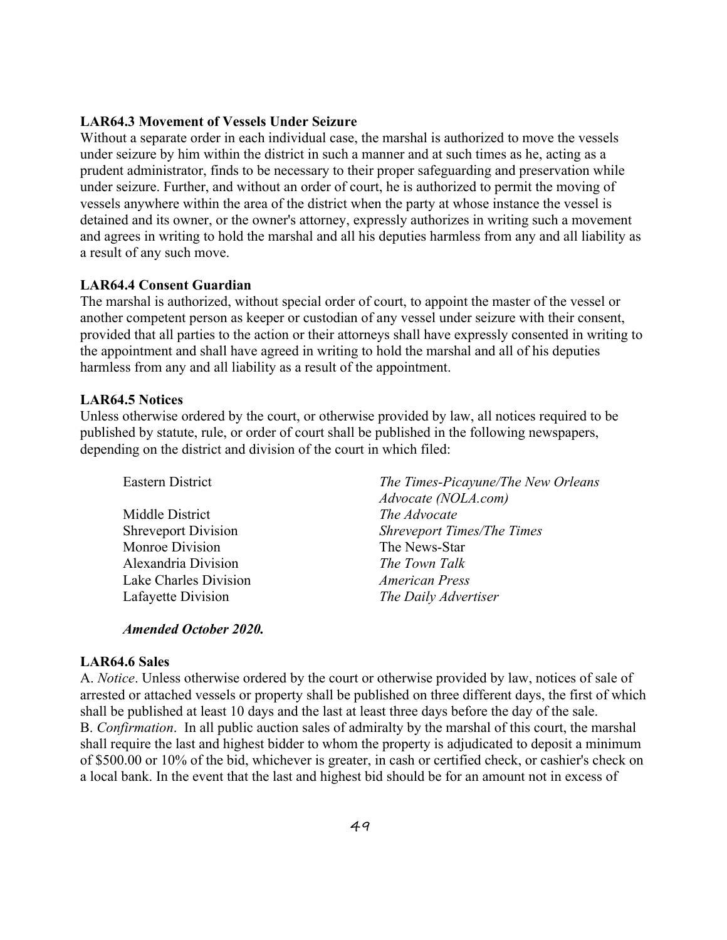#### **LAR64.3 Movement of Vessels Under Seizure**

Without a separate order in each individual case, the marshal is authorized to move the vessels under seizure by him within the district in such a manner and at such times as he, acting as a prudent administrator, finds to be necessary to their proper safeguarding and preservation while under seizure. Further, and without an order of court, he is authorized to permit the moving of vessels anywhere within the area of the district when the party at whose instance the vessel is detained and its owner, or the owner's attorney, expressly authorizes in writing such a movement and agrees in writing to hold the marshal and all his deputies harmless from any and all liability as a result of any such move.

#### **LAR64.4 Consent Guardian**

The marshal is authorized, without special order of court, to appoint the master of the vessel or another competent person as keeper or custodian of any vessel under seizure with their consent, provided that all parties to the action or their attorneys shall have expressly consented in writing to the appointment and shall have agreed in writing to hold the marshal and all of his deputies harmless from any and all liability as a result of the appointment.

#### **LAR64.5 Notices**

Unless otherwise ordered by the court, or otherwise provided by law, all notices required to be published by statute, rule, or order of court shall be published in the following newspapers, depending on the district and division of the court in which filed:

| Eastern District           | The Times-Picayune/The New Orleans |
|----------------------------|------------------------------------|
|                            | Advocate (NOLA.com)                |
| Middle District            | The Advocate                       |
| <b>Shreveport Division</b> | <b>Shreveport Times/The Times</b>  |
| Monroe Division            | The News-Star                      |
| Alexandria Division        | The Town Talk                      |
| Lake Charles Division      | <b>American Press</b>              |
| Lafayette Division         | The Daily Advertiser               |
|                            |                                    |

#### *Amended October 2020.*

#### **LAR64.6 Sales**

A. *Notice*. Unless otherwise ordered by the court or otherwise provided by law, notices of sale of arrested or attached vessels or property shall be published on three different days, the first of which shall be published at least 10 days and the last at least three days before the day of the sale. B. *Confirmation*. In all public auction sales of admiralty by the marshal of this court, the marshal shall require the last and highest bidder to whom the property is adjudicated to deposit a minimum of \$500.00 or 10% of the bid, whichever is greater, in cash or certified check, or cashier's check on a local bank. In the event that the last and highest bid should be for an amount not in excess of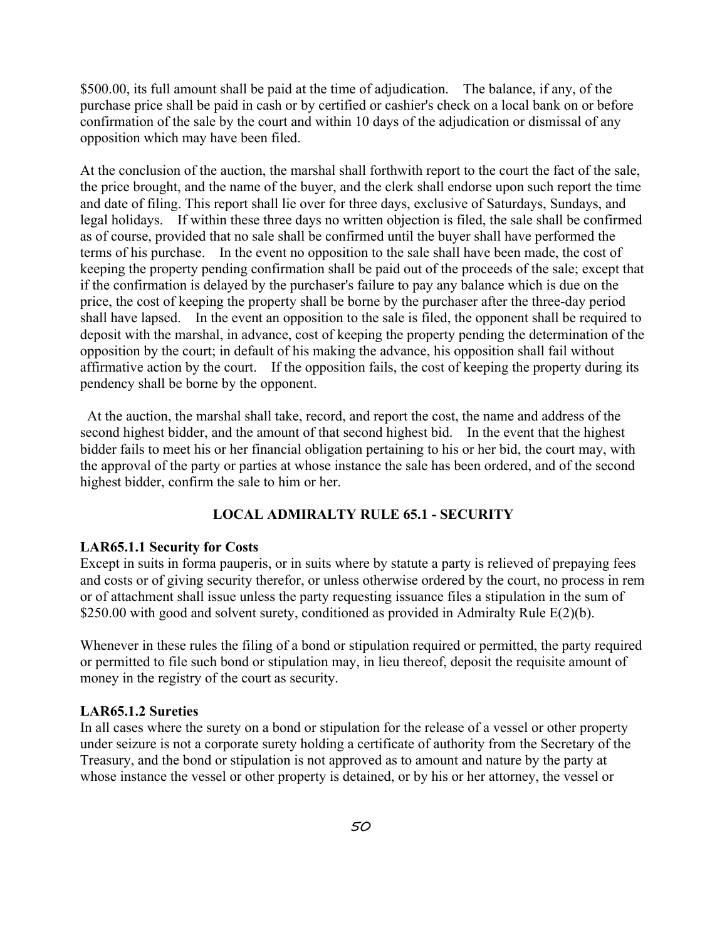\$500.00, its full amount shall be paid at the time of adjudication. The balance, if any, of the purchase price shall be paid in cash or by certified or cashier's check on a local bank on or before confirmation of the sale by the court and within 10 days of the adjudication or dismissal of any opposition which may have been filed.

At the conclusion of the auction, the marshal shall forthwith report to the court the fact of the sale, the price brought, and the name of the buyer, and the clerk shall endorse upon such report the time and date of filing. This report shall lie over for three days, exclusive of Saturdays, Sundays, and legal holidays. If within these three days no written objection is filed, the sale shall be confirmed as of course, provided that no sale shall be confirmed until the buyer shall have performed the terms of his purchase. In the event no opposition to the sale shall have been made, the cost of keeping the property pending confirmation shall be paid out of the proceeds of the sale; except that if the confirmation is delayed by the purchaser's failure to pay any balance which is due on the price, the cost of keeping the property shall be borne by the purchaser after the three-day period shall have lapsed. In the event an opposition to the sale is filed, the opponent shall be required to deposit with the marshal, in advance, cost of keeping the property pending the determination of the opposition by the court; in default of his making the advance, his opposition shall fail without affirmative action by the court. If the opposition fails, the cost of keeping the property during its pendency shall be borne by the opponent.

 At the auction, the marshal shall take, record, and report the cost, the name and address of the second highest bidder, and the amount of that second highest bid. In the event that the highest bidder fails to meet his or her financial obligation pertaining to his or her bid, the court may, with the approval of the party or parties at whose instance the sale has been ordered, and of the second highest bidder, confirm the sale to him or her.

## **LOCAL ADMIRALTY RULE 65.1 - SECURITY**

## **LAR65.1.1 Security for Costs**

Except in suits in forma pauperis, or in suits where by statute a party is relieved of prepaying fees and costs or of giving security therefor, or unless otherwise ordered by the court, no process in rem or of attachment shall issue unless the party requesting issuance files a stipulation in the sum of \$250.00 with good and solvent surety, conditioned as provided in Admiralty Rule E(2)(b).

Whenever in these rules the filing of a bond or stipulation required or permitted, the party required or permitted to file such bond or stipulation may, in lieu thereof, deposit the requisite amount of money in the registry of the court as security.

### **LAR65.1.2 Sureties**

In all cases where the surety on a bond or stipulation for the release of a vessel or other property under seizure is not a corporate surety holding a certificate of authority from the Secretary of the Treasury, and the bond or stipulation is not approved as to amount and nature by the party at whose instance the vessel or other property is detained, or by his or her attorney, the vessel or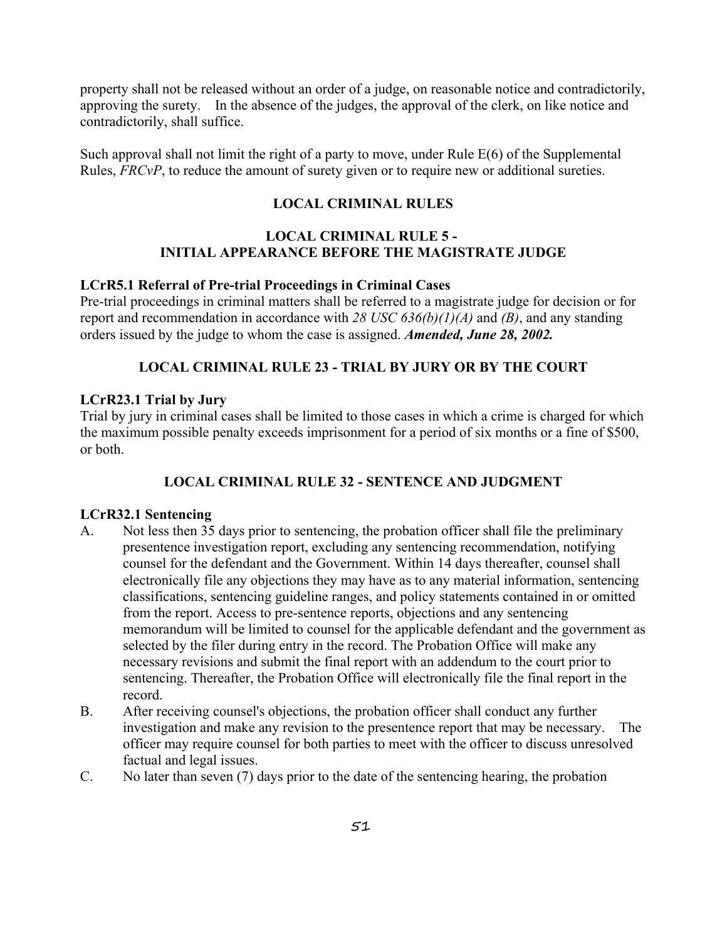property shall not be released without an order of a judge, on reasonable notice and contradictorily, approving the surety. In the absence of the judges, the approval of the clerk, on like notice and contradictorily, shall suffice.

Such approval shall not limit the right of a party to move, under Rule E(6) of the Supplemental Rules, *FRCvP*, to reduce the amount of surety given or to require new or additional sureties.

# **LOCAL CRIMINAL RULES**

## **LOCAL CRIMINAL RULE 5 - INITIAL APPEARANCE BEFORE THE MAGISTRATE JUDGE**

### **LCrR5.1 Referral of Pre-trial Proceedings in Criminal Cases**

Pre-trial proceedings in criminal matters shall be referred to a magistrate judge for decision or for report and recommendation in accordance with *28 USC 636(b)(1)(A)* and *(B)*, and any standing orders issued by the judge to whom the case is assigned. *Amended, June 28, 2002.*

## **LOCAL CRIMINAL RULE 23 - TRIAL BY JURY OR BY THE COURT**

#### **LCrR23.1 Trial by Jury**

Trial by jury in criminal cases shall be limited to those cases in which a crime is charged for which the maximum possible penalty exceeds imprisonment for a period of six months or a fine of \$500, or both.

## **LOCAL CRIMINAL RULE 32 - SENTENCE AND JUDGMENT**

#### **LCrR32.1 Sentencing**

- A. Not less then 35 days prior to sentencing, the probation officer shall file the preliminary presentence investigation report, excluding any sentencing recommendation, notifying counsel for the defendant and the Government. Within 14 days thereafter, counsel shall electronically file any objections they may have as to any material information, sentencing classifications, sentencing guideline ranges, and policy statements contained in or omitted from the report. Access to pre-sentence reports, objections and any sentencing memorandum will be limited to counsel for the applicable defendant and the government as selected by the filer during entry in the record. The Probation Office will make any necessary revisions and submit the final report with an addendum to the court prior to sentencing. Thereafter, the Probation Office will electronically file the final report in the record.
- B. After receiving counsel's objections, the probation officer shall conduct any further investigation and make any revision to the presentence report that may be necessary. The officer may require counsel for both parties to meet with the officer to discuss unresolved factual and legal issues.
- C. No later than seven (7) days prior to the date of the sentencing hearing, the probation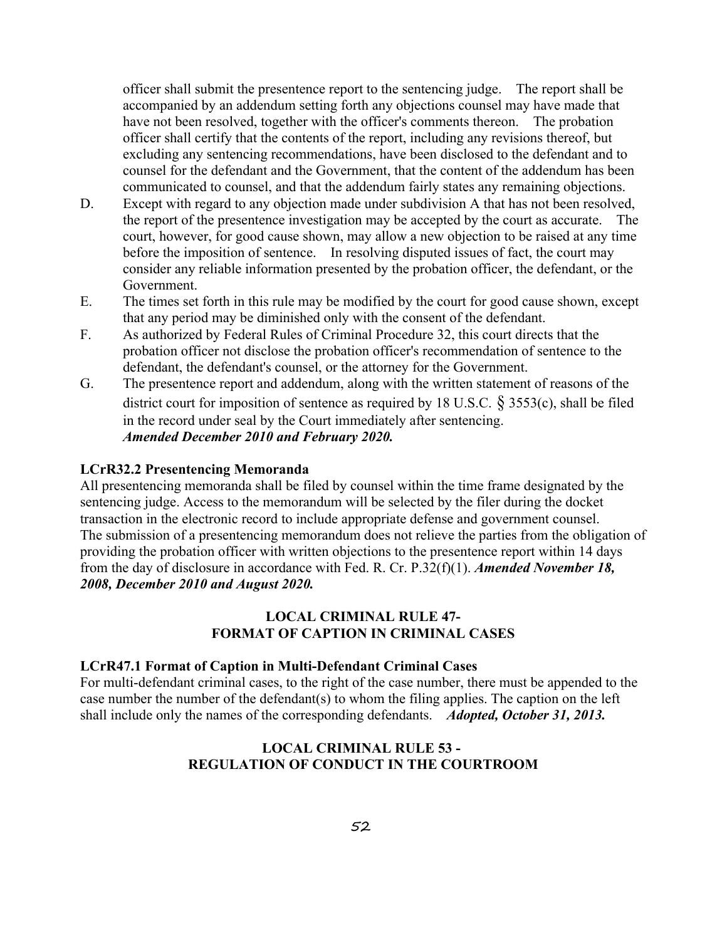officer shall submit the presentence report to the sentencing judge. The report shall be accompanied by an addendum setting forth any objections counsel may have made that have not been resolved, together with the officer's comments thereon. The probation officer shall certify that the contents of the report, including any revisions thereof, but excluding any sentencing recommendations, have been disclosed to the defendant and to counsel for the defendant and the Government, that the content of the addendum has been communicated to counsel, and that the addendum fairly states any remaining objections.

- D. Except with regard to any objection made under subdivision A that has not been resolved, the report of the presentence investigation may be accepted by the court as accurate. The court, however, for good cause shown, may allow a new objection to be raised at any time before the imposition of sentence. In resolving disputed issues of fact, the court may consider any reliable information presented by the probation officer, the defendant, or the Government.
- E. The times set forth in this rule may be modified by the court for good cause shown, except that any period may be diminished only with the consent of the defendant.
- F. As authorized by Federal Rules of Criminal Procedure 32, this court directs that the probation officer not disclose the probation officer's recommendation of sentence to the defendant, the defendant's counsel, or the attorney for the Government.
- G. The presentence report and addendum, along with the written statement of reasons of the district court for imposition of sentence as required by 18 U.S.C.  $\S$  3553(c), shall be filed in the record under seal by the Court immediately after sentencing.  *Amended December 2010 and February 2020.*

### **LCrR32.2 Presentencing Memoranda**

All presentencing memoranda shall be filed by counsel within the time frame designated by the sentencing judge. Access to the memorandum will be selected by the filer during the docket transaction in the electronic record to include appropriate defense and government counsel. The submission of a presentencing memorandum does not relieve the parties from the obligation of providing the probation officer with written objections to the presentence report within 14 days from the day of disclosure in accordance with Fed. R. Cr. P.32(f)(1). *Amended November 18, 2008, December 2010 and August 2020.*

## **LOCAL CRIMINAL RULE 47- FORMAT OF CAPTION IN CRIMINAL CASES**

### **LCrR47.1 Format of Caption in Multi-Defendant Criminal Cases**

For multi-defendant criminal cases, to the right of the case number, there must be appended to the case number the number of the defendant(s) to whom the filing applies. The caption on the left shall include only the names of the corresponding defendants. *Adopted, October 31, 2013.*

# **LOCAL CRIMINAL RULE 53 - REGULATION OF CONDUCT IN THE COURTROOM**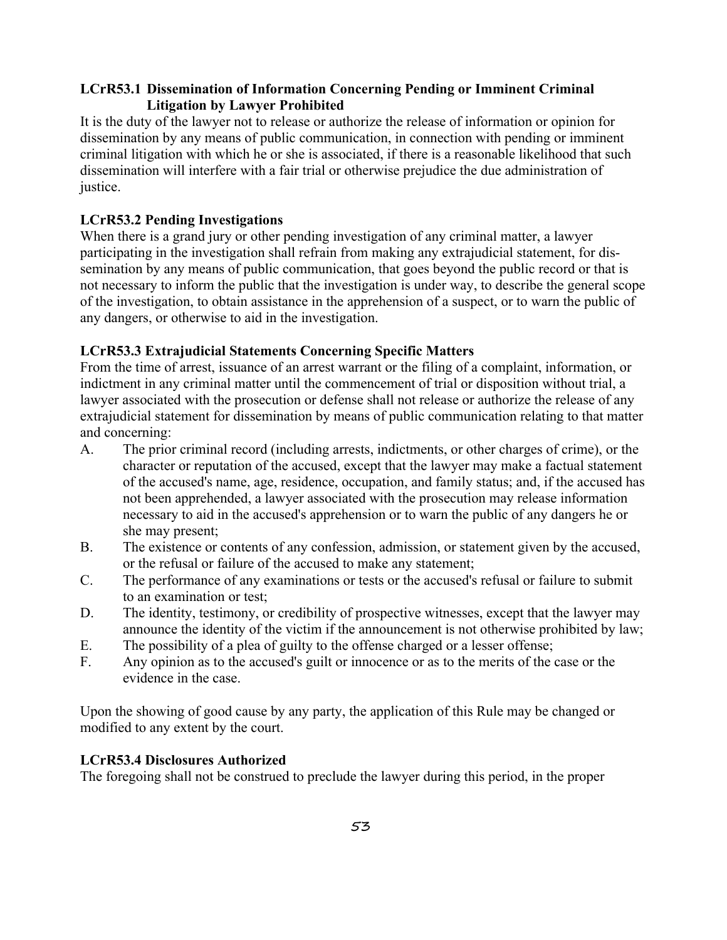# **LCrR53.1 Dissemination of Information Concerning Pending or Imminent Criminal Litigation by Lawyer Prohibited**

It is the duty of the lawyer not to release or authorize the release of information or opinion for dissemination by any means of public communication, in connection with pending or imminent criminal litigation with which he or she is associated, if there is a reasonable likelihood that such dissemination will interfere with a fair trial or otherwise prejudice the due administration of justice.

# **LCrR53.2 Pending Investigations**

When there is a grand jury or other pending investigation of any criminal matter, a lawyer participating in the investigation shall refrain from making any extrajudicial statement, for dissemination by any means of public communication, that goes beyond the public record or that is not necessary to inform the public that the investigation is under way, to describe the general scope of the investigation, to obtain assistance in the apprehension of a suspect, or to warn the public of any dangers, or otherwise to aid in the investigation.

# **LCrR53.3 Extrajudicial Statements Concerning Specific Matters**

From the time of arrest, issuance of an arrest warrant or the filing of a complaint, information, or indictment in any criminal matter until the commencement of trial or disposition without trial, a lawyer associated with the prosecution or defense shall not release or authorize the release of any extrajudicial statement for dissemination by means of public communication relating to that matter and concerning:

- A. The prior criminal record (including arrests, indictments, or other charges of crime), or the character or reputation of the accused, except that the lawyer may make a factual statement of the accused's name, age, residence, occupation, and family status; and, if the accused has not been apprehended, a lawyer associated with the prosecution may release information necessary to aid in the accused's apprehension or to warn the public of any dangers he or she may present;
- B. The existence or contents of any confession, admission, or statement given by the accused, or the refusal or failure of the accused to make any statement;
- C. The performance of any examinations or tests or the accused's refusal or failure to submit to an examination or test;
- D. The identity, testimony, or credibility of prospective witnesses, except that the lawyer may announce the identity of the victim if the announcement is not otherwise prohibited by law;
- E. The possibility of a plea of guilty to the offense charged or a lesser offense;
- F. Any opinion as to the accused's guilt or innocence or as to the merits of the case or the evidence in the case.

Upon the showing of good cause by any party, the application of this Rule may be changed or modified to any extent by the court.

# **LCrR53.4 Disclosures Authorized**

The foregoing shall not be construed to preclude the lawyer during this period, in the proper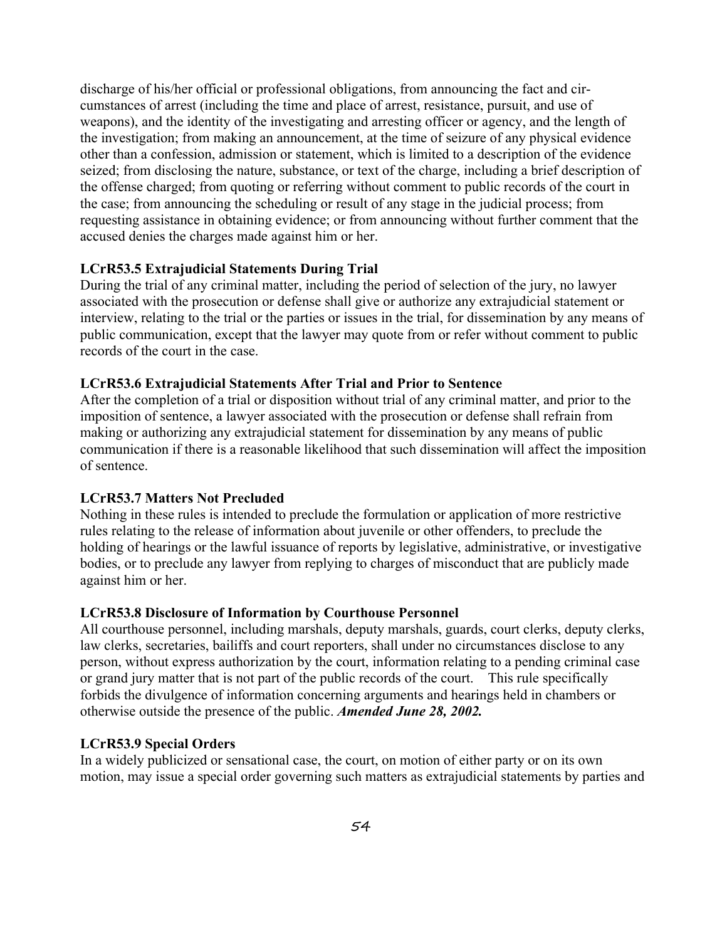discharge of his/her official or professional obligations, from announcing the fact and circumstances of arrest (including the time and place of arrest, resistance, pursuit, and use of weapons), and the identity of the investigating and arresting officer or agency, and the length of the investigation; from making an announcement, at the time of seizure of any physical evidence other than a confession, admission or statement, which is limited to a description of the evidence seized; from disclosing the nature, substance, or text of the charge, including a brief description of the offense charged; from quoting or referring without comment to public records of the court in the case; from announcing the scheduling or result of any stage in the judicial process; from requesting assistance in obtaining evidence; or from announcing without further comment that the accused denies the charges made against him or her.

### **LCrR53.5 Extrajudicial Statements During Trial**

During the trial of any criminal matter, including the period of selection of the jury, no lawyer associated with the prosecution or defense shall give or authorize any extrajudicial statement or interview, relating to the trial or the parties or issues in the trial, for dissemination by any means of public communication, except that the lawyer may quote from or refer without comment to public records of the court in the case.

### **LCrR53.6 Extrajudicial Statements After Trial and Prior to Sentence**

After the completion of a trial or disposition without trial of any criminal matter, and prior to the imposition of sentence, a lawyer associated with the prosecution or defense shall refrain from making or authorizing any extrajudicial statement for dissemination by any means of public communication if there is a reasonable likelihood that such dissemination will affect the imposition of sentence.

### **LCrR53.7 Matters Not Precluded**

Nothing in these rules is intended to preclude the formulation or application of more restrictive rules relating to the release of information about juvenile or other offenders, to preclude the holding of hearings or the lawful issuance of reports by legislative, administrative, or investigative bodies, or to preclude any lawyer from replying to charges of misconduct that are publicly made against him or her.

### **LCrR53.8 Disclosure of Information by Courthouse Personnel**

All courthouse personnel, including marshals, deputy marshals, guards, court clerks, deputy clerks, law clerks, secretaries, bailiffs and court reporters, shall under no circumstances disclose to any person, without express authorization by the court, information relating to a pending criminal case or grand jury matter that is not part of the public records of the court. This rule specifically forbids the divulgence of information concerning arguments and hearings held in chambers or otherwise outside the presence of the public. *Amended June 28, 2002.*

### **LCrR53.9 Special Orders**

In a widely publicized or sensational case, the court, on motion of either party or on its own motion, may issue a special order governing such matters as extrajudicial statements by parties and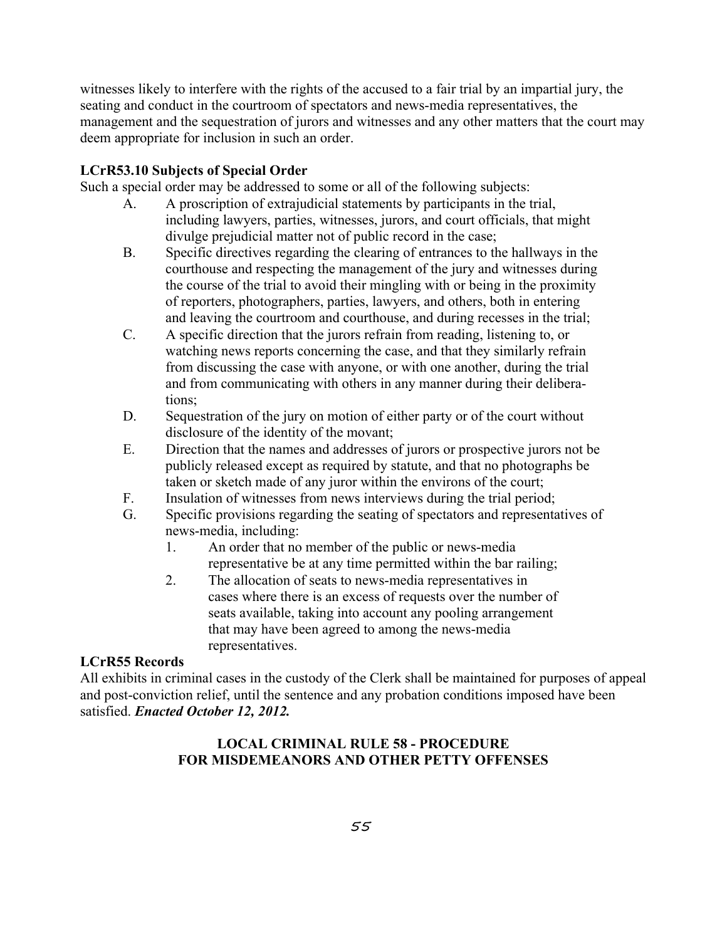witnesses likely to interfere with the rights of the accused to a fair trial by an impartial jury, the seating and conduct in the courtroom of spectators and news-media representatives, the management and the sequestration of jurors and witnesses and any other matters that the court may deem appropriate for inclusion in such an order.

# **LCrR53.10 Subjects of Special Order**

Such a special order may be addressed to some or all of the following subjects:

- A. A proscription of extrajudicial statements by participants in the trial, including lawyers, parties, witnesses, jurors, and court officials, that might divulge prejudicial matter not of public record in the case;
- B. Specific directives regarding the clearing of entrances to the hallways in the courthouse and respecting the management of the jury and witnesses during the course of the trial to avoid their mingling with or being in the proximity of reporters, photographers, parties, lawyers, and others, both in entering and leaving the courtroom and courthouse, and during recesses in the trial;
- C. A specific direction that the jurors refrain from reading, listening to, or watching news reports concerning the case, and that they similarly refrain from discussing the case with anyone, or with one another, during the trial and from communicating with others in any manner during their deliberations;
- D. Sequestration of the jury on motion of either party or of the court without disclosure of the identity of the movant;
- E. Direction that the names and addresses of jurors or prospective jurors not be publicly released except as required by statute, and that no photographs be taken or sketch made of any juror within the environs of the court;
- F. Insulation of witnesses from news interviews during the trial period;
- G. Specific provisions regarding the seating of spectators and representatives of news-media, including:
	- 1. An order that no member of the public or news-media representative be at any time permitted within the bar railing;
	- 2. The allocation of seats to news-media representatives in cases where there is an excess of requests over the number of seats available, taking into account any pooling arrangement that may have been agreed to among the news-media representatives.

## **LCrR55 Records**

All exhibits in criminal cases in the custody of the Clerk shall be maintained for purposes of appeal and post-conviction relief, until the sentence and any probation conditions imposed have been satisfied. *Enacted October 12, 2012.*

# **LOCAL CRIMINAL RULE 58 - PROCEDURE FOR MISDEMEANORS AND OTHER PETTY OFFENSES**